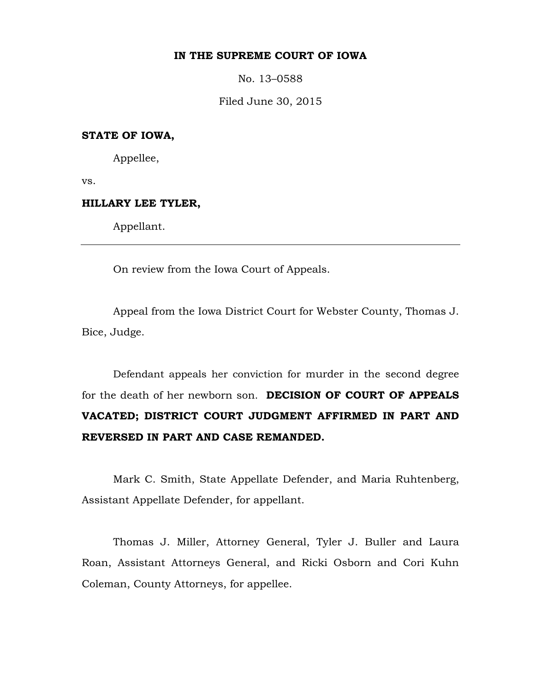### **IN THE SUPREME COURT OF IOWA**

No. 13–0588

Filed June 30, 2015

# **STATE OF IOWA,**

Appellee,

vs.

### **HILLARY LEE TYLER,**

Appellant.

On review from the Iowa Court of Appeals.

Appeal from the Iowa District Court for Webster County, Thomas J. Bice, Judge.

Defendant appeals her conviction for murder in the second degree for the death of her newborn son. **DECISION OF COURT OF APPEALS VACATED; DISTRICT COURT JUDGMENT AFFIRMED IN PART AND REVERSED IN PART AND CASE REMANDED.**

Mark C. Smith, State Appellate Defender, and Maria Ruhtenberg, Assistant Appellate Defender, for appellant.

Thomas J. Miller, Attorney General, Tyler J. Buller and Laura Roan, Assistant Attorneys General, and Ricki Osborn and Cori Kuhn Coleman, County Attorneys, for appellee.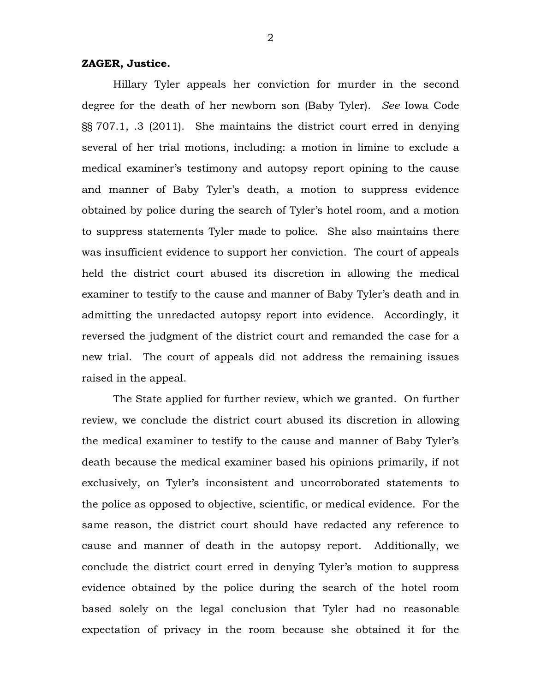# **ZAGER, Justice.**

Hillary Tyler appeals her conviction for murder in the second degree for the death of her newborn son (Baby Tyler). *See* Iowa Code §§ 707.1, .3 (2011). She maintains the district court erred in denying several of her trial motions, including: a motion in limine to exclude a medical examiner's testimony and autopsy report opining to the cause and manner of Baby Tyler's death, a motion to suppress evidence obtained by police during the search of Tyler's hotel room, and a motion to suppress statements Tyler made to police. She also maintains there was insufficient evidence to support her conviction. The court of appeals held the district court abused its discretion in allowing the medical examiner to testify to the cause and manner of Baby Tyler's death and in admitting the unredacted autopsy report into evidence. Accordingly, it reversed the judgment of the district court and remanded the case for a new trial. The court of appeals did not address the remaining issues raised in the appeal.

The State applied for further review, which we granted. On further review, we conclude the district court abused its discretion in allowing the medical examiner to testify to the cause and manner of Baby Tyler's death because the medical examiner based his opinions primarily, if not exclusively, on Tyler's inconsistent and uncorroborated statements to the police as opposed to objective, scientific, or medical evidence. For the same reason, the district court should have redacted any reference to cause and manner of death in the autopsy report. Additionally, we conclude the district court erred in denying Tyler's motion to suppress evidence obtained by the police during the search of the hotel room based solely on the legal conclusion that Tyler had no reasonable expectation of privacy in the room because she obtained it for the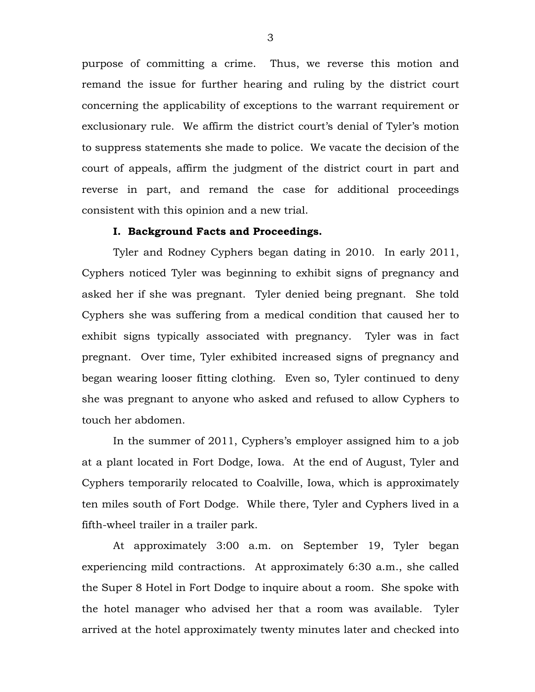purpose of committing a crime. Thus, we reverse this motion and remand the issue for further hearing and ruling by the district court concerning the applicability of exceptions to the warrant requirement or exclusionary rule. We affirm the district court's denial of Tyler's motion to suppress statements she made to police. We vacate the decision of the court of appeals, affirm the judgment of the district court in part and reverse in part, and remand the case for additional proceedings consistent with this opinion and a new trial.

### **I. Background Facts and Proceedings.**

Tyler and Rodney Cyphers began dating in 2010. In early 2011, Cyphers noticed Tyler was beginning to exhibit signs of pregnancy and asked her if she was pregnant. Tyler denied being pregnant. She told Cyphers she was suffering from a medical condition that caused her to exhibit signs typically associated with pregnancy. Tyler was in fact pregnant. Over time, Tyler exhibited increased signs of pregnancy and began wearing looser fitting clothing. Even so, Tyler continued to deny she was pregnant to anyone who asked and refused to allow Cyphers to touch her abdomen.

In the summer of 2011, Cyphers's employer assigned him to a job at a plant located in Fort Dodge, Iowa. At the end of August, Tyler and Cyphers temporarily relocated to Coalville, Iowa, which is approximately ten miles south of Fort Dodge. While there, Tyler and Cyphers lived in a fifth-wheel trailer in a trailer park.

At approximately 3:00 a.m. on September 19, Tyler began experiencing mild contractions. At approximately 6:30 a.m., she called the Super 8 Hotel in Fort Dodge to inquire about a room. She spoke with the hotel manager who advised her that a room was available. Tyler arrived at the hotel approximately twenty minutes later and checked into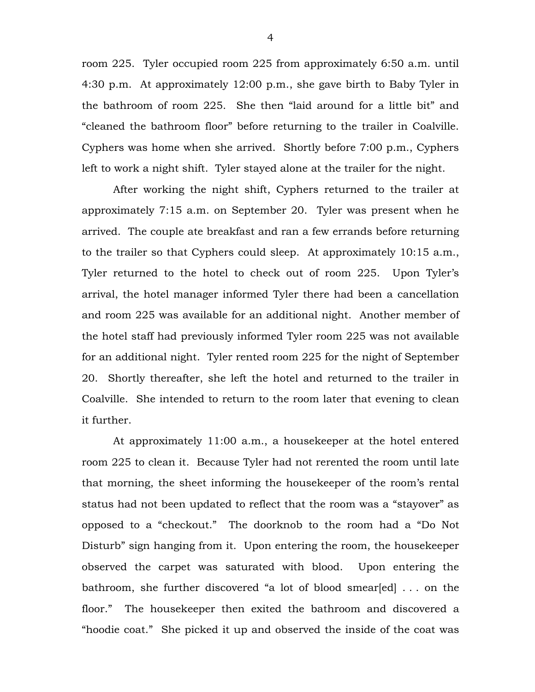room 225. Tyler occupied room 225 from approximately 6:50 a.m. until 4:30 p.m. At approximately 12:00 p.m., she gave birth to Baby Tyler in the bathroom of room 225. She then "laid around for a little bit" and "cleaned the bathroom floor" before returning to the trailer in Coalville. Cyphers was home when she arrived. Shortly before 7:00 p.m., Cyphers left to work a night shift. Tyler stayed alone at the trailer for the night.

After working the night shift, Cyphers returned to the trailer at approximately 7:15 a.m. on September 20. Tyler was present when he arrived. The couple ate breakfast and ran a few errands before returning to the trailer so that Cyphers could sleep. At approximately 10:15 a.m., Tyler returned to the hotel to check out of room 225. Upon Tyler's arrival, the hotel manager informed Tyler there had been a cancellation and room 225 was available for an additional night. Another member of the hotel staff had previously informed Tyler room 225 was not available for an additional night. Tyler rented room 225 for the night of September 20. Shortly thereafter, she left the hotel and returned to the trailer in Coalville. She intended to return to the room later that evening to clean it further.

At approximately 11:00 a.m., a housekeeper at the hotel entered room 225 to clean it. Because Tyler had not rerented the room until late that morning, the sheet informing the housekeeper of the room's rental status had not been updated to reflect that the room was a "stayover" as opposed to a "checkout." The doorknob to the room had a "Do Not Disturb" sign hanging from it. Upon entering the room, the housekeeper observed the carpet was saturated with blood. Upon entering the bathroom, she further discovered "a lot of blood smear[ed] . . . on the floor." The housekeeper then exited the bathroom and discovered a "hoodie coat." She picked it up and observed the inside of the coat was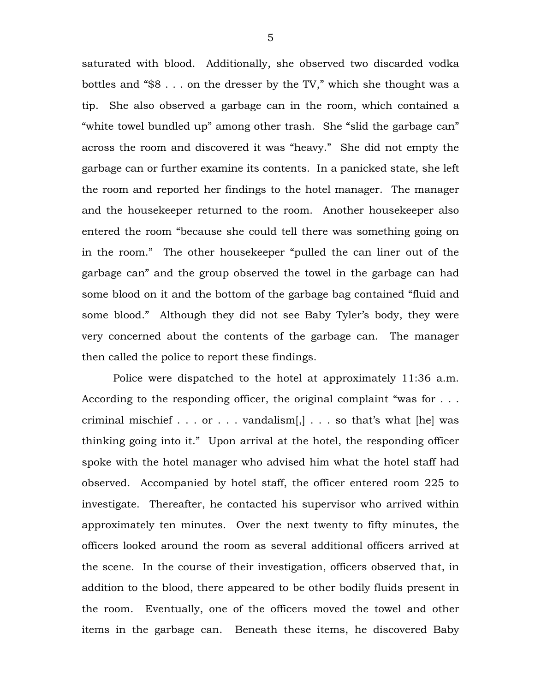saturated with blood. Additionally, she observed two discarded vodka bottles and "\$8 . . . on the dresser by the TV," which she thought was a tip. She also observed a garbage can in the room, which contained a "white towel bundled up" among other trash. She "slid the garbage can" across the room and discovered it was "heavy." She did not empty the garbage can or further examine its contents. In a panicked state, she left the room and reported her findings to the hotel manager. The manager and the housekeeper returned to the room. Another housekeeper also entered the room "because she could tell there was something going on in the room." The other housekeeper "pulled the can liner out of the garbage can" and the group observed the towel in the garbage can had some blood on it and the bottom of the garbage bag contained "fluid and some blood." Although they did not see Baby Tyler's body, they were very concerned about the contents of the garbage can. The manager then called the police to report these findings.

Police were dispatched to the hotel at approximately 11:36 a.m. According to the responding officer, the original complaint "was for ... criminal mischief  $\dots$  or  $\dots$  vandalism[,]  $\dots$  so that's what [he] was thinking going into it." Upon arrival at the hotel, the responding officer spoke with the hotel manager who advised him what the hotel staff had observed. Accompanied by hotel staff, the officer entered room 225 to investigate. Thereafter, he contacted his supervisor who arrived within approximately ten minutes. Over the next twenty to fifty minutes, the officers looked around the room as several additional officers arrived at the scene. In the course of their investigation, officers observed that, in addition to the blood, there appeared to be other bodily fluids present in the room. Eventually, one of the officers moved the towel and other items in the garbage can. Beneath these items, he discovered Baby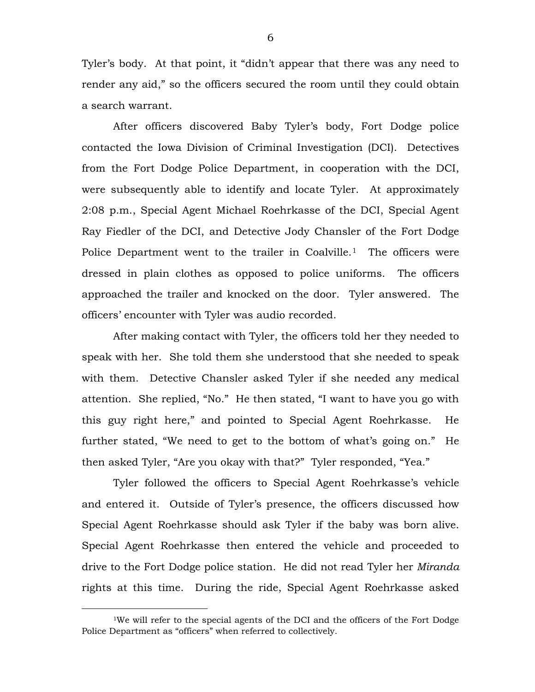Tyler's body. At that point, it "didn't appear that there was any need to render any aid," so the officers secured the room until they could obtain a search warrant.

After officers discovered Baby Tyler's body, Fort Dodge police contacted the Iowa Division of Criminal Investigation (DCI). Detectives from the Fort Dodge Police Department, in cooperation with the DCI, were subsequently able to identify and locate Tyler. At approximately 2:08 p.m., Special Agent Michael Roehrkasse of the DCI, Special Agent Ray Fiedler of the DCI, and Detective Jody Chansler of the Fort Dodge Police Department went to the trailer in Coalville.<sup>[1](#page-5-0)</sup> The officers were dressed in plain clothes as opposed to police uniforms. The officers approached the trailer and knocked on the door. Tyler answered. The officers' encounter with Tyler was audio recorded.

After making contact with Tyler, the officers told her they needed to speak with her. She told them she understood that she needed to speak with them. Detective Chansler asked Tyler if she needed any medical attention. She replied, "No." He then stated, "I want to have you go with this guy right here," and pointed to Special Agent Roehrkasse. He further stated, "We need to get to the bottom of what's going on." He then asked Tyler, "Are you okay with that?" Tyler responded, "Yea."

Tyler followed the officers to Special Agent Roehrkasse's vehicle and entered it. Outside of Tyler's presence, the officers discussed how Special Agent Roehrkasse should ask Tyler if the baby was born alive. Special Agent Roehrkasse then entered the vehicle and proceeded to drive to the Fort Dodge police station. He did not read Tyler her *Miranda* rights at this time. During the ride, Special Agent Roehrkasse asked

 $\overline{a}$ 

<span id="page-5-0"></span><sup>&</sup>lt;sup>1</sup>We will refer to the special agents of the DCI and the officers of the Fort Dodge Police Department as "officers" when referred to collectively.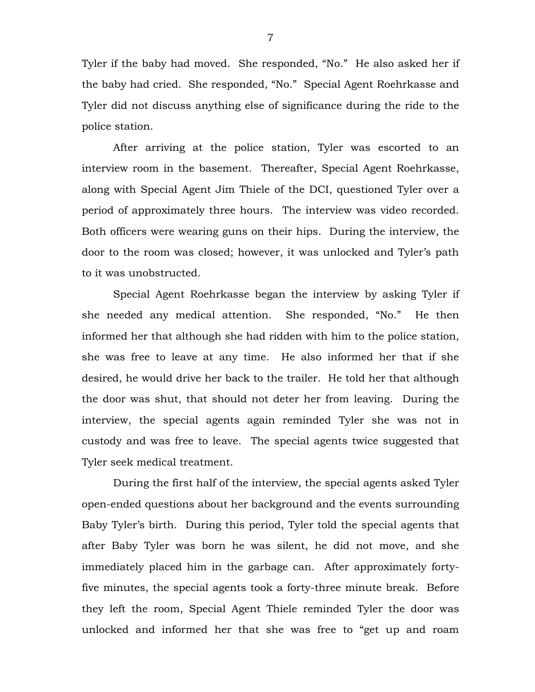Tyler if the baby had moved. She responded, "No." He also asked her if the baby had cried. She responded, "No." Special Agent Roehrkasse and Tyler did not discuss anything else of significance during the ride to the police station.

After arriving at the police station, Tyler was escorted to an interview room in the basement. Thereafter, Special Agent Roehrkasse, along with Special Agent Jim Thiele of the DCI, questioned Tyler over a period of approximately three hours. The interview was video recorded. Both officers were wearing guns on their hips. During the interview, the door to the room was closed; however, it was unlocked and Tyler's path to it was unobstructed.

Special Agent Roehrkasse began the interview by asking Tyler if she needed any medical attention. She responded, "No." He then informed her that although she had ridden with him to the police station, she was free to leave at any time. He also informed her that if she desired, he would drive her back to the trailer. He told her that although the door was shut, that should not deter her from leaving. During the interview, the special agents again reminded Tyler she was not in custody and was free to leave. The special agents twice suggested that Tyler seek medical treatment.

During the first half of the interview, the special agents asked Tyler open-ended questions about her background and the events surrounding Baby Tyler's birth. During this period, Tyler told the special agents that after Baby Tyler was born he was silent, he did not move, and she immediately placed him in the garbage can. After approximately fortyfive minutes, the special agents took a forty-three minute break. Before they left the room, Special Agent Thiele reminded Tyler the door was unlocked and informed her that she was free to "get up and roam

7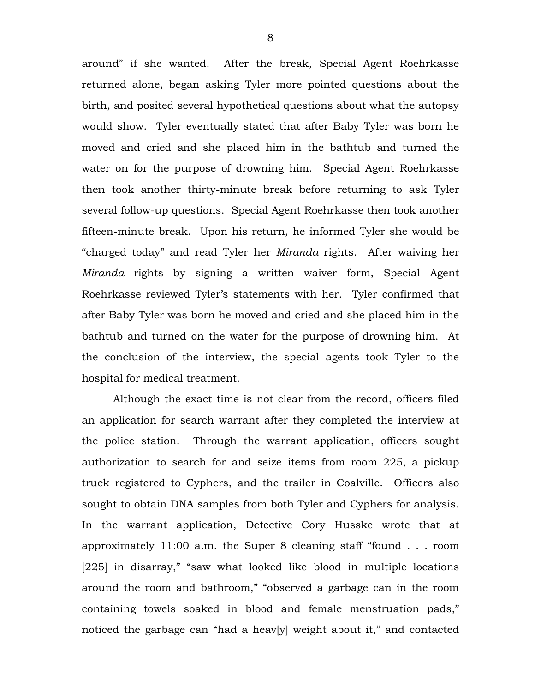around" if she wanted. After the break, Special Agent Roehrkasse returned alone, began asking Tyler more pointed questions about the birth, and posited several hypothetical questions about what the autopsy would show. Tyler eventually stated that after Baby Tyler was born he moved and cried and she placed him in the bathtub and turned the water on for the purpose of drowning him. Special Agent Roehrkasse then took another thirty-minute break before returning to ask Tyler several follow-up questions. Special Agent Roehrkasse then took another fifteen-minute break. Upon his return, he informed Tyler she would be "charged today" and read Tyler her *Miranda* rights. After waiving her *Miranda* rights by signing a written waiver form, Special Agent Roehrkasse reviewed Tyler's statements with her. Tyler confirmed that after Baby Tyler was born he moved and cried and she placed him in the bathtub and turned on the water for the purpose of drowning him. At the conclusion of the interview, the special agents took Tyler to the hospital for medical treatment.

Although the exact time is not clear from the record, officers filed an application for search warrant after they completed the interview at the police station. Through the warrant application, officers sought authorization to search for and seize items from room 225, a pickup truck registered to Cyphers, and the trailer in Coalville. Officers also sought to obtain DNA samples from both Tyler and Cyphers for analysis. In the warrant application, Detective Cory Husske wrote that at approximately 11:00 a.m. the Super 8 cleaning staff "found . . . room [225] in disarray," "saw what looked like blood in multiple locations around the room and bathroom," "observed a garbage can in the room containing towels soaked in blood and female menstruation pads," noticed the garbage can "had a heav[y] weight about it," and contacted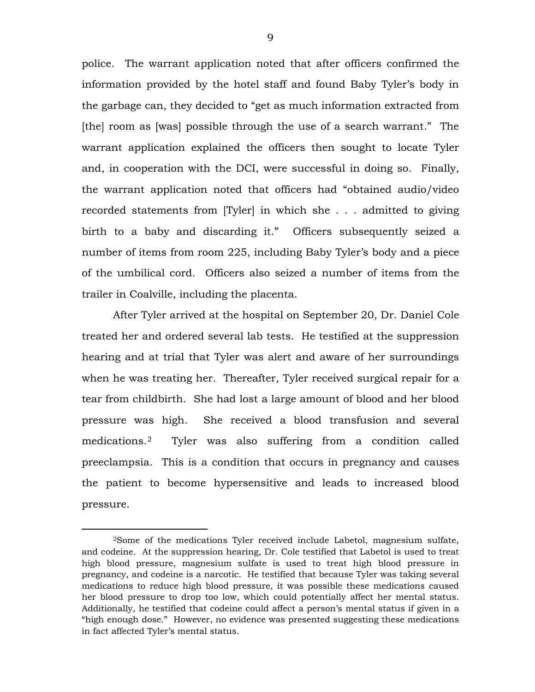police. The warrant application noted that after officers confirmed the information provided by the hotel staff and found Baby Tyler's body in the garbage can, they decided to "get as much information extracted from [the] room as [was] possible through the use of a search warrant." The warrant application explained the officers then sought to locate Tyler and, in cooperation with the DCI, were successful in doing so. Finally, the warrant application noted that officers had "obtained audio/video recorded statements from [Tyler] in which she . . . admitted to giving birth to a baby and discarding it." Officers subsequently seized a number of items from room 225, including Baby Tyler's body and a piece of the umbilical cord. Officers also seized a number of items from the trailer in Coalville, including the placenta.

After Tyler arrived at the hospital on September 20, Dr. Daniel Cole treated her and ordered several lab tests. He testified at the suppression hearing and at trial that Tyler was alert and aware of her surroundings when he was treating her. Thereafter, Tyler received surgical repair for a tear from childbirth. She had lost a large amount of blood and her blood pressure was high. She received a blood transfusion and several medications.[2](#page-8-0) Tyler was also suffering from a condition called preeclampsia. This is a condition that occurs in pregnancy and causes the patient to become hypersensitive and leads to increased blood pressure.

 $\overline{a}$ 

<span id="page-8-0"></span><sup>2</sup>Some of the medications Tyler received include Labetol, magnesium sulfate, and codeine. At the suppression hearing, Dr. Cole testified that Labetol is used to treat high blood pressure, magnesium sulfate is used to treat high blood pressure in pregnancy, and codeine is a narcotic. He testified that because Tyler was taking several medications to reduce high blood pressure, it was possible these medications caused her blood pressure to drop too low, which could potentially affect her mental status. Additionally, he testified that codeine could affect a person's mental status if given in a "high enough dose." However, no evidence was presented suggesting these medications in fact affected Tyler's mental status.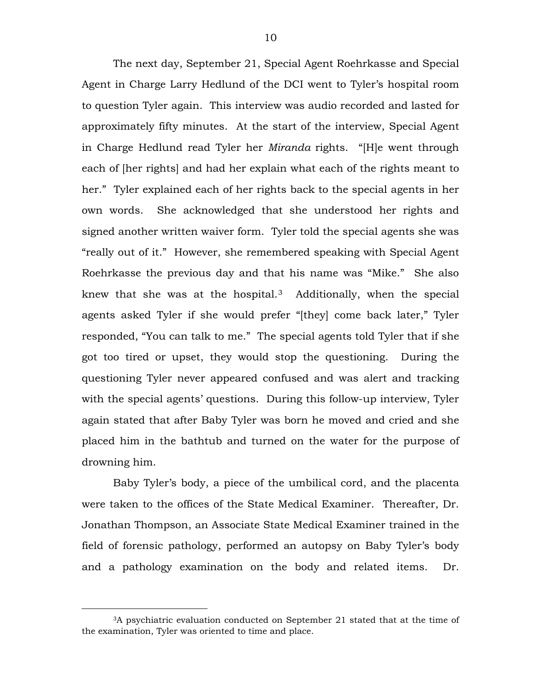The next day, September 21, Special Agent Roehrkasse and Special Agent in Charge Larry Hedlund of the DCI went to Tyler's hospital room to question Tyler again. This interview was audio recorded and lasted for approximately fifty minutes. At the start of the interview, Special Agent in Charge Hedlund read Tyler her *Miranda* rights. "[H]e went through each of [her rights] and had her explain what each of the rights meant to her." Tyler explained each of her rights back to the special agents in her own words. She acknowledged that she understood her rights and signed another written waiver form. Tyler told the special agents she was "really out of it." However, she remembered speaking with Special Agent Roehrkasse the previous day and that his name was "Mike." She also knew that she was at the hospital.<sup>3</sup> Additionally, when the special agents asked Tyler if she would prefer "[they] come back later," Tyler responded, "You can talk to me." The special agents told Tyler that if she got too tired or upset, they would stop the questioning. During the questioning Tyler never appeared confused and was alert and tracking with the special agents' questions. During this follow-up interview, Tyler again stated that after Baby Tyler was born he moved and cried and she placed him in the bathtub and turned on the water for the purpose of drowning him.

Baby Tyler's body, a piece of the umbilical cord, and the placenta were taken to the offices of the State Medical Examiner. Thereafter, Dr. Jonathan Thompson, an Associate State Medical Examiner trained in the field of forensic pathology, performed an autopsy on Baby Tyler's body and a pathology examination on the body and related items. Dr.

 $\overline{a}$ 

<span id="page-9-0"></span><sup>3</sup>A psychiatric evaluation conducted on September 21 stated that at the time of the examination, Tyler was oriented to time and place.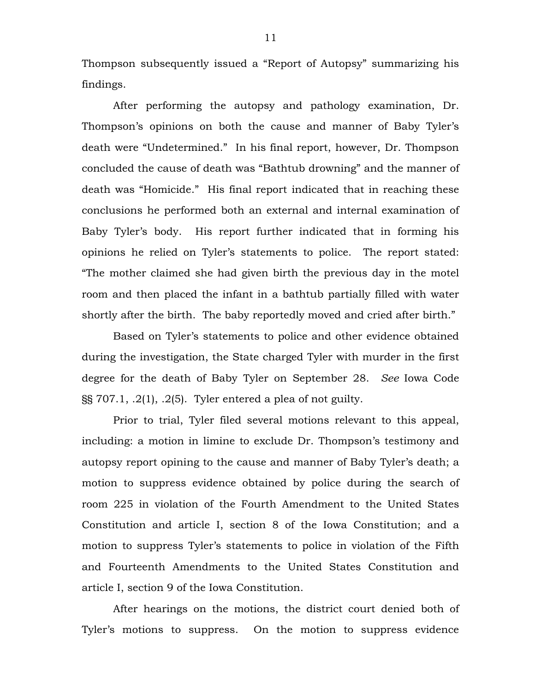Thompson subsequently issued a "Report of Autopsy" summarizing his findings.

After performing the autopsy and pathology examination, Dr. Thompson's opinions on both the cause and manner of Baby Tyler's death were "Undetermined." In his final report, however, Dr. Thompson concluded the cause of death was "Bathtub drowning" and the manner of death was "Homicide." His final report indicated that in reaching these conclusions he performed both an external and internal examination of Baby Tyler's body. His report further indicated that in forming his opinions he relied on Tyler's statements to police. The report stated: "The mother claimed she had given birth the previous day in the motel room and then placed the infant in a bathtub partially filled with water shortly after the birth. The baby reportedly moved and cried after birth."

Based on Tyler's statements to police and other evidence obtained during the investigation, the State charged Tyler with murder in the first degree for the death of Baby Tyler on September 28. *See* Iowa Code §§ 707.1, .2(1), .2(5). Tyler entered a plea of not guilty.

Prior to trial, Tyler filed several motions relevant to this appeal, including: a motion in limine to exclude Dr. Thompson's testimony and autopsy report opining to the cause and manner of Baby Tyler's death; a motion to suppress evidence obtained by police during the search of room 225 in violation of the Fourth Amendment to the United States Constitution and article I, section 8 of the Iowa Constitution; and a motion to suppress Tyler's statements to police in violation of the Fifth and Fourteenth Amendments to the United States Constitution and article I, section 9 of the Iowa Constitution.

After hearings on the motions, the district court denied both of Tyler's motions to suppress. On the motion to suppress evidence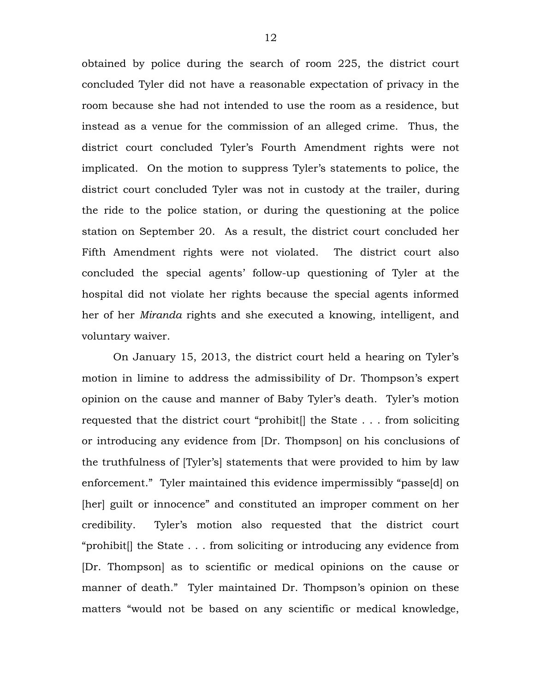obtained by police during the search of room 225, the district court concluded Tyler did not have a reasonable expectation of privacy in the room because she had not intended to use the room as a residence, but instead as a venue for the commission of an alleged crime. Thus, the district court concluded Tyler's Fourth Amendment rights were not implicated. On the motion to suppress Tyler's statements to police, the district court concluded Tyler was not in custody at the trailer, during the ride to the police station, or during the questioning at the police station on September 20. As a result, the district court concluded her Fifth Amendment rights were not violated. The district court also concluded the special agents' follow-up questioning of Tyler at the hospital did not violate her rights because the special agents informed her of her *Miranda* rights and she executed a knowing, intelligent, and voluntary waiver.

On January 15, 2013, the district court held a hearing on Tyler's motion in limine to address the admissibility of Dr. Thompson's expert opinion on the cause and manner of Baby Tyler's death. Tyler's motion requested that the district court "prohibit[] the State . . . from soliciting or introducing any evidence from [Dr. Thompson] on his conclusions of the truthfulness of [Tyler's] statements that were provided to him by law enforcement." Tyler maintained this evidence impermissibly "passe[d] on [her] guilt or innocence" and constituted an improper comment on her credibility. Tyler's motion also requested that the district court "prohibit[] the State . . . from soliciting or introducing any evidence from [Dr. Thompson] as to scientific or medical opinions on the cause or manner of death." Tyler maintained Dr. Thompson's opinion on these matters "would not be based on any scientific or medical knowledge,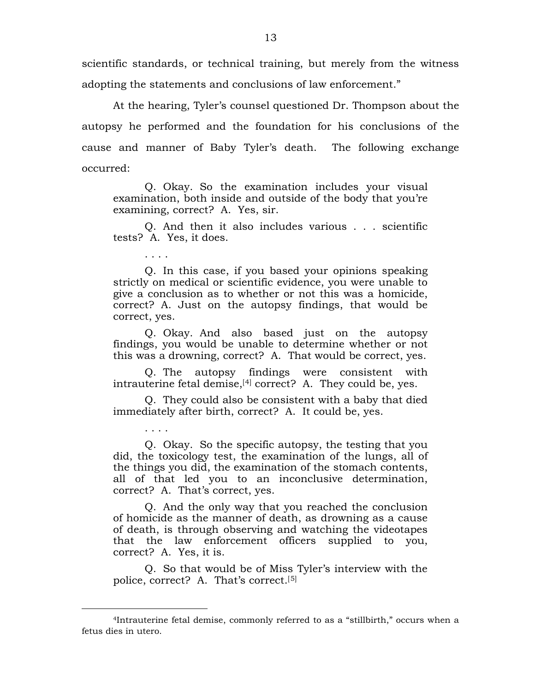scientific standards, or technical training, but merely from the witness adopting the statements and conclusions of law enforcement."

At the hearing, Tyler's counsel questioned Dr. Thompson about the autopsy he performed and the foundation for his conclusions of the cause and manner of Baby Tyler's death. The following exchange occurred:

Q. Okay. So the examination includes your visual examination, both inside and outside of the body that you're examining, correct? A. Yes, sir.

Q. And then it also includes various . . . scientific tests? A. Yes, it does.

. . . .

. . . .

<span id="page-12-1"></span> $\overline{a}$ 

Q. In this case, if you based your opinions speaking strictly on medical or scientific evidence, you were unable to give a conclusion as to whether or not this was a homicide, correct? A. Just on the autopsy findings, that would be correct, yes.

Q. Okay. And also based just on the autopsy findings, you would be unable to determine whether or not this was a drowning, correct? A. That would be correct, yes.

Q. The autopsy findings were consistent with intrauterine fetal demise,<sup>[[4\]](#page-12-0)</sup> correct? A. They could be, yes.

Q. They could also be consistent with a baby that died immediately after birth, correct? A. It could be, yes.

Q. Okay. So the specific autopsy, the testing that you did, the toxicology test, the examination of the lungs, all of the things you did, the examination of the stomach contents, all of that led you to an inconclusive determination, correct? A. That's correct, yes.

Q. And the only way that you reached the conclusion of homicide as the manner of death, as drowning as a cause of death, is through observing and watching the videotapes that the law enforcement officers supplied to you, correct? A. Yes, it is.

Q. So that would be of Miss Tyler's interview with the police, correct? A. That's correct.[[5](#page-12-1)]

<span id="page-12-0"></span><sup>4</sup>Intrauterine fetal demise, commonly referred to as a "stillbirth," occurs when a fetus dies in utero.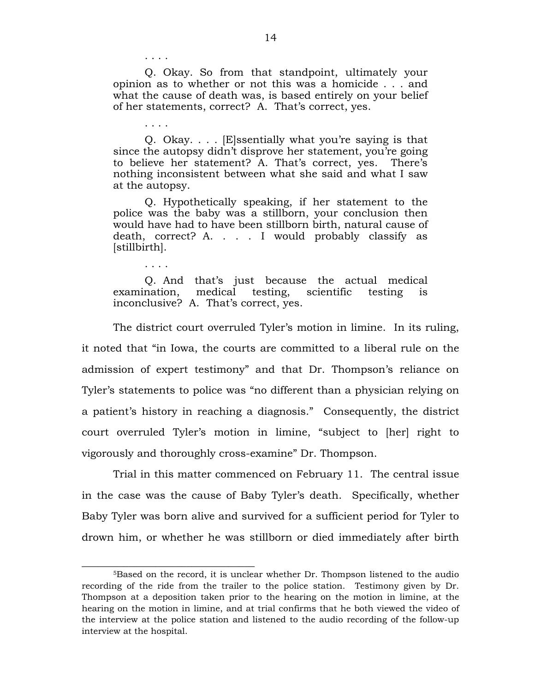Q. Okay. So from that standpoint, ultimately your opinion as to whether or not this was a homicide . . . and what the cause of death was, is based entirely on your belief of her statements, correct? A. That's correct, yes.

Q. Okay. . . . [E]ssentially what you're saying is that since the autopsy didn't disprove her statement, you're going to believe her statement? A. That's correct, yes. There's nothing inconsistent between what she said and what I saw at the autopsy.

Q. Hypothetically speaking, if her statement to the police was the baby was a stillborn, your conclusion then would have had to have been stillborn birth, natural cause of death, correct? A. . . . I would probably classify as [stillbirth].

Q. And that's just because the actual medical examination, medical testing, scientific testing is inconclusive? A. That's correct, yes.

The district court overruled Tyler's motion in limine. In its ruling, it noted that "in Iowa, the courts are committed to a liberal rule on the admission of expert testimony" and that Dr. Thompson's reliance on Tyler's statements to police was "no different than a physician relying on a patient's history in reaching a diagnosis." Consequently, the district court overruled Tyler's motion in limine, "subject to [her] right to vigorously and thoroughly cross-examine" Dr. Thompson.

Trial in this matter commenced on February 11. The central issue in the case was the cause of Baby Tyler's death. Specifically, whether Baby Tyler was born alive and survived for a sufficient period for Tyler to drown him, or whether he was stillborn or died immediately after birth

. . . .

. . . .

. . . .

\_\_\_\_\_\_\_\_\_\_\_\_\_\_\_\_\_\_\_\_\_\_\_\_\_\_\_\_\_\_\_\_\_

<sup>5</sup>Based on the record, it is unclear whether Dr. Thompson listened to the audio recording of the ride from the trailer to the police station. Testimony given by Dr. Thompson at a deposition taken prior to the hearing on the motion in limine, at the hearing on the motion in limine, and at trial confirms that he both viewed the video of the interview at the police station and listened to the audio recording of the follow-up interview at the hospital.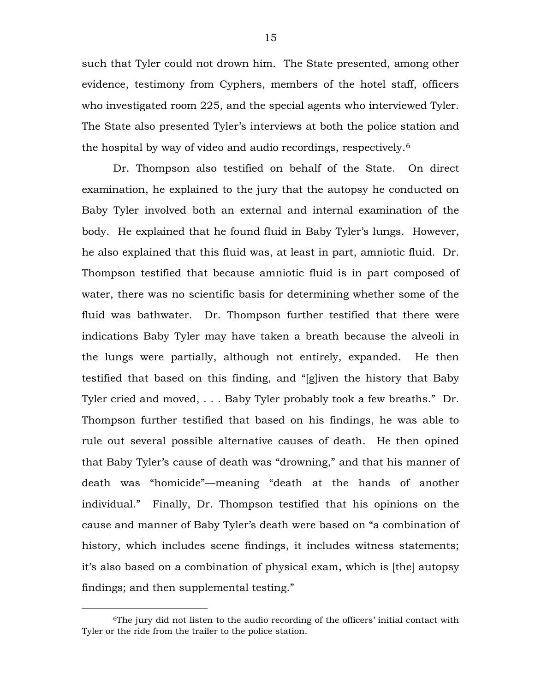such that Tyler could not drown him. The State presented, among other evidence, testimony from Cyphers, members of the hotel staff, officers who investigated room 225, and the special agents who interviewed Tyler. The State also presented Tyler's interviews at both the police station and the hospital by way of video and audio recordings, respectively.[6](#page-14-0)

Dr. Thompson also testified on behalf of the State. On direct examination, he explained to the jury that the autopsy he conducted on Baby Tyler involved both an external and internal examination of the body. He explained that he found fluid in Baby Tyler's lungs. However, he also explained that this fluid was, at least in part, amniotic fluid. Dr. Thompson testified that because amniotic fluid is in part composed of water, there was no scientific basis for determining whether some of the fluid was bathwater. Dr. Thompson further testified that there were indications Baby Tyler may have taken a breath because the alveoli in the lungs were partially, although not entirely, expanded. He then testified that based on this finding, and "[g]iven the history that Baby Tyler cried and moved, . . . Baby Tyler probably took a few breaths." Dr. Thompson further testified that based on his findings, he was able to rule out several possible alternative causes of death. He then opined that Baby Tyler's cause of death was "drowning," and that his manner of death was "homicide"—meaning "death at the hands of another individual." Finally, Dr. Thompson testified that his opinions on the cause and manner of Baby Tyler's death were based on "a combination of history, which includes scene findings, it includes witness statements; it's also based on a combination of physical exam, which is [the] autopsy findings; and then supplemental testing."

 $\overline{a}$ 

<span id="page-14-0"></span><sup>6</sup>The jury did not listen to the audio recording of the officers' initial contact with Tyler or the ride from the trailer to the police station.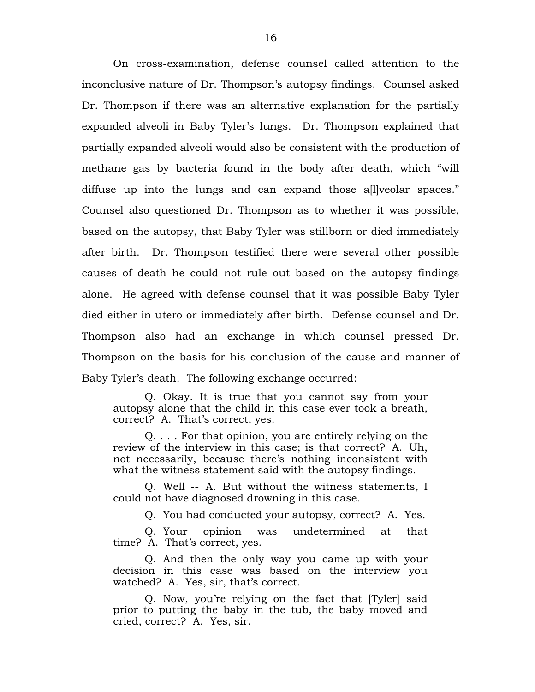On cross-examination, defense counsel called attention to the inconclusive nature of Dr. Thompson's autopsy findings. Counsel asked Dr. Thompson if there was an alternative explanation for the partially expanded alveoli in Baby Tyler's lungs. Dr. Thompson explained that partially expanded alveoli would also be consistent with the production of methane gas by bacteria found in the body after death, which "will diffuse up into the lungs and can expand those a[l]veolar spaces." Counsel also questioned Dr. Thompson as to whether it was possible, based on the autopsy, that Baby Tyler was stillborn or died immediately after birth. Dr. Thompson testified there were several other possible causes of death he could not rule out based on the autopsy findings alone. He agreed with defense counsel that it was possible Baby Tyler died either in utero or immediately after birth. Defense counsel and Dr. Thompson also had an exchange in which counsel pressed Dr. Thompson on the basis for his conclusion of the cause and manner of Baby Tyler's death. The following exchange occurred:

Q. Okay. It is true that you cannot say from your autopsy alone that the child in this case ever took a breath, correct? A. That's correct, yes.

Q. . . . For that opinion, you are entirely relying on the review of the interview in this case; is that correct? A. Uh, not necessarily, because there's nothing inconsistent with what the witness statement said with the autopsy findings.

Q. Well -- A. But without the witness statements, I could not have diagnosed drowning in this case.

Q. You had conducted your autopsy, correct? A. Yes.

Q. Your opinion was undetermined at that time? A. That's correct, yes.

Q. And then the only way you came up with your decision in this case was based on the interview you watched? A. Yes, sir, that's correct.

Q. Now, you're relying on the fact that [Tyler] said prior to putting the baby in the tub, the baby moved and cried, correct? A. Yes, sir.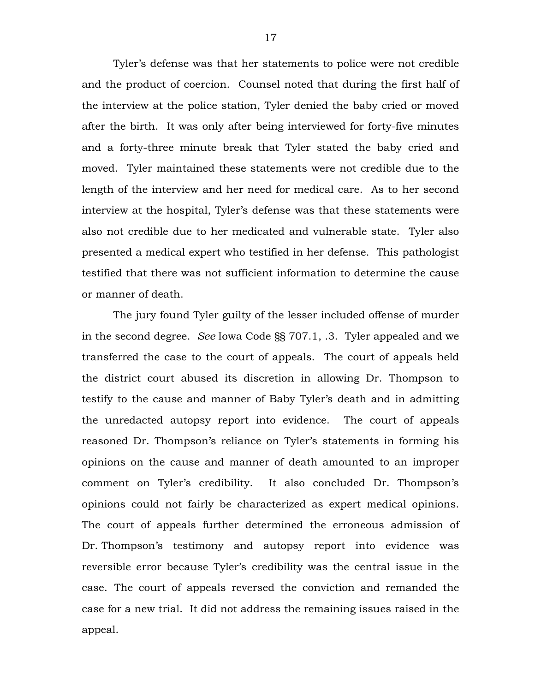Tyler's defense was that her statements to police were not credible and the product of coercion. Counsel noted that during the first half of the interview at the police station, Tyler denied the baby cried or moved after the birth. It was only after being interviewed for forty-five minutes and a forty-three minute break that Tyler stated the baby cried and moved. Tyler maintained these statements were not credible due to the length of the interview and her need for medical care. As to her second interview at the hospital, Tyler's defense was that these statements were also not credible due to her medicated and vulnerable state. Tyler also presented a medical expert who testified in her defense. This pathologist testified that there was not sufficient information to determine the cause or manner of death.

The jury found Tyler guilty of the lesser included offense of murder in the second degree. *See* Iowa Code §§ 707.1, .3. Tyler appealed and we transferred the case to the court of appeals. The court of appeals held the district court abused its discretion in allowing Dr. Thompson to testify to the cause and manner of Baby Tyler's death and in admitting the unredacted autopsy report into evidence. The court of appeals reasoned Dr. Thompson's reliance on Tyler's statements in forming his opinions on the cause and manner of death amounted to an improper comment on Tyler's credibility. It also concluded Dr. Thompson's opinions could not fairly be characterized as expert medical opinions. The court of appeals further determined the erroneous admission of Dr. Thompson's testimony and autopsy report into evidence was reversible error because Tyler's credibility was the central issue in the case. The court of appeals reversed the conviction and remanded the case for a new trial. It did not address the remaining issues raised in the appeal.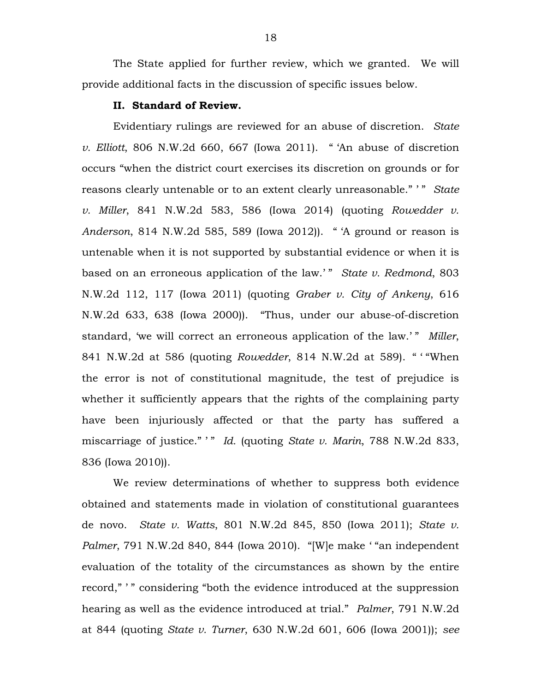The State applied for further review, which we granted. We will provide additional facts in the discussion of specific issues below.

### **II. Standard of Review.**

Evidentiary rulings are reviewed for an abuse of discretion. *State v. Elliott*, 806 N.W.2d 660, 667 (Iowa 2011). " 'An abuse of discretion occurs "when the district court exercises its discretion on grounds or for reasons clearly untenable or to an extent clearly unreasonable." ' " *State v. Miller*, 841 N.W.2d 583, 586 (Iowa 2014) (quoting *Rowedder v. Anderson*, 814 N.W.2d 585, 589 (Iowa 2012)). " 'A ground or reason is untenable when it is not supported by substantial evidence or when it is based on an erroneous application of the law.'" *State v. Redmond*, 803 N.W.2d 112, 117 (Iowa 2011) (quoting *Graber v. City of Ankeny*, 616 N.W.2d 633, 638 (Iowa 2000)). "Thus, under our abuse-of-discretion standard, 'we will correct an erroneous application of the law.' " *Miller*, 841 N.W.2d at 586 (quoting *Rowedder*, 814 N.W.2d at 589). " ' "When the error is not of constitutional magnitude, the test of prejudice is whether it sufficiently appears that the rights of the complaining party have been injuriously affected or that the party has suffered a miscarriage of justice." <sup>"</sup> *Id.* (quoting *State v. Marin*, 788 N.W.2d 833, 836 (Iowa 2010)).

We review determinations of whether to suppress both evidence obtained and statements made in violation of constitutional guarantees de novo. *State v. Watts*, 801 N.W.2d 845, 850 (Iowa 2011); *State v. Palmer*, 791 N.W.2d 840, 844 (Iowa 2010). "[W]e make ' "an independent evaluation of the totality of the circumstances as shown by the entire record," " considering "both the evidence introduced at the suppression hearing as well as the evidence introduced at trial." *Palmer*, 791 N.W.2d at 844 (quoting *State v. Turner*, 630 N.W.2d 601, 606 (Iowa 2001)); *see*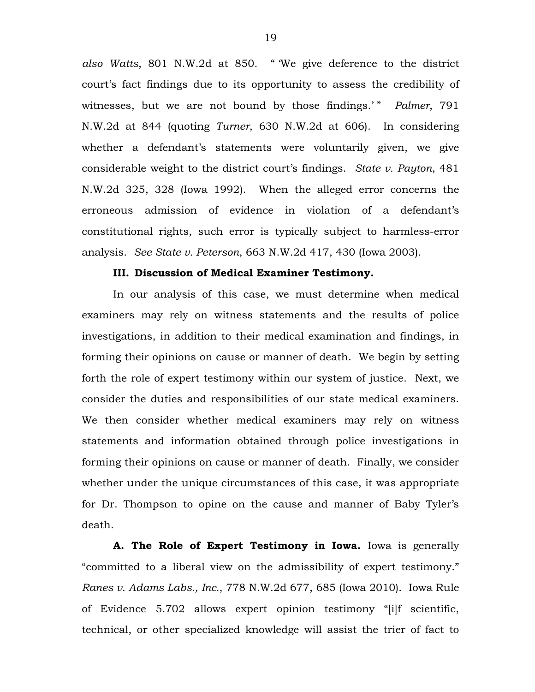*also Watts*, 801 N.W.2d at 850. " 'We give deference to the district court's fact findings due to its opportunity to assess the credibility of witnesses, but we are not bound by those findings.'" *Palmer*, 791 N.W.2d at 844 (quoting *Turner*, 630 N.W.2d at 606). In considering whether a defendant's statements were voluntarily given, we give considerable weight to the district court's findings. *State v. Payton*, 481 N.W.2d 325, 328 (Iowa 1992). When the alleged error concerns the erroneous admission of evidence in violation of a defendant's constitutional rights, such error is typically subject to harmless-error analysis. *See State v. Peterson*, 663 N.W.2d 417, 430 (Iowa 2003).

## **III. Discussion of Medical Examiner Testimony.**

In our analysis of this case, we must determine when medical examiners may rely on witness statements and the results of police investigations, in addition to their medical examination and findings, in forming their opinions on cause or manner of death. We begin by setting forth the role of expert testimony within our system of justice. Next, we consider the duties and responsibilities of our state medical examiners. We then consider whether medical examiners may rely on witness statements and information obtained through police investigations in forming their opinions on cause or manner of death. Finally, we consider whether under the unique circumstances of this case, it was appropriate for Dr. Thompson to opine on the cause and manner of Baby Tyler's death.

**A. The Role of Expert Testimony in Iowa.** Iowa is generally "committed to a liberal view on the admissibility of expert testimony." *Ranes v. Adams Labs., Inc.*, 778 N.W.2d 677, 685 (Iowa 2010). Iowa Rule of Evidence 5.702 allows expert opinion testimony "[i]f scientific, technical, or other specialized knowledge will assist the trier of fact to

19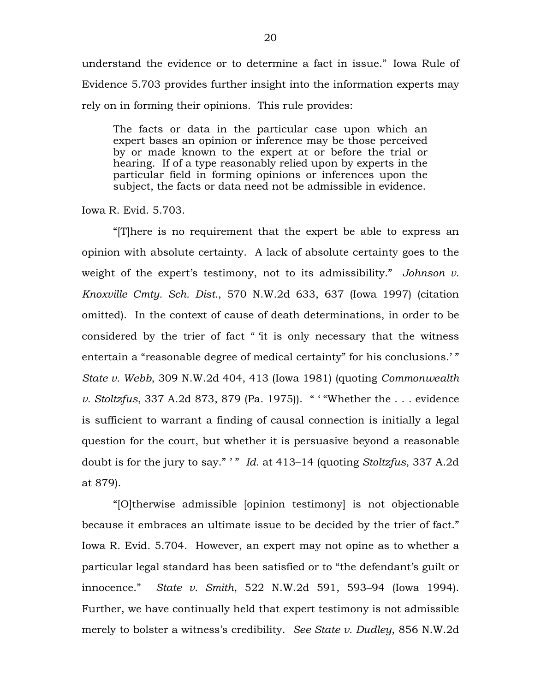understand the evidence or to determine a fact in issue." Iowa Rule of Evidence 5.703 provides further insight into the information experts may rely on in forming their opinions. This rule provides:

The facts or data in the particular case upon which an expert bases an opinion or inference may be those perceived by or made known to the expert at or before the trial or hearing. If of a type reasonably relied upon by experts in the particular field in forming opinions or inferences upon the subject, the facts or data need not be admissible in evidence.

Iowa R. Evid. 5.703.

"[T]here is no requirement that the expert be able to express an opinion with absolute certainty. A lack of absolute certainty goes to the weight of the expert's testimony, not to its admissibility." *Johnson v. Knoxville Cmty. Sch. Dist.*, 570 N.W.2d 633, 637 (Iowa 1997) (citation omitted). In the context of cause of death determinations, in order to be considered by the trier of fact " 'it is only necessary that the witness entertain a "reasonable degree of medical certainty" for his conclusions.' " *State v. Webb*, 309 N.W.2d 404, 413 (Iowa 1981) (quoting *Commonwealth v. Stoltzfus*, 337 A.2d 873, 879 (Pa. 1975)). " ' "Whether the . . . evidence is sufficient to warrant a finding of causal connection is initially a legal question for the court, but whether it is persuasive beyond a reasonable doubt is for the jury to say." ' " *Id.* at 413–14 (quoting *Stoltzfus*, 337 A.2d at 879).

"[O]therwise admissible [opinion testimony] is not objectionable because it embraces an ultimate issue to be decided by the trier of fact." Iowa R. Evid. 5.704. However, an expert may not opine as to whether a particular legal standard has been satisfied or to "the defendant's guilt or innocence." *State v. Smith*, 522 N.W.2d 591, 593–94 (Iowa 1994). Further, we have continually held that expert testimony is not admissible merely to bolster a witness's credibility. *See State v. Dudley*, 856 N.W.2d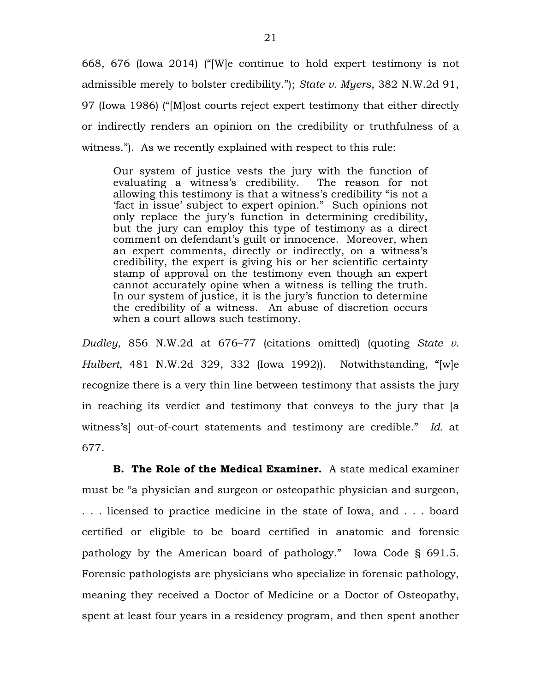668, 676 (Iowa 2014) ("[W]e continue to hold expert testimony is not admissible merely to bolster credibility."); *State v. Myers*, 382 N.W.2d 91, 97 (Iowa 1986) ("[M]ost courts reject expert testimony that either directly or indirectly renders an opinion on the credibility or truthfulness of a witness."). As we recently explained with respect to this rule:

Our system of justice vests the jury with the function of evaluating a witness's credibility. The reason for not allowing this testimony is that a witness's credibility "is not a 'fact in issue' subject to expert opinion." Such opinions not only replace the jury's function in determining credibility, but the jury can employ this type of testimony as a direct comment on defendant's guilt or innocence. Moreover, when an expert comments, directly or indirectly, on a witness's credibility, the expert is giving his or her scientific certainty stamp of approval on the testimony even though an expert cannot accurately opine when a witness is telling the truth. In our system of justice, it is the jury's function to determine the credibility of a witness. An abuse of discretion occurs when a court allows such testimony.

*Dudley*, 856 N.W.2d at 676–77 (citations omitted) (quoting *State v. Hulbert*, 481 N.W.2d 329, 332 (Iowa 1992)). Notwithstanding, "[w]e recognize there is a very thin line between testimony that assists the jury in reaching its verdict and testimony that conveys to the jury that [a witness's] out-of-court statements and testimony are credible." *Id.* at 677.

**B. The Role of the Medical Examiner.** A state medical examiner must be "a physician and surgeon or osteopathic physician and surgeon, . . . licensed to practice medicine in the state of Iowa, and . . . board certified or eligible to be board certified in anatomic and forensic pathology by the American board of pathology." Iowa Code § 691.5. Forensic pathologists are physicians who specialize in forensic pathology, meaning they received a Doctor of Medicine or a Doctor of Osteopathy, spent at least four years in a residency program, and then spent another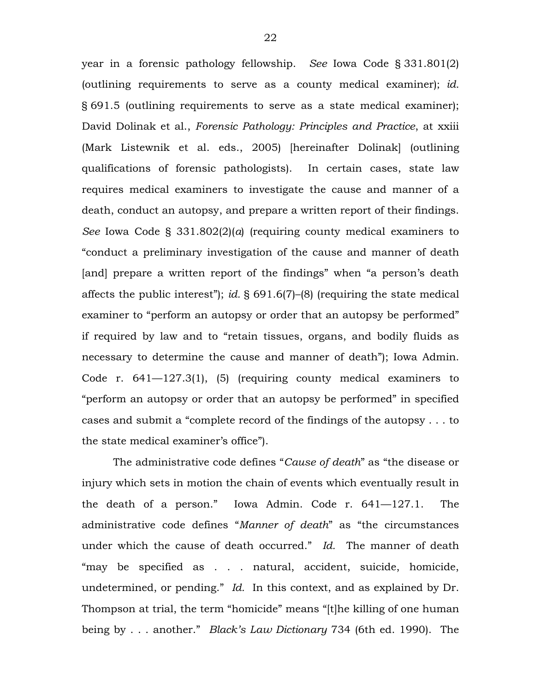year in a forensic pathology fellowship. *See* Iowa Code § 331.801(2) (outlining requirements to serve as a county medical examiner); *id.*  § 691.5 (outlining requirements to serve as a state medical examiner); David Dolinak et al., *Forensic Pathology: Principles and Practice*, at xxiii (Mark Listewnik et al. eds., 2005) [hereinafter Dolinak] (outlining qualifications of forensic pathologists). In certain cases, state law requires medical examiners to investigate the cause and manner of a death, conduct an autopsy, and prepare a written report of their findings. *See* Iowa Code § 331.802(2)(*a*) (requiring county medical examiners to "conduct a preliminary investigation of the cause and manner of death [and] prepare a written report of the findings" when "a person's death affects the public interest"); *id.* § 691.6(7)–(8) (requiring the state medical examiner to "perform an autopsy or order that an autopsy be performed" if required by law and to "retain tissues, organs, and bodily fluids as necessary to determine the cause and manner of death"); Iowa Admin. Code r. 641—127.3(1), (5) (requiring county medical examiners to "perform an autopsy or order that an autopsy be performed" in specified cases and submit a "complete record of the findings of the autopsy . . . to the state medical examiner's office").

The administrative code defines "*Cause of death*" as "the disease or injury which sets in motion the chain of events which eventually result in the death of a person." Iowa Admin. Code r. 641—127.1. The administrative code defines "*Manner of death*" as "the circumstances under which the cause of death occurred." *Id.* The manner of death "may be specified as . . . natural, accident, suicide, homicide, undetermined, or pending." *Id.* In this context, and as explained by Dr. Thompson at trial, the term "homicide" means "[t]he killing of one human being by . . . another." *Black's Law Dictionary* 734 (6th ed. 1990). The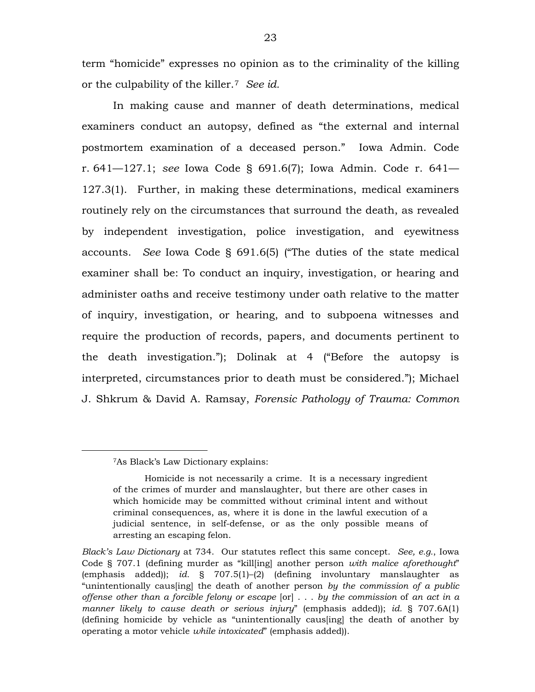term "homicide" expresses no opinion as to the criminality of the killing or the culpability of the killer.[7](#page-22-0) *See id.*

In making cause and manner of death determinations, medical examiners conduct an autopsy, defined as "the external and internal postmortem examination of a deceased person." Iowa Admin. Code r. 641—127.1; *see* Iowa Code § 691.6(7); Iowa Admin. Code r. 641— 127.3(1). Further, in making these determinations, medical examiners routinely rely on the circumstances that surround the death, as revealed by independent investigation, police investigation, and eyewitness accounts. *See* Iowa Code § 691.6(5) ("The duties of the state medical examiner shall be: To conduct an inquiry, investigation, or hearing and administer oaths and receive testimony under oath relative to the matter of inquiry, investigation, or hearing, and to subpoena witnesses and require the production of records, papers, and documents pertinent to the death investigation."); Dolinak at 4 ("Before the autopsy is interpreted, circumstances prior to death must be considered."); Michael J. Shkrum & David A. Ramsay, *Forensic Pathology of Trauma: Common* 

<span id="page-22-0"></span> $\overline{a}$ 

<sup>7</sup>As Black's Law Dictionary explains:

Homicide is not necessarily a crime. It is a necessary ingredient of the crimes of murder and manslaughter, but there are other cases in which homicide may be committed without criminal intent and without criminal consequences, as, where it is done in the lawful execution of a judicial sentence, in self-defense, or as the only possible means of arresting an escaping felon.

*Black's Law Dictionary* at 734. Our statutes reflect this same concept. *See, e.g.*, Iowa Code § 707.1 (defining murder as "kill[ing] another person *with malice aforethought*" (emphasis added)); *id.* § 707.5(1)–(2) (defining involuntary manslaughter as "unintentionally caus[ing] the death of another person *by the commission of a public offense other than a forcible felony or escape* [or] . . . *by the commission* of *an act in a manner likely to cause death or serious injury*" (emphasis added)); *id.* § 707.6A(1) (defining homicide by vehicle as "unintentionally caus[ing] the death of another by operating a motor vehicle *while intoxicated*" (emphasis added)).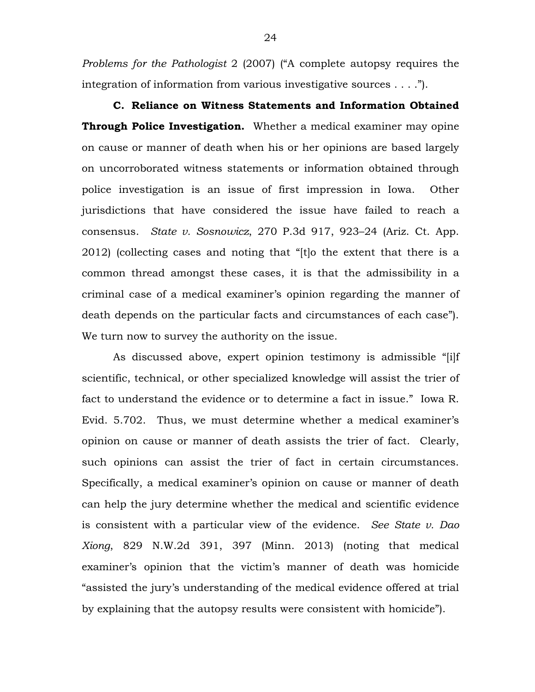*Problems for the Pathologist* 2 (2007) ("A complete autopsy requires the integration of information from various investigative sources . . . .").

**C. Reliance on Witness Statements and Information Obtained Through Police Investigation.** Whether a medical examiner may opine on cause or manner of death when his or her opinions are based largely on uncorroborated witness statements or information obtained through police investigation is an issue of first impression in Iowa. Other jurisdictions that have considered the issue have failed to reach a consensus. *State v. Sosnowicz*, 270 P.3d 917, 923–24 (Ariz. Ct. App. 2012) (collecting cases and noting that "[t]o the extent that there is a common thread amongst these cases, it is that the admissibility in a criminal case of a medical examiner's opinion regarding the manner of death depends on the particular facts and circumstances of each case"). We turn now to survey the authority on the issue.

As discussed above, expert opinion testimony is admissible "[i]f scientific, technical, or other specialized knowledge will assist the trier of fact to understand the evidence or to determine a fact in issue." Iowa R. Evid. 5.702. Thus, we must determine whether a medical examiner's opinion on cause or manner of death assists the trier of fact. Clearly, such opinions can assist the trier of fact in certain circumstances. Specifically, a medical examiner's opinion on cause or manner of death can help the jury determine whether the medical and scientific evidence is consistent with a particular view of the evidence. *See State v. Dao Xiong*, 829 N.W.2d 391, 397 (Minn. 2013) (noting that medical examiner's opinion that the victim's manner of death was homicide "assisted the jury's understanding of the medical evidence offered at trial by explaining that the autopsy results were consistent with homicide").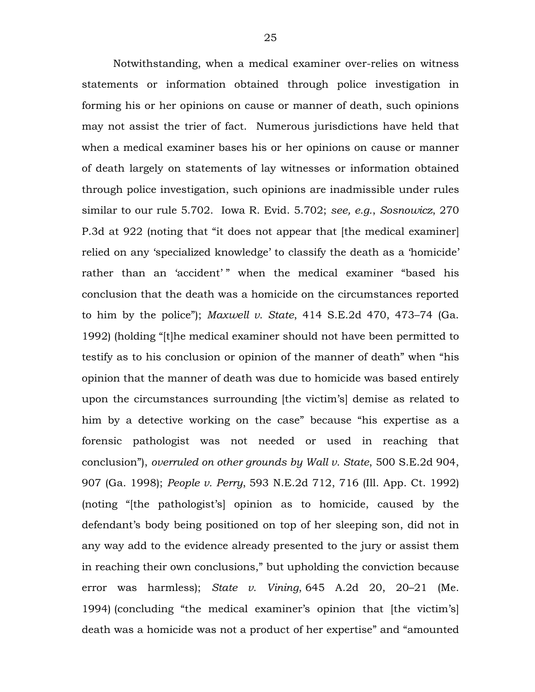Notwithstanding, when a medical examiner over-relies on witness statements or information obtained through police investigation in forming his or her opinions on cause or manner of death, such opinions may not assist the trier of fact. Numerous jurisdictions have held that when a medical examiner bases his or her opinions on cause or manner of death largely on statements of lay witnesses or information obtained through police investigation, such opinions are inadmissible under rules similar to our rule 5.702. Iowa R. Evid. 5.702; *see, e.g.*, *Sosnowicz*, 270 P.3d at 922 (noting that "it does not appear that [the medical examiner] relied on any 'specialized knowledge' to classify the death as a 'homicide' rather than an 'accident'" when the medical examiner "based his conclusion that the death was a homicide on the circumstances reported to him by the police"); *Maxwell v. State*, 414 S.E.2d 470, 473–74 (Ga. 1992) (holding "[t]he medical examiner should not have been permitted to testify as to his conclusion or opinion of the manner of death" when "his opinion that the manner of death was due to homicide was based entirely upon the circumstances surrounding [the victim's] demise as related to him by a detective working on the case" because "his expertise as a forensic pathologist was not needed or used in reaching that conclusion"), *overruled on other grounds by Wall v. State*, 500 S.E.2d 904, 907 (Ga. 1998); *People v. Perry*, 593 N.E.2d 712, 716 (Ill. App. Ct. 1992) (noting "[the pathologist's] opinion as to homicide, caused by the defendant's body being positioned on top of her sleeping son, did not in any way add to the evidence already presented to the jury or assist them in reaching their own conclusions," but upholding the conviction because error was harmless); *State v. Vining*, 645 A.2d 20, 20–21 (Me. 1994) (concluding "the medical examiner's opinion that [the victim's] death was a homicide was not a product of her expertise" and "amounted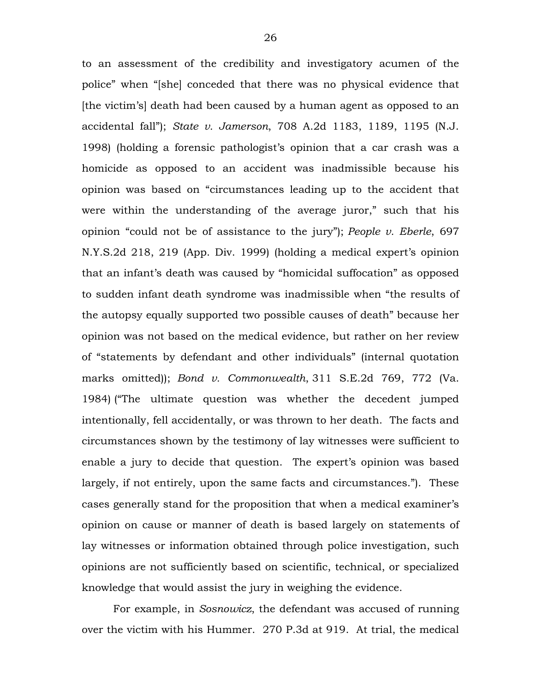to an assessment of the credibility and investigatory acumen of the police" when "[she] conceded that there was no physical evidence that [the victim's] death had been caused by a human agent as opposed to an accidental fall"); *State v. Jamerson*, 708 A.2d 1183, 1189, 1195 (N.J. 1998) (holding a forensic pathologist's opinion that a car crash was a homicide as opposed to an accident was inadmissible because his opinion was based on "circumstances leading up to the accident that were within the understanding of the average juror," such that his opinion "could not be of assistance to the jury"); *People v. Eberle*, 697 N.Y.S.2d 218, 219 (App. Div. 1999) (holding a medical expert's opinion that an infant's death was caused by "homicidal suffocation" as opposed to sudden infant death syndrome was inadmissible when "the results of the autopsy equally supported two possible causes of death" because her opinion was not based on the medical evidence, but rather on her review of "statements by defendant and other individuals" (internal quotation marks omitted)); *Bond v. Commonwealth*, 311 S.E.2d 769, 772 (Va. 1984) ("The ultimate question was whether the decedent jumped intentionally, fell accidentally, or was thrown to her death. The facts and circumstances shown by the testimony of lay witnesses were sufficient to enable a jury to decide that question. The expert's opinion was based largely, if not entirely, upon the same facts and circumstances."). These cases generally stand for the proposition that when a medical examiner's opinion on cause or manner of death is based largely on statements of lay witnesses or information obtained through police investigation, such opinions are not sufficiently based on scientific, technical, or specialized knowledge that would assist the jury in weighing the evidence.

For example, in *Sosnowicz*, the defendant was accused of running over the victim with his Hummer. 270 P.3d at 919. At trial, the medical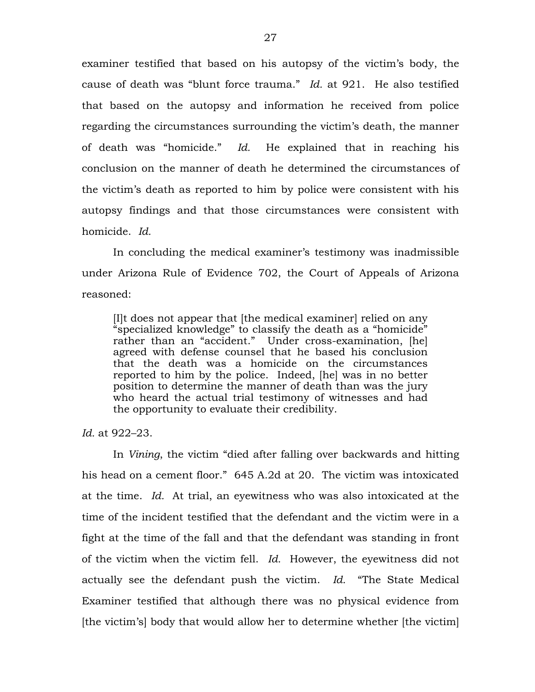examiner testified that based on his autopsy of the victim's body, the cause of death was "blunt force trauma." *Id.* at 921. He also testified that based on the autopsy and information he received from police regarding the circumstances surrounding the victim's death, the manner of death was "homicide." *Id.* He explained that in reaching his conclusion on the manner of death he determined the circumstances of the victim's death as reported to him by police were consistent with his autopsy findings and that those circumstances were consistent with homicide. *Id.*

In concluding the medical examiner's testimony was inadmissible under Arizona Rule of Evidence 702, the Court of Appeals of Arizona reasoned:

[I]t does not appear that [the medical examiner] relied on any "specialized knowledge" to classify the death as a "homicide" rather than an "accident." Under cross-examination, [he] agreed with defense counsel that he based his conclusion that the death was a homicide on the circumstances reported to him by the police. Indeed, [he] was in no better position to determine the manner of death than was the jury who heard the actual trial testimony of witnesses and had the opportunity to evaluate their credibility.

*Id.* at 922–23.

In *Vining*, the victim "died after falling over backwards and hitting his head on a cement floor." 645 A.2d at 20. The victim was intoxicated at the time. *Id.* At trial, an eyewitness who was also intoxicated at the time of the incident testified that the defendant and the victim were in a fight at the time of the fall and that the defendant was standing in front of the victim when the victim fell. *Id.* However, the eyewitness did not actually see the defendant push the victim. *Id.* "The State Medical Examiner testified that although there was no physical evidence from [the victim's] body that would allow her to determine whether [the victim]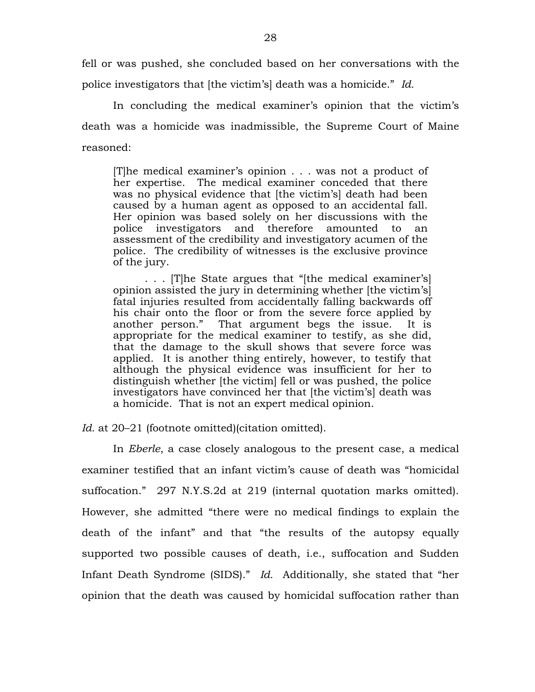fell or was pushed, she concluded based on her conversations with the police investigators that [the victim's] death was a homicide." *Id.*

In concluding the medical examiner's opinion that the victim's death was a homicide was inadmissible, the Supreme Court of Maine reasoned:

[T]he medical examiner's opinion . . . was not a product of her expertise. The medical examiner conceded that there was no physical evidence that [the victim's] death had been caused by a human agent as opposed to an accidental fall. Her opinion was based solely on her discussions with the police investigators and therefore amounted to an assessment of the credibility and investigatory acumen of the police. The credibility of witnesses is the exclusive province of the jury.

. . . [T]he State argues that "[the medical examiner's] opinion assisted the jury in determining whether [the victim's] fatal injuries resulted from accidentally falling backwards off his chair onto the floor or from the severe force applied by another person." That argument begs the issue. It is appropriate for the medical examiner to testify, as she did, that the damage to the skull shows that severe force was applied. It is another thing entirely, however, to testify that although the physical evidence was insufficient for her to distinguish whether [the victim] fell or was pushed, the police investigators have convinced her that [the victim's] death was a homicide. That is not an expert medical opinion.

*Id.* at 20–21 (footnote omitted)(citation omitted).

In *Eberle*, a case closely analogous to the present case, a medical examiner testified that an infant victim's cause of death was "homicidal suffocation." 297 N.Y.S.2d at 219 (internal quotation marks omitted). However, she admitted "there were no medical findings to explain the death of the infant" and that "the results of the autopsy equally supported two possible causes of death, i.e., suffocation and Sudden Infant Death Syndrome (SIDS)." *Id.* Additionally, she stated that "her opinion that the death was caused by homicidal suffocation rather than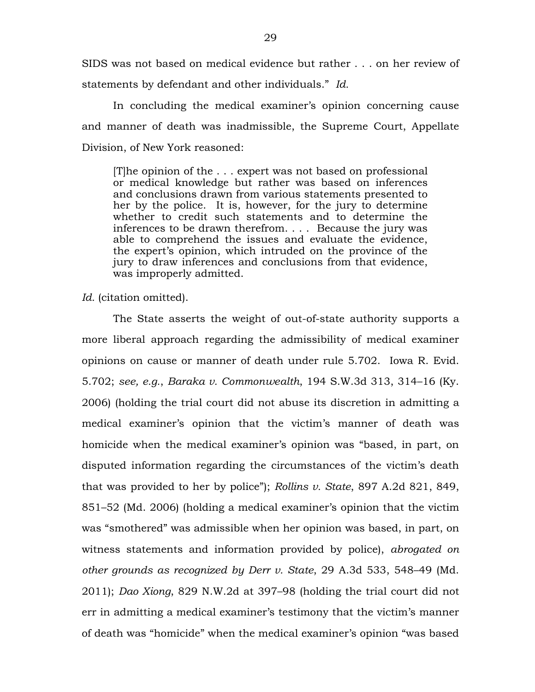SIDS was not based on medical evidence but rather . . . on her review of statements by defendant and other individuals." *Id.*

In concluding the medical examiner's opinion concerning cause and manner of death was inadmissible, the Supreme Court, Appellate Division, of New York reasoned:

[T]he opinion of the . . . expert was not based on professional or medical knowledge but rather was based on inferences and conclusions drawn from various statements presented to her by the police. It is, however, for the jury to determine whether to credit such statements and to determine the inferences to be drawn therefrom. . . . Because the jury was able to comprehend the issues and evaluate the evidence, the expert's opinion, which intruded on the province of the jury to draw inferences and conclusions from that evidence, was improperly admitted.

*Id.* (citation omitted).

The State asserts the weight of out-of-state authority supports a more liberal approach regarding the admissibility of medical examiner opinions on cause or manner of death under rule 5.702. Iowa R. Evid. 5.702; *see, e.g.*, *Baraka v. Commonwealth*, 194 S.W.3d 313, 314–16 (Ky. 2006) (holding the trial court did not abuse its discretion in admitting a medical examiner's opinion that the victim's manner of death was homicide when the medical examiner's opinion was "based, in part, on disputed information regarding the circumstances of the victim's death that was provided to her by police"); *Rollins v. State*, 897 A.2d 821, 849, 851–52 (Md. 2006) (holding a medical examiner's opinion that the victim was "smothered" was admissible when her opinion was based, in part, on witness statements and information provided by police), *abrogated on other grounds as recognized by Derr v. State*, 29 A.3d 533, 548–49 (Md. 2011); *Dao Xiong*, 829 N.W.2d at 397–98 (holding the trial court did not err in admitting a medical examiner's testimony that the victim's manner of death was "homicide" when the medical examiner's opinion "was based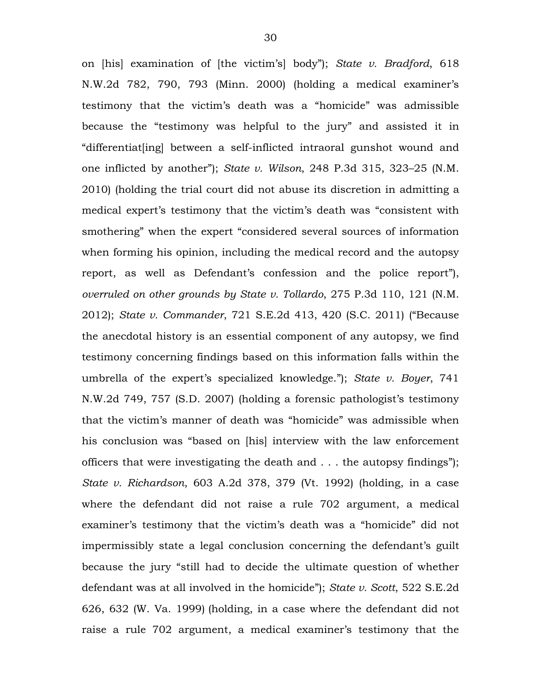on [his] examination of [the victim's] body"); *State v. Bradford*, 618 N.W.2d 782, 790, 793 (Minn. 2000) (holding a medical examiner's testimony that the victim's death was a "homicide" was admissible because the "testimony was helpful to the jury" and assisted it in "differentiat[ing] between a self-inflicted intraoral gunshot wound and one inflicted by another"); *State v. Wilson*, 248 P.3d 315, 323–25 (N.M. 2010) (holding the trial court did not abuse its discretion in admitting a medical expert's testimony that the victim's death was "consistent with smothering" when the expert "considered several sources of information when forming his opinion, including the medical record and the autopsy report, as well as Defendant's confession and the police report"), *overruled on other grounds by State v. Tollardo*, 275 P.3d 110, 121 (N.M. 2012); *State v. Commander*, 721 S.E.2d 413, 420 (S.C. 2011) ("Because the anecdotal history is an essential component of any autopsy, we find testimony concerning findings based on this information falls within the umbrella of the expert's specialized knowledge."); *State v. Boyer*, 741 N.W.2d 749, 757 (S.D. 2007) (holding a forensic pathologist's testimony that the victim's manner of death was "homicide" was admissible when his conclusion was "based on [his] interview with the law enforcement officers that were investigating the death and . . . the autopsy findings"); *State v. Richardson*, 603 A.2d 378, 379 (Vt. 1992) (holding, in a case where the defendant did not raise a rule 702 argument, a medical examiner's testimony that the victim's death was a "homicide" did not impermissibly state a legal conclusion concerning the defendant's guilt because the jury "still had to decide the ultimate question of whether defendant was at all involved in the homicide"); *State v. Scott*, 522 S.E.2d 626, 632 (W. Va. 1999) (holding, in a case where the defendant did not raise a rule 702 argument, a medical examiner's testimony that the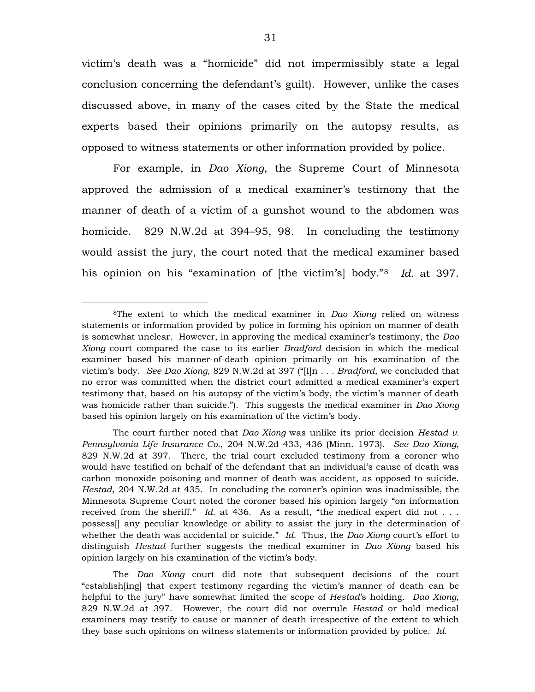victim's death was a "homicide" did not impermissibly state a legal conclusion concerning the defendant's guilt). However, unlike the cases discussed above, in many of the cases cited by the State the medical experts based their opinions primarily on the autopsy results, as opposed to witness statements or other information provided by police.

For example, in *Dao Xiong*, the Supreme Court of Minnesota approved the admission of a medical examiner's testimony that the manner of death of a victim of a gunshot wound to the abdomen was homicide. 829 N.W.2d at 394–95, 98. In concluding the testimony would assist the jury, the court noted that the medical examiner based his opinion on his "examination of [the victim's] body."[8](#page-30-0) *Id.* at 397.

 $\overline{a}$ 

The *Dao Xiong* court did note that subsequent decisions of the court "establish[ing] that expert testimony regarding the victim's manner of death can be helpful to the jury" have somewhat limited the scope of *Hestad*'s holding. *Dao Xiong*, 829 N.W.2d at 397. However, the court did not overrule *Hestad* or hold medical examiners may testify to cause or manner of death irrespective of the extent to which they base such opinions on witness statements or information provided by police. *Id.*

<span id="page-30-0"></span><sup>8</sup>The extent to which the medical examiner in *Dao Xiong* relied on witness statements or information provided by police in forming his opinion on manner of death is somewhat unclear. However, in approving the medical examiner's testimony, the *Dao Xiong* court compared the case to its earlier *Bradford* decision in which the medical examiner based his manner-of-death opinion primarily on his examination of the victim's body. *See Dao Xiong*, 829 N.W.2d at 397 ("[I]n *. . . Bradford*, we concluded that no error was committed when the district court admitted a medical examiner's expert testimony that, based on his autopsy of the victim's body, the victim's manner of death was homicide rather than suicide."). This suggests the medical examiner in *Dao Xiong* based his opinion largely on his examination of the victim's body.

The court further noted that *Dao Xiong* was unlike its prior decision *Hestad v. Pennsylvania Life Insurance Co.*, 204 N.W.2d 433, 436 (Minn. 1973). *See Dao Xiong*, 829 N.W.2d at 397. There, the trial court excluded testimony from a coroner who would have testified on behalf of the defendant that an individual's cause of death was carbon monoxide poisoning and manner of death was accident, as opposed to suicide. *Hestad*, 204 N.W.2d at 435. In concluding the coroner's opinion was inadmissible, the Minnesota Supreme Court noted the coroner based his opinion largely "on information received from the sheriff." *Id.* at 436. As a result, "the medical expert did not . . . possess[] any peculiar knowledge or ability to assist the jury in the determination of whether the death was accidental or suicide." *Id.* Thus, the *Dao Xiong* court's effort to distinguish *Hestad* further suggests the medical examiner in *Dao Xiong* based his opinion largely on his examination of the victim's body.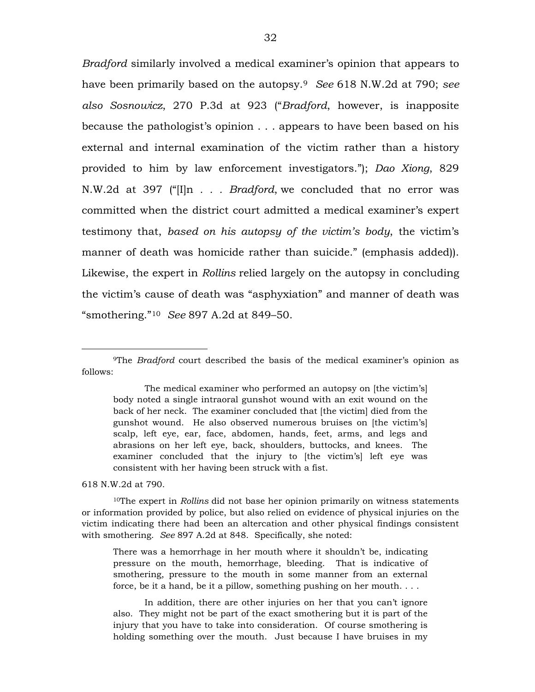*Bradford* similarly involved a medical examiner's opinion that appears to have been primarily based on the autopsy.[9](#page-31-0) *See* 618 N.W.2d at 790; *see also Sosnowicz*, 270 P.3d at 923 ("*Bradford*, however, is inapposite because the pathologist's opinion . . . appears to have been based on his external and internal examination of the victim rather than a history provided to him by law enforcement investigators."); *Dao Xiong*, 829 N.W.2d at 397 ("[I]n *. . . Bradford*, we concluded that no error was committed when the district court admitted a medical examiner's expert testimony that, *based on his autopsy of the victim's body*, the victim's manner of death was homicide rather than suicide." (emphasis added)). Likewise, the expert in *Rollins* relied largely on the autopsy in concluding the victim's cause of death was "asphyxiation" and manner of death was "smothering."[10](#page-31-1) *See* 897 A.2d at 849–50.

The medical examiner who performed an autopsy on [the victim's] body noted a single intraoral gunshot wound with an exit wound on the back of her neck. The examiner concluded that [the victim] died from the gunshot wound. He also observed numerous bruises on [the victim's] scalp, left eye, ear, face, abdomen, hands, feet, arms, and legs and abrasions on her left eye, back, shoulders, buttocks, and knees. The examiner concluded that the injury to [the victim's] left eye was consistent with her having been struck with a fist.

618 N.W.2d at 790.

 $\overline{a}$ 

<span id="page-31-1"></span>10The expert in *Rollins* did not base her opinion primarily on witness statements or information provided by police, but also relied on evidence of physical injuries on the victim indicating there had been an altercation and other physical findings consistent with smothering. *See* 897 A.2d at 848. Specifically, she noted:

There was a hemorrhage in her mouth where it shouldn't be, indicating pressure on the mouth, hemorrhage, bleeding. That is indicative of smothering, pressure to the mouth in some manner from an external force, be it a hand, be it a pillow, something pushing on her mouth. . . .

In addition, there are other injuries on her that you can't ignore also. They might not be part of the exact smothering but it is part of the injury that you have to take into consideration. Of course smothering is holding something over the mouth. Just because I have bruises in my

<span id="page-31-0"></span><sup>9</sup>The *Bradford* court described the basis of the medical examiner's opinion as follows: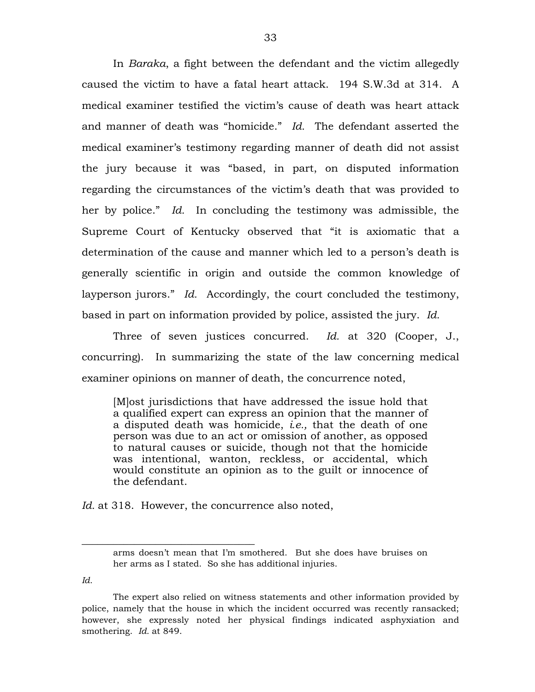In *Baraka*, a fight between the defendant and the victim allegedly caused the victim to have a fatal heart attack. 194 S.W.3d at 314. A medical examiner testified the victim's cause of death was heart attack and manner of death was "homicide." *Id.* The defendant asserted the medical examiner's testimony regarding manner of death did not assist the jury because it was "based, in part, on disputed information regarding the circumstances of the victim's death that was provided to her by police." *Id.* In concluding the testimony was admissible, the Supreme Court of Kentucky observed that "it is axiomatic that a determination of the cause and manner which led to a person's death is generally scientific in origin and outside the common knowledge of layperson jurors." *Id.* Accordingly, the court concluded the testimony, based in part on information provided by police, assisted the jury. *Id.*

Three of seven justices concurred. *Id.* at 320 (Cooper, J., concurring). In summarizing the state of the law concerning medical examiner opinions on manner of death, the concurrence noted,

[M]ost jurisdictions that have addressed the issue hold that a qualified expert can express an opinion that the manner of a disputed death was homicide, *i.e.,* that the death of one person was due to an act or omission of another, as opposed to natural causes or suicide, though not that the homicide was intentional, wanton, reckless, or accidental, which would constitute an opinion as to the guilt or innocence of the defendant.

Id. at 318. However, the concurrence also noted,

\_\_\_\_\_\_\_\_\_\_\_\_\_\_\_\_\_\_\_\_\_\_\_\_\_\_\_\_\_\_\_\_\_

*Id.*

arms doesn't mean that I'm smothered. But she does have bruises on her arms as I stated. So she has additional injuries.

The expert also relied on witness statements and other information provided by police, namely that the house in which the incident occurred was recently ransacked; however, she expressly noted her physical findings indicated asphyxiation and smothering. *Id.* at 849.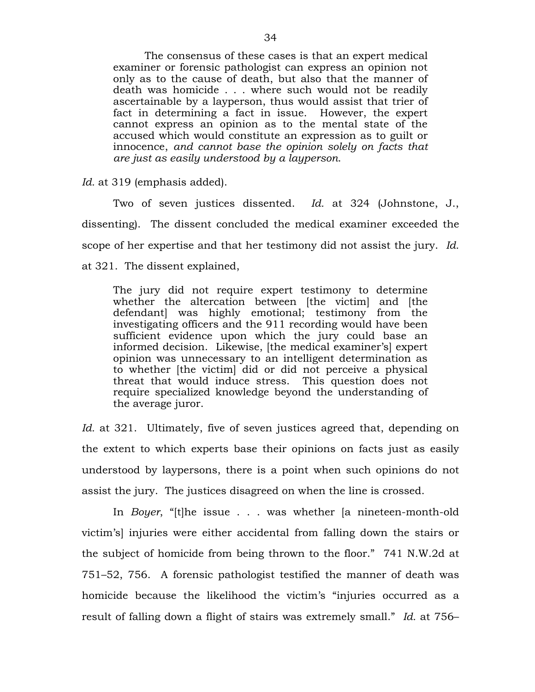The consensus of these cases is that an expert medical examiner or forensic pathologist can express an opinion not only as to the cause of death, but also that the manner of death was homicide . . . where such would not be readily ascertainable by a layperson, thus would assist that trier of fact in determining a fact in issue. However, the expert cannot express an opinion as to the mental state of the accused which would constitute an expression as to guilt or innocence, *and cannot base the opinion solely on facts that are just as easily understood by a layperson*.

*Id.* at 319 (emphasis added).

Two of seven justices dissented. *Id.* at 324 (Johnstone, J., dissenting). The dissent concluded the medical examiner exceeded the scope of her expertise and that her testimony did not assist the jury. *Id.* at 321. The dissent explained,

The jury did not require expert testimony to determine whether the altercation between [the victim] and [the defendant] was highly emotional; testimony from the investigating officers and the 911 recording would have been sufficient evidence upon which the jury could base an informed decision. Likewise, [the medical examiner's] expert opinion was unnecessary to an intelligent determination as to whether [the victim] did or did not perceive a physical threat that would induce stress. This question does not require specialized knowledge beyond the understanding of the average juror.

*Id.* at 321. Ultimately, five of seven justices agreed that, depending on the extent to which experts base their opinions on facts just as easily understood by laypersons, there is a point when such opinions do not assist the jury. The justices disagreed on when the line is crossed.

In *Boyer*, "[t]he issue . . . was whether [a nineteen-month-old victim's] injuries were either accidental from falling down the stairs or the subject of homicide from being thrown to the floor." 741 N.W.2d at 751–52, 756. A forensic pathologist testified the manner of death was homicide because the likelihood the victim's "injuries occurred as a result of falling down a flight of stairs was extremely small." *Id.* at 756–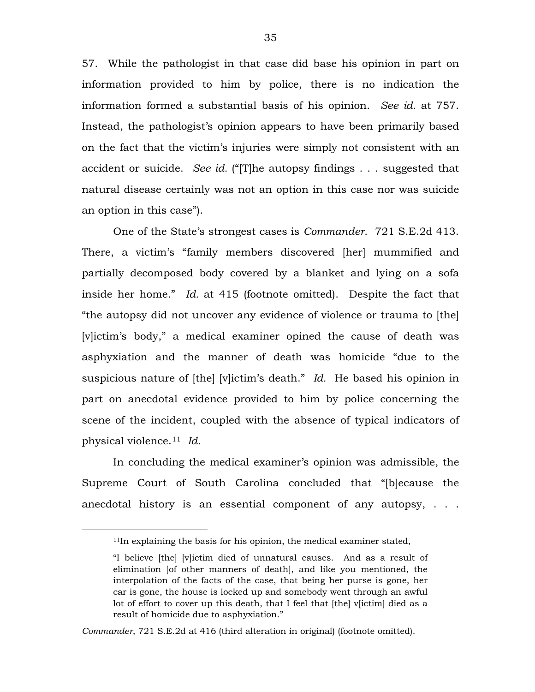57. While the pathologist in that case did base his opinion in part on information provided to him by police, there is no indication the information formed a substantial basis of his opinion. *See id.* at 757. Instead, the pathologist's opinion appears to have been primarily based on the fact that the victim's injuries were simply not consistent with an accident or suicide. *See id.* ("[T]he autopsy findings . . . suggested that natural disease certainly was not an option in this case nor was suicide an option in this case").

One of the State's strongest cases is *Commander*. 721 S.E.2d 413. There, a victim's "family members discovered [her] mummified and partially decomposed body covered by a blanket and lying on a sofa inside her home." *Id.* at 415 (footnote omitted). Despite the fact that "the autopsy did not uncover any evidence of violence or trauma to [the] [v]ictim's body," a medical examiner opined the cause of death was asphyxiation and the manner of death was homicide "due to the suspicious nature of [the] [v]ictim's death." *Id.* He based his opinion in part on anecdotal evidence provided to him by police concerning the scene of the incident, coupled with the absence of typical indicators of physical violence.[11](#page-34-0) *Id.*

In concluding the medical examiner's opinion was admissible, the Supreme Court of South Carolina concluded that "[b]ecause the anecdotal history is an essential component of any autopsy, . . .

<span id="page-34-0"></span> $\overline{a}$ 

<sup>&</sup>lt;sup>11</sup>In explaining the basis for his opinion, the medical examiner stated,

<sup>&</sup>quot;I believe [the] [v]ictim died of unnatural causes. And as a result of elimination [of other manners of death], and like you mentioned, the interpolation of the facts of the case, that being her purse is gone, her car is gone, the house is locked up and somebody went through an awful lot of effort to cover up this death, that I feel that [the] v[ictim] died as a result of homicide due to asphyxiation."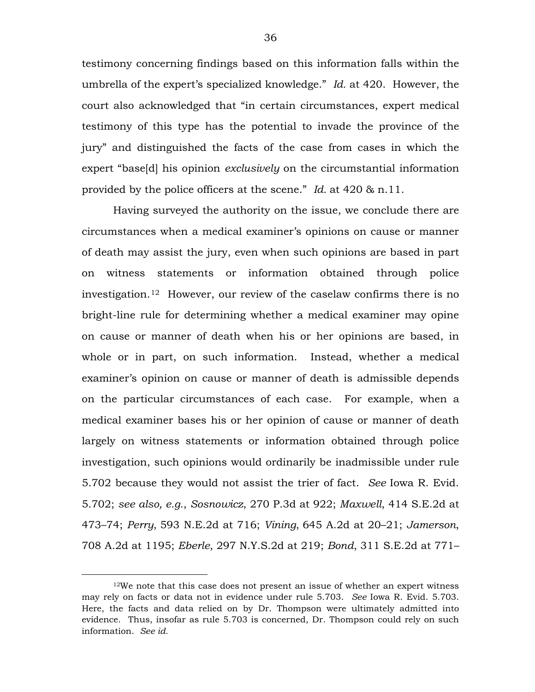testimony concerning findings based on this information falls within the umbrella of the expert's specialized knowledge." *Id.* at 420. However, the court also acknowledged that "in certain circumstances, expert medical testimony of this type has the potential to invade the province of the jury" and distinguished the facts of the case from cases in which the expert "base[d] his opinion *exclusively* on the circumstantial information provided by the police officers at the scene." *Id.* at 420 & n.11.

Having surveyed the authority on the issue, we conclude there are circumstances when a medical examiner's opinions on cause or manner of death may assist the jury, even when such opinions are based in part on witness statements or information obtained through police investigation.[12](#page-35-0) However, our review of the caselaw confirms there is no bright-line rule for determining whether a medical examiner may opine on cause or manner of death when his or her opinions are based, in whole or in part, on such information. Instead, whether a medical examiner's opinion on cause or manner of death is admissible depends on the particular circumstances of each case. For example, when a medical examiner bases his or her opinion of cause or manner of death largely on witness statements or information obtained through police investigation, such opinions would ordinarily be inadmissible under rule 5.702 because they would not assist the trier of fact. *See* Iowa R. Evid. 5.702; *see also, e.g.*, *Sosnowicz*, 270 P.3d at 922; *Maxwell*, 414 S.E.2d at 473–74; *Perry*, 593 N.E.2d at 716; *Vining*, 645 A.2d at 20–21; *Jamerson*, 708 A.2d at 1195; *Eberle*, 297 N.Y.S.2d at 219; *Bond*, 311 S.E.2d at 771–

 $\overline{a}$ 

<span id="page-35-0"></span> $12$ We note that this case does not present an issue of whether an expert witness may rely on facts or data not in evidence under rule 5.703. *See* Iowa R. Evid. 5.703. Here, the facts and data relied on by Dr. Thompson were ultimately admitted into evidence. Thus, insofar as rule 5.703 is concerned, Dr. Thompson could rely on such information. *See id.*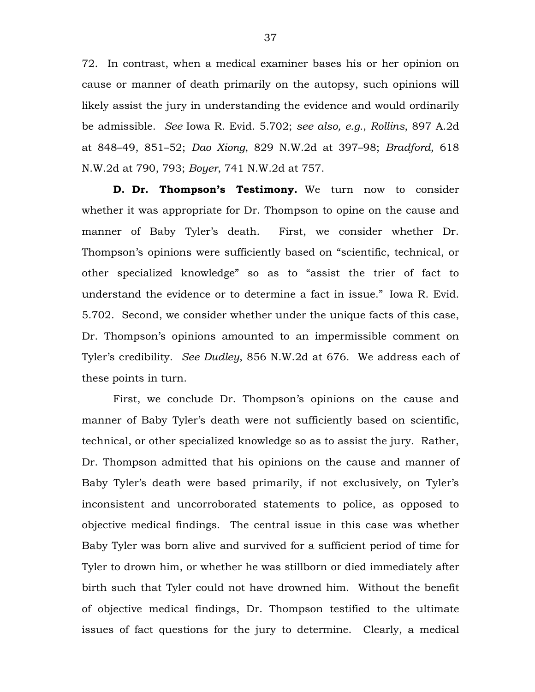72. In contrast, when a medical examiner bases his or her opinion on cause or manner of death primarily on the autopsy, such opinions will likely assist the jury in understanding the evidence and would ordinarily be admissible. *See* Iowa R. Evid. 5.702; *see also, e.g.*, *Rollins*, 897 A.2d at 848–49, 851–52; *Dao Xiong*, 829 N.W.2d at 397–98; *Bradford*, 618 N.W.2d at 790, 793; *Boyer*, 741 N.W.2d at 757.

**D. Dr. Thompson's Testimony.** We turn now to consider whether it was appropriate for Dr. Thompson to opine on the cause and manner of Baby Tyler's death. First, we consider whether Dr. Thompson's opinions were sufficiently based on "scientific, technical, or other specialized knowledge" so as to "assist the trier of fact to understand the evidence or to determine a fact in issue." Iowa R. Evid. 5.702. Second, we consider whether under the unique facts of this case, Dr. Thompson's opinions amounted to an impermissible comment on Tyler's credibility. *See Dudley*, 856 N.W.2d at 676. We address each of these points in turn.

First, we conclude Dr. Thompson's opinions on the cause and manner of Baby Tyler's death were not sufficiently based on scientific, technical, or other specialized knowledge so as to assist the jury. Rather, Dr. Thompson admitted that his opinions on the cause and manner of Baby Tyler's death were based primarily, if not exclusively, on Tyler's inconsistent and uncorroborated statements to police, as opposed to objective medical findings. The central issue in this case was whether Baby Tyler was born alive and survived for a sufficient period of time for Tyler to drown him, or whether he was stillborn or died immediately after birth such that Tyler could not have drowned him. Without the benefit of objective medical findings, Dr. Thompson testified to the ultimate issues of fact questions for the jury to determine. Clearly, a medical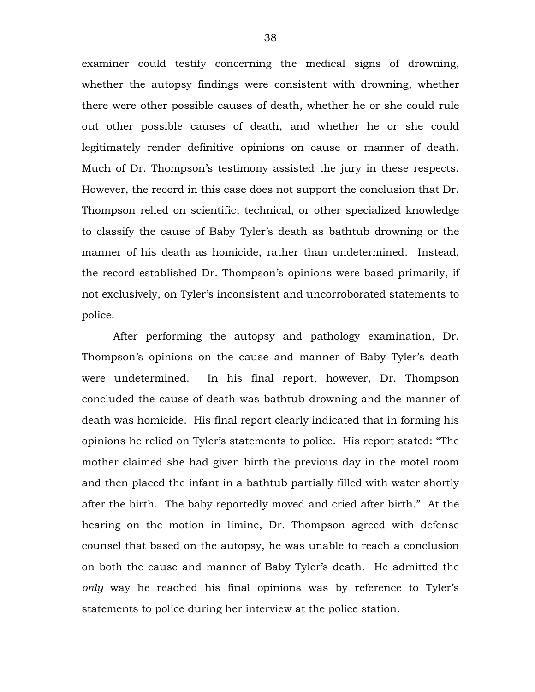examiner could testify concerning the medical signs of drowning, whether the autopsy findings were consistent with drowning, whether there were other possible causes of death, whether he or she could rule out other possible causes of death, and whether he or she could legitimately render definitive opinions on cause or manner of death. Much of Dr. Thompson's testimony assisted the jury in these respects. However, the record in this case does not support the conclusion that Dr. Thompson relied on scientific, technical, or other specialized knowledge to classify the cause of Baby Tyler's death as bathtub drowning or the manner of his death as homicide, rather than undetermined. Instead, the record established Dr. Thompson's opinions were based primarily, if not exclusively, on Tyler's inconsistent and uncorroborated statements to police.

After performing the autopsy and pathology examination, Dr. Thompson's opinions on the cause and manner of Baby Tyler's death were undetermined. In his final report, however, Dr. Thompson concluded the cause of death was bathtub drowning and the manner of death was homicide. His final report clearly indicated that in forming his opinions he relied on Tyler's statements to police. His report stated: "The mother claimed she had given birth the previous day in the motel room and then placed the infant in a bathtub partially filled with water shortly after the birth. The baby reportedly moved and cried after birth." At the hearing on the motion in limine, Dr. Thompson agreed with defense counsel that based on the autopsy, he was unable to reach a conclusion on both the cause and manner of Baby Tyler's death. He admitted the *only* way he reached his final opinions was by reference to Tyler's statements to police during her interview at the police station.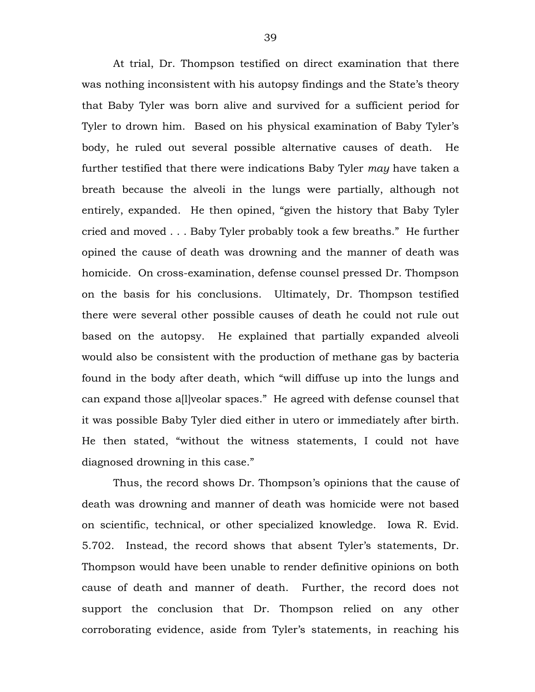At trial, Dr. Thompson testified on direct examination that there was nothing inconsistent with his autopsy findings and the State's theory that Baby Tyler was born alive and survived for a sufficient period for Tyler to drown him. Based on his physical examination of Baby Tyler's body, he ruled out several possible alternative causes of death. He further testified that there were indications Baby Tyler *may* have taken a breath because the alveoli in the lungs were partially, although not entirely, expanded. He then opined, "given the history that Baby Tyler cried and moved . . . Baby Tyler probably took a few breaths." He further opined the cause of death was drowning and the manner of death was homicide. On cross-examination, defense counsel pressed Dr. Thompson on the basis for his conclusions. Ultimately, Dr. Thompson testified there were several other possible causes of death he could not rule out based on the autopsy. He explained that partially expanded alveoli would also be consistent with the production of methane gas by bacteria found in the body after death, which "will diffuse up into the lungs and can expand those a[l]veolar spaces." He agreed with defense counsel that it was possible Baby Tyler died either in utero or immediately after birth. He then stated, "without the witness statements, I could not have diagnosed drowning in this case."

Thus, the record shows Dr. Thompson's opinions that the cause of death was drowning and manner of death was homicide were not based on scientific, technical, or other specialized knowledge. Iowa R. Evid. 5.702. Instead, the record shows that absent Tyler's statements, Dr. Thompson would have been unable to render definitive opinions on both cause of death and manner of death. Further, the record does not support the conclusion that Dr. Thompson relied on any other corroborating evidence, aside from Tyler's statements, in reaching his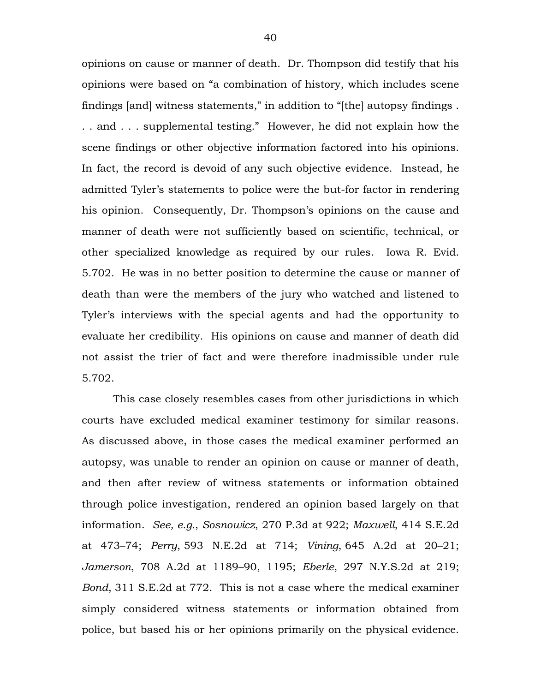opinions on cause or manner of death. Dr. Thompson did testify that his opinions were based on "a combination of history, which includes scene findings [and] witness statements," in addition to "[the] autopsy findings . . . and . . . supplemental testing." However, he did not explain how the scene findings or other objective information factored into his opinions. In fact, the record is devoid of any such objective evidence. Instead, he admitted Tyler's statements to police were the but-for factor in rendering his opinion. Consequently, Dr. Thompson's opinions on the cause and manner of death were not sufficiently based on scientific, technical, or other specialized knowledge as required by our rules. Iowa R. Evid. 5.702. He was in no better position to determine the cause or manner of death than were the members of the jury who watched and listened to Tyler's interviews with the special agents and had the opportunity to evaluate her credibility. His opinions on cause and manner of death did not assist the trier of fact and were therefore inadmissible under rule 5.702.

This case closely resembles cases from other jurisdictions in which courts have excluded medical examiner testimony for similar reasons. As discussed above, in those cases the medical examiner performed an autopsy, was unable to render an opinion on cause or manner of death, and then after review of witness statements or information obtained through police investigation, rendered an opinion based largely on that information. *See, e.g.*, *Sosnowicz*, 270 P.3d at 922; *Maxwell*, 414 S.E.2d at 473–74; *Perry*, 593 N.E.2d at 714; *Vining*, 645 A.2d at 20–21; *Jamerson*, 708 A.2d at 1189–90, 1195; *Eberle*, 297 N.Y.S.2d at 219; *Bond*, 311 S.E.2d at 772. This is not a case where the medical examiner simply considered witness statements or information obtained from police, but based his or her opinions primarily on the physical evidence.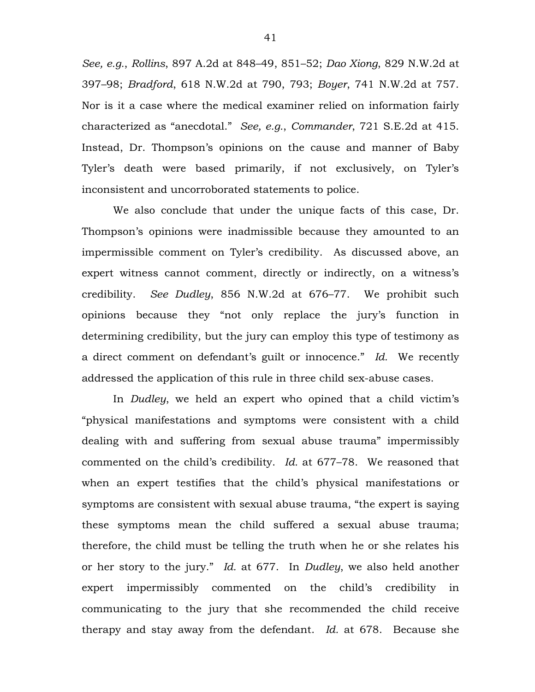*See, e.g.*, *Rollins*, 897 A.2d at 848–49, 851–52; *Dao Xiong*, 829 N.W.2d at 397–98; *Bradford*, 618 N.W.2d at 790, 793; *Boyer*, 741 N.W.2d at 757. Nor is it a case where the medical examiner relied on information fairly characterized as "anecdotal." *See, e.g.*, *Commander*, 721 S.E.2d at 415. Instead, Dr. Thompson's opinions on the cause and manner of Baby Tyler's death were based primarily, if not exclusively, on Tyler's inconsistent and uncorroborated statements to police.

We also conclude that under the unique facts of this case, Dr. Thompson's opinions were inadmissible because they amounted to an impermissible comment on Tyler's credibility. As discussed above, an expert witness cannot comment, directly or indirectly, on a witness's credibility. *See Dudley*, 856 N.W.2d at 676–77. We prohibit such opinions because they "not only replace the jury's function in determining credibility, but the jury can employ this type of testimony as a direct comment on defendant's guilt or innocence." *Id.* We recently addressed the application of this rule in three child sex-abuse cases.

In *Dudley*, we held an expert who opined that a child victim's "physical manifestations and symptoms were consistent with a child dealing with and suffering from sexual abuse trauma" impermissibly commented on the child's credibility. *Id.* at 677–78. We reasoned that when an expert testifies that the child's physical manifestations or symptoms are consistent with sexual abuse trauma, "the expert is saying these symptoms mean the child suffered a sexual abuse trauma; therefore, the child must be telling the truth when he or she relates his or her story to the jury." *Id.* at 677. In *Dudley*, we also held another expert impermissibly commented on the child's credibility in communicating to the jury that she recommended the child receive therapy and stay away from the defendant. *Id.* at 678. Because she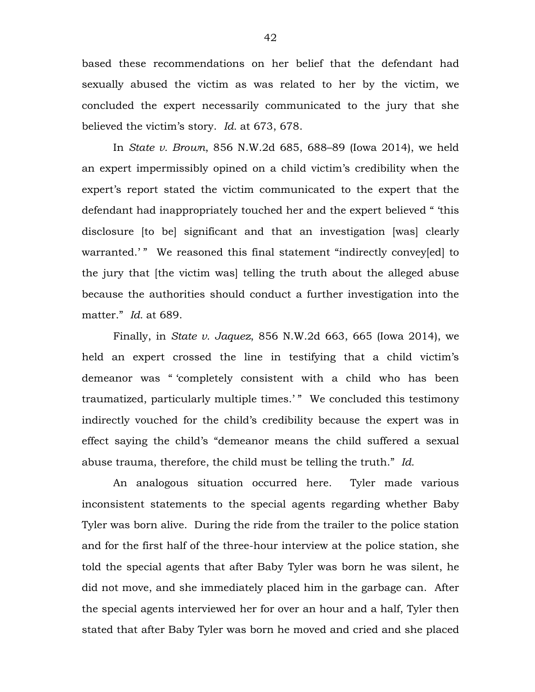based these recommendations on her belief that the defendant had sexually abused the victim as was related to her by the victim, we concluded the expert necessarily communicated to the jury that she believed the victim's story. *Id.* at 673, 678.

In *State v. Brown*, 856 N.W.2d 685, 688–89 (Iowa 2014), we held an expert impermissibly opined on a child victim's credibility when the expert's report stated the victim communicated to the expert that the defendant had inappropriately touched her and the expert believed " 'this disclosure [to be] significant and that an investigation [was] clearly warranted.'" We reasoned this final statement "indirectly convey[ed] to the jury that [the victim was] telling the truth about the alleged abuse because the authorities should conduct a further investigation into the matter." *Id.* at 689.

Finally, in *State v. Jaquez*, 856 N.W.2d 663, 665 (Iowa 2014), we held an expert crossed the line in testifying that a child victim's demeanor was " 'completely consistent with a child who has been traumatized, particularly multiple times.'" We concluded this testimony indirectly vouched for the child's credibility because the expert was in effect saying the child's "demeanor means the child suffered a sexual abuse trauma, therefore, the child must be telling the truth." *Id.*

An analogous situation occurred here. Tyler made various inconsistent statements to the special agents regarding whether Baby Tyler was born alive. During the ride from the trailer to the police station and for the first half of the three-hour interview at the police station, she told the special agents that after Baby Tyler was born he was silent, he did not move, and she immediately placed him in the garbage can. After the special agents interviewed her for over an hour and a half, Tyler then stated that after Baby Tyler was born he moved and cried and she placed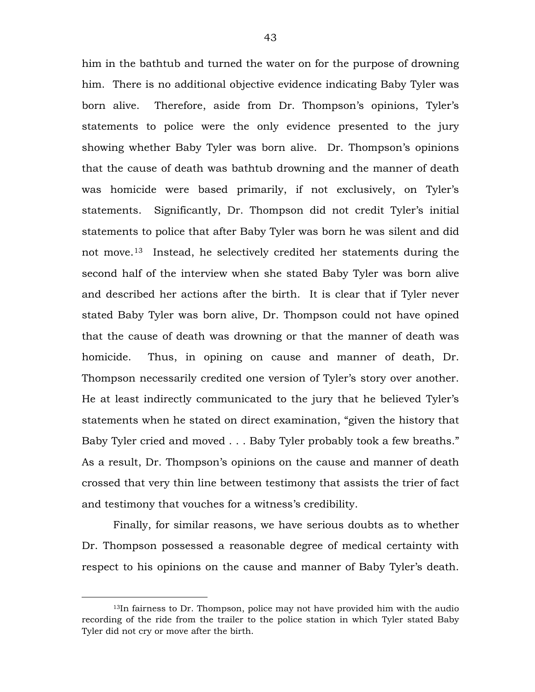him in the bathtub and turned the water on for the purpose of drowning him. There is no additional objective evidence indicating Baby Tyler was born alive. Therefore, aside from Dr. Thompson's opinions, Tyler's statements to police were the only evidence presented to the jury showing whether Baby Tyler was born alive. Dr. Thompson's opinions that the cause of death was bathtub drowning and the manner of death was homicide were based primarily, if not exclusively, on Tyler's statements. Significantly, Dr. Thompson did not credit Tyler's initial statements to police that after Baby Tyler was born he was silent and did not move.[13](#page-42-0) Instead, he selectively credited her statements during the second half of the interview when she stated Baby Tyler was born alive and described her actions after the birth. It is clear that if Tyler never stated Baby Tyler was born alive, Dr. Thompson could not have opined that the cause of death was drowning or that the manner of death was homicide. Thus, in opining on cause and manner of death, Dr. Thompson necessarily credited one version of Tyler's story over another. He at least indirectly communicated to the jury that he believed Tyler's statements when he stated on direct examination, "given the history that Baby Tyler cried and moved . . . Baby Tyler probably took a few breaths." As a result, Dr. Thompson's opinions on the cause and manner of death crossed that very thin line between testimony that assists the trier of fact and testimony that vouches for a witness's credibility.

Finally, for similar reasons, we have serious doubts as to whether Dr. Thompson possessed a reasonable degree of medical certainty with respect to his opinions on the cause and manner of Baby Tyler's death.

 $\overline{a}$ 

<span id="page-42-0"></span><sup>13</sup>In fairness to Dr. Thompson, police may not have provided him with the audio recording of the ride from the trailer to the police station in which Tyler stated Baby Tyler did not cry or move after the birth.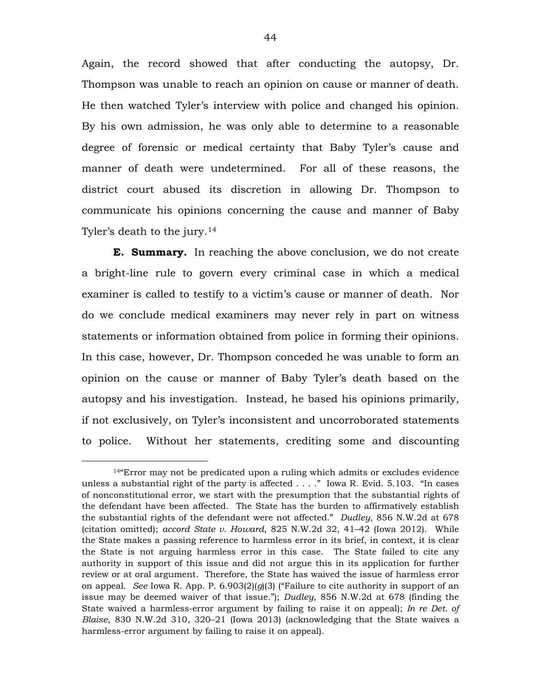Again, the record showed that after conducting the autopsy, Dr. Thompson was unable to reach an opinion on cause or manner of death. He then watched Tyler's interview with police and changed his opinion. By his own admission, he was only able to determine to a reasonable degree of forensic or medical certainty that Baby Tyler's cause and manner of death were undetermined. For all of these reasons, the district court abused its discretion in allowing Dr. Thompson to communicate his opinions concerning the cause and manner of Baby Tyler's death to the jury.<sup>[14](#page-43-0)</sup>

**E. Summary.** In reaching the above conclusion, we do not create a bright-line rule to govern every criminal case in which a medical examiner is called to testify to a victim's cause or manner of death. Nor do we conclude medical examiners may never rely in part on witness statements or information obtained from police in forming their opinions. In this case, however, Dr. Thompson conceded he was unable to form an opinion on the cause or manner of Baby Tyler's death based on the autopsy and his investigation. Instead, he based his opinions primarily, if not exclusively, on Tyler's inconsistent and uncorroborated statements to police. Without her statements, crediting some and discounting

 $\overline{a}$ 

<span id="page-43-0"></span><sup>14&</sup>quot;Error may not be predicated upon a ruling which admits or excludes evidence unless a substantial right of the party is affected . . . ." Iowa R. Evid. 5.103. "In cases of nonconstitutional error, we start with the presumption that the substantial rights of the defendant have been affected. The State has the burden to affirmatively establish the substantial rights of the defendant were not affected." *Dudley*, 856 N.W.2d at 678 (citation omitted); *accord State v. Howard*, 825 N.W.2d 32, 41–42 (Iowa 2012). While the State makes a passing reference to harmless error in its brief, in context, it is clear the State is not arguing harmless error in this case. The State failed to cite any authority in support of this issue and did not argue this in its application for further review or at oral argument. Therefore, the State has waived the issue of harmless error on appeal. *See* Iowa R. App. P.  $6.903(2)(q)(3)$  ("Failure to cite authority in support of an issue may be deemed waiver of that issue."); *Dudley*, 856 N.W.2d at 678 (finding the State waived a harmless-error argument by failing to raise it on appeal); *In re Det. of Blaise*, 830 N.W.2d 310, 320–21 (Iowa 2013) (acknowledging that the State waives a harmless-error argument by failing to raise it on appeal).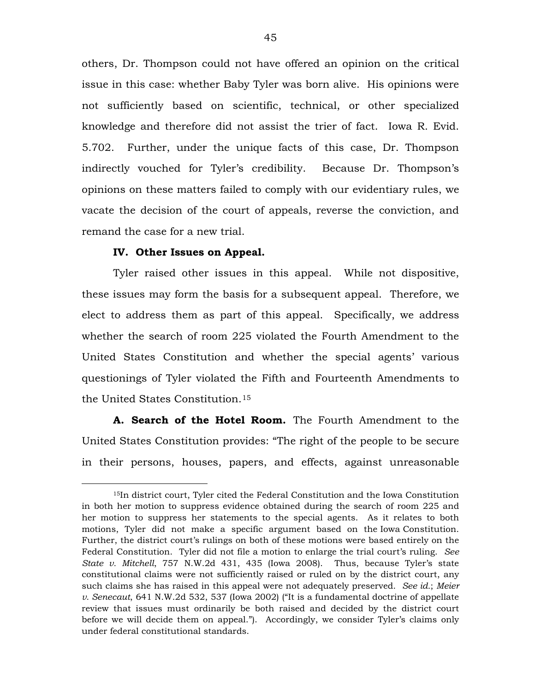others, Dr. Thompson could not have offered an opinion on the critical issue in this case: whether Baby Tyler was born alive. His opinions were not sufficiently based on scientific, technical, or other specialized knowledge and therefore did not assist the trier of fact. Iowa R. Evid. 5.702. Further, under the unique facts of this case, Dr. Thompson indirectly vouched for Tyler's credibility. Because Dr. Thompson's opinions on these matters failed to comply with our evidentiary rules, we vacate the decision of the court of appeals, reverse the conviction, and remand the case for a new trial.

# **IV. Other Issues on Appeal.**

 $\overline{a}$ 

Tyler raised other issues in this appeal. While not dispositive, these issues may form the basis for a subsequent appeal. Therefore, we elect to address them as part of this appeal. Specifically, we address whether the search of room 225 violated the Fourth Amendment to the United States Constitution and whether the special agents' various questionings of Tyler violated the Fifth and Fourteenth Amendments to the United States Constitution.[15](#page-44-0)

**A. Search of the Hotel Room.** The Fourth Amendment to the United States Constitution provides: "The right of the people to be secure in their persons, houses, papers, and effects, against unreasonable

<span id="page-44-0"></span><sup>15</sup>In district court, Tyler cited the Federal Constitution and the Iowa Constitution in both her motion to suppress evidence obtained during the search of room 225 and her motion to suppress her statements to the special agents. As it relates to both motions, Tyler did not make a specific argument based on the Iowa Constitution. Further, the district court's rulings on both of these motions were based entirely on the Federal Constitution. Tyler did not file a motion to enlarge the trial court's ruling. *See State v. Mitchell*, 757 N.W.2d 431, 435 (Iowa 2008). Thus, because Tyler's state constitutional claims were not sufficiently raised or ruled on by the district court, any such claims she has raised in this appeal were not adequately preserved. *See id.*; *Meier v. Senecaut*, 641 N.W.2d 532, 537 (Iowa 2002) ("It is a fundamental doctrine of appellate review that issues must ordinarily be both raised and decided by the district court before we will decide them on appeal."). Accordingly, we consider Tyler's claims only under federal constitutional standards.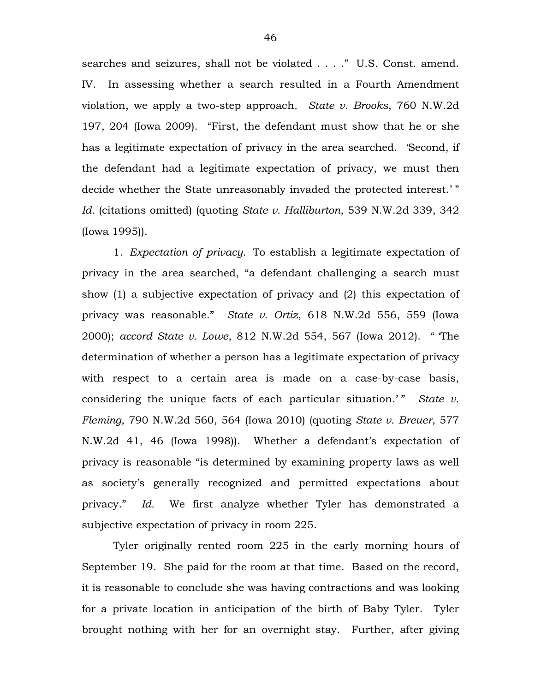searches and seizures, shall not be violated . . . ." U.S. Const. amend. IV. In assessing whether a search resulted in a Fourth Amendment violation, we apply a two-step approach. *State v. Brooks*, 760 N.W.2d 197, 204 (Iowa 2009). "First, the defendant must show that he or she has a legitimate expectation of privacy in the area searched. 'Second, if the defendant had a legitimate expectation of privacy, we must then decide whether the State unreasonably invaded the protected interest.' " *Id.* (citations omitted) (quoting *State v. Halliburton*, 539 N.W.2d 339, 342 (Iowa 1995)).

1. *Expectation of privacy*. To establish a legitimate expectation of privacy in the area searched, "a defendant challenging a search must show (1) a subjective expectation of privacy and (2) this expectation of privacy was reasonable." *State v. Ortiz*, 618 N.W.2d 556, 559 (Iowa 2000); *accord State v. Lowe*, 812 N.W.2d 554, 567 (Iowa 2012)." 'The determination of whether a person has a legitimate expectation of privacy with respect to a certain area is made on a case-by-case basis, considering the unique facts of each particular situation.'" State v. *Fleming*, 790 N.W.2d 560, 564 (Iowa 2010) (quoting *State v. Breuer*, 577 N.W.2d 41, 46 (Iowa 1998)). Whether a defendant's expectation of privacy is reasonable "is determined by examining property laws as well as society's generally recognized and permitted expectations about privacy." *Id.* We first analyze whether Tyler has demonstrated a subjective expectation of privacy in room 225.

Tyler originally rented room 225 in the early morning hours of September 19. She paid for the room at that time. Based on the record, it is reasonable to conclude she was having contractions and was looking for a private location in anticipation of the birth of Baby Tyler. Tyler brought nothing with her for an overnight stay. Further, after giving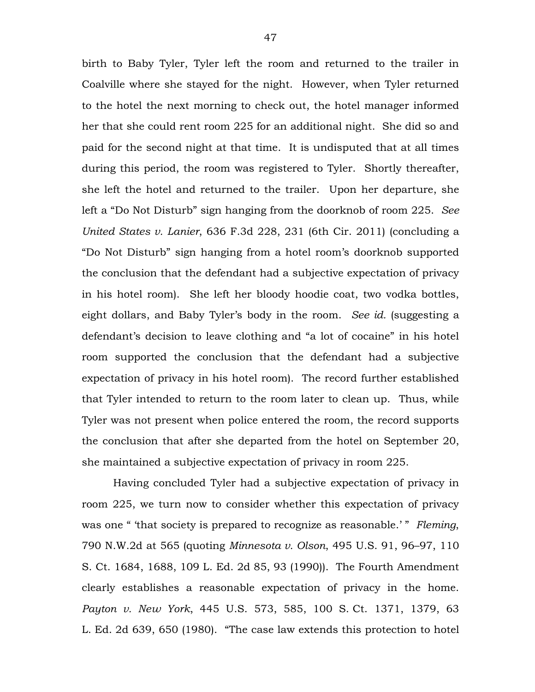birth to Baby Tyler, Tyler left the room and returned to the trailer in Coalville where she stayed for the night. However, when Tyler returned to the hotel the next morning to check out, the hotel manager informed her that she could rent room 225 for an additional night. She did so and paid for the second night at that time. It is undisputed that at all times during this period, the room was registered to Tyler. Shortly thereafter, she left the hotel and returned to the trailer. Upon her departure, she left a "Do Not Disturb" sign hanging from the doorknob of room 225. *See United States v. Lanier*, 636 F.3d 228, 231 (6th Cir. 2011) (concluding a "Do Not Disturb" sign hanging from a hotel room's doorknob supported the conclusion that the defendant had a subjective expectation of privacy in his hotel room). She left her bloody hoodie coat, two vodka bottles, eight dollars, and Baby Tyler's body in the room. *See id.* (suggesting a defendant's decision to leave clothing and "a lot of cocaine" in his hotel room supported the conclusion that the defendant had a subjective expectation of privacy in his hotel room). The record further established that Tyler intended to return to the room later to clean up. Thus, while Tyler was not present when police entered the room, the record supports the conclusion that after she departed from the hotel on September 20, she maintained a subjective expectation of privacy in room 225.

Having concluded Tyler had a subjective expectation of privacy in room 225, we turn now to consider whether this expectation of privacy was one " 'that society is prepared to recognize as reasonable.' " *Fleming*, 790 N.W.2d at 565 (quoting *Minnesota v. Olson*, 495 U.S. 91, 96–97, 110 S. Ct. 1684, 1688, 109 L. Ed. 2d 85, 93 (1990)). The Fourth Amendment clearly establishes a reasonable expectation of privacy in the home. *Payton v. New York*, 445 U.S. 573, 585, 100 S. Ct. 1371, 1379, 63 L. Ed. 2d 639, 650 (1980). "The case law extends this protection to hotel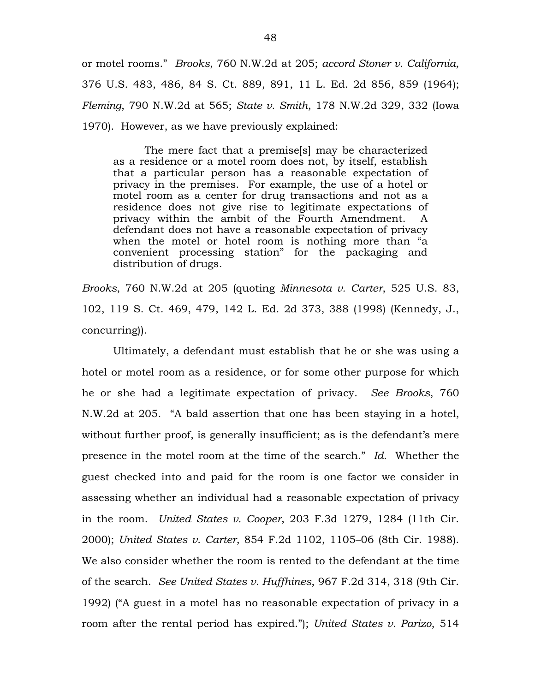or motel rooms." *Brooks*, 760 N.W.2d at 205; *accord Stoner v. California*, 376 U.S. 483, 486, 84 S. Ct. 889, 891, 11 L. Ed. 2d 856, 859 (1964); *Fleming*, 790 N.W.2d at 565; *State v. Smith*, 178 N.W.2d 329, 332 (Iowa 1970). However, as we have previously explained:

The mere fact that a premise[s] may be characterized as a residence or a motel room does not, by itself, establish that a particular person has a reasonable expectation of privacy in the premises. For example, the use of a hotel or motel room as a center for drug transactions and not as a residence does not give rise to legitimate expectations of privacy within the ambit of the Fourth Amendment. A defendant does not have a reasonable expectation of privacy when the motel or hotel room is nothing more than "a convenient processing station" for the packaging and distribution of drugs.

*Brooks*, 760 N.W.2d at 205 (quoting *Minnesota v. Carter*, 525 U.S. 83, 102, 119 S. Ct. 469, 479, 142 L. Ed. 2d 373, 388 (1998) (Kennedy, J., concurring)).

Ultimately, a defendant must establish that he or she was using a hotel or motel room as a residence, or for some other purpose for which he or she had a legitimate expectation of privacy. *See Brooks*, 760 N.W.2d at 205. "A bald assertion that one has been staying in a hotel, without further proof, is generally insufficient; as is the defendant's mere presence in the motel room at the time of the search." *Id.* Whether the guest checked into and paid for the room is one factor we consider in assessing whether an individual had a reasonable expectation of privacy in the room. *United States v. Cooper*, 203 F.3d 1279, 1284 (11th Cir. 2000); *United States v. Carter*, 854 F.2d 1102, 1105–06 (8th Cir. 1988). We also consider whether the room is rented to the defendant at the time of the search. *See United States v. Huffhines*, 967 F.2d 314, 318 (9th Cir. 1992) ("A guest in a motel has no reasonable expectation of privacy in a room after the rental period has expired."); *United States v. Parizo*, 514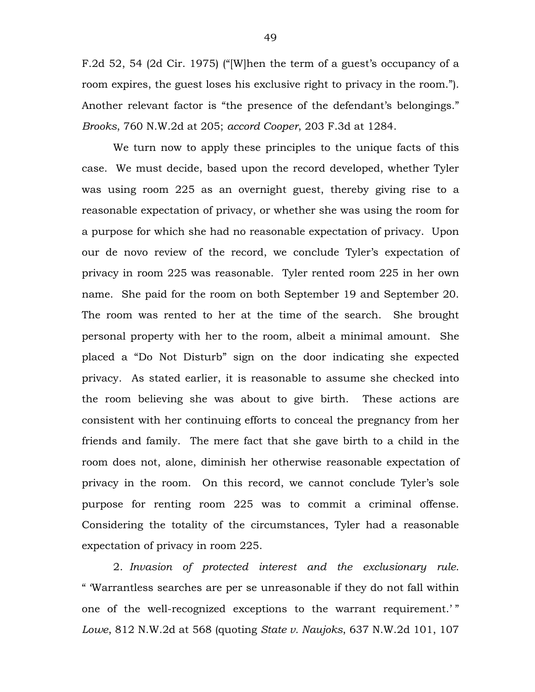F.2d 52, 54 (2d Cir. 1975) ("[W]hen the term of a guest's occupancy of a room expires, the guest loses his exclusive right to privacy in the room."). Another relevant factor is "the presence of the defendant's belongings." *Brooks*, 760 N.W.2d at 205; *accord Cooper*, 203 F.3d at 1284.

We turn now to apply these principles to the unique facts of this case.We must decide, based upon the record developed, whether Tyler was using room 225 as an overnight guest, thereby giving rise to a reasonable expectation of privacy, or whether she was using the room for a purpose for which she had no reasonable expectation of privacy. Upon our de novo review of the record, we conclude Tyler's expectation of privacy in room 225 was reasonable. Tyler rented room 225 in her own name. She paid for the room on both September 19 and September 20. The room was rented to her at the time of the search. She brought personal property with her to the room, albeit a minimal amount. She placed a "Do Not Disturb" sign on the door indicating she expected privacy. As stated earlier, it is reasonable to assume she checked into the room believing she was about to give birth. These actions are consistent with her continuing efforts to conceal the pregnancy from her friends and family. The mere fact that she gave birth to a child in the room does not, alone, diminish her otherwise reasonable expectation of privacy in the room. On this record, we cannot conclude Tyler's sole purpose for renting room 225 was to commit a criminal offense. Considering the totality of the circumstances, Tyler had a reasonable expectation of privacy in room 225.

2. *Invasion of protected interest and the exclusionary rule*. " 'Warrantless searches are per se unreasonable if they do not fall within one of the well-recognized exceptions to the warrant requirement.'" *Lowe*, 812 N.W.2d at 568 (quoting *State v. Naujoks*, 637 N.W.2d 101, 107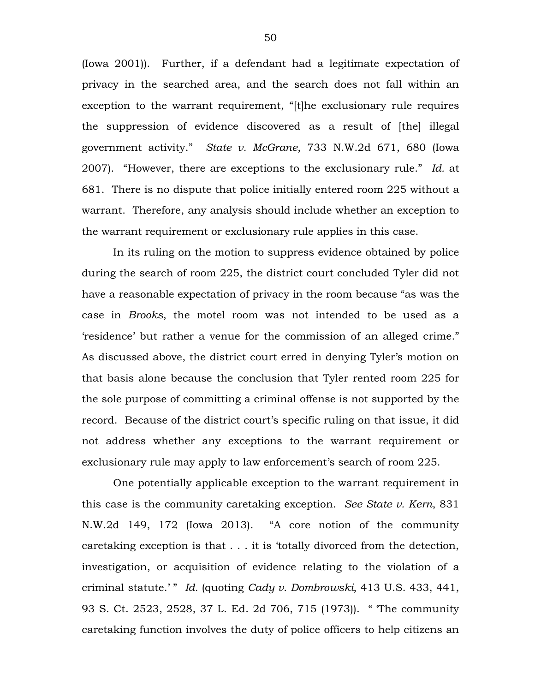(Iowa 2001)). Further, if a defendant had a legitimate expectation of privacy in the searched area, and the search does not fall within an exception to the warrant requirement, "[t]he exclusionary rule requires the suppression of evidence discovered as a result of [the] illegal government activity." *State v. McGrane*, 733 N.W.2d 671, 680 (Iowa 2007). "However, there are exceptions to the exclusionary rule." *Id.* at 681. There is no dispute that police initially entered room 225 without a warrant. Therefore, any analysis should include whether an exception to the warrant requirement or exclusionary rule applies in this case.

In its ruling on the motion to suppress evidence obtained by police during the search of room 225, the district court concluded Tyler did not have a reasonable expectation of privacy in the room because "as was the case in *Brooks*, the motel room was not intended to be used as a 'residence' but rather a venue for the commission of an alleged crime." As discussed above, the district court erred in denying Tyler's motion on that basis alone because the conclusion that Tyler rented room 225 for the sole purpose of committing a criminal offense is not supported by the record. Because of the district court's specific ruling on that issue, it did not address whether any exceptions to the warrant requirement or exclusionary rule may apply to law enforcement's search of room 225.

One potentially applicable exception to the warrant requirement in this case is the community caretaking exception. *See State v. Kern*, 831 N.W.2d 149, 172 (Iowa 2013). "A core notion of the community caretaking exception is that . . . it is 'totally divorced from the detection, investigation, or acquisition of evidence relating to the violation of a criminal statute.' " *Id.* (quoting *Cady v. Dombrowski*, 413 U.S. 433, 441, 93 S. Ct. 2523, 2528, 37 L. Ed. 2d 706, 715 (1973)). " 'The community caretaking function involves the duty of police officers to help citizens an

50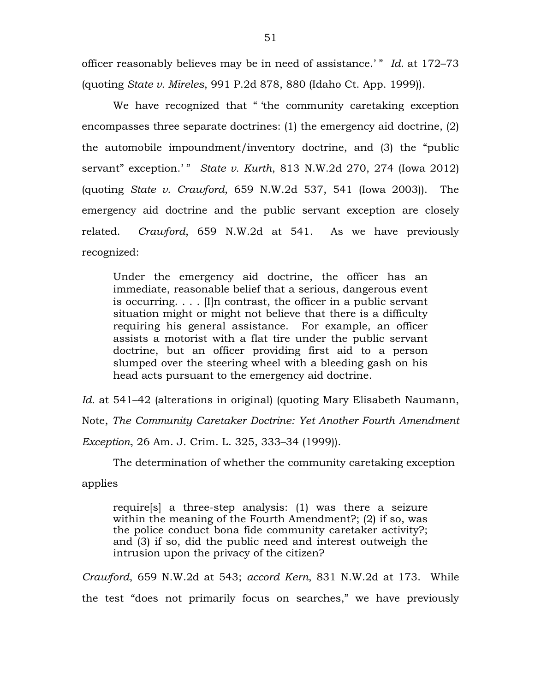officer reasonably believes may be in need of assistance.' " *Id.* at 172–73 (quoting *State v. Mireles*, 991 P.2d 878, 880 (Idaho Ct. App. 1999)).

We have recognized that "the community caretaking exception encompasses three separate doctrines: (1) the emergency aid doctrine, (2) the automobile impoundment/inventory doctrine, and (3) the "public servant" exception.'" *State v. Kurth*, 813 N.W.2d 270, 274 (Iowa 2012) (quoting *State v. Crawford*, 659 N.W.2d 537, 541 (Iowa 2003)). The emergency aid doctrine and the public servant exception are closely related. *Crawford*, 659 N.W.2d at 541. As we have previously recognized:

Under the emergency aid doctrine, the officer has an immediate, reasonable belief that a serious, dangerous event is occurring. . . . [I]n contrast, the officer in a public servant situation might or might not believe that there is a difficulty requiring his general assistance. For example, an officer assists a motorist with a flat tire under the public servant doctrine, but an officer providing first aid to a person slumped over the steering wheel with a bleeding gash on his head acts pursuant to the emergency aid doctrine.

*Id.* at 541–42 (alterations in original) (quoting Mary Elisabeth Naumann, Note, *The Community Caretaker Doctrine: Yet Another Fourth Amendment Exception*, 26 Am. J. Crim. L. 325, 333–34 (1999)).

The determination of whether the community caretaking exception

applies

require[s] a three-step analysis: (1) was there a seizure within the meaning of the Fourth Amendment?; (2) if so, was the police conduct bona fide community caretaker activity?; and (3) if so, did the public need and interest outweigh the intrusion upon the privacy of the citizen?

*Crawford*, 659 N.W.2d at 543; *accord Kern*, 831 N.W.2d at 173. While the test "does not primarily focus on searches," we have previously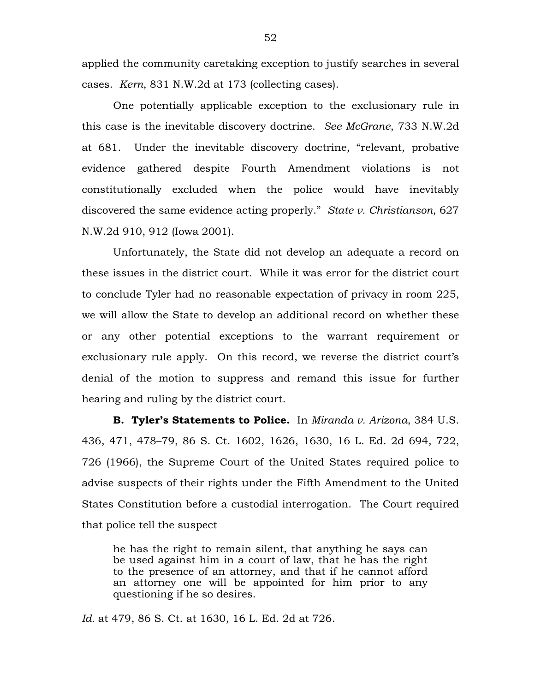applied the community caretaking exception to justify searches in several cases. *Kern*, 831 N.W.2d at 173 (collecting cases).

One potentially applicable exception to the exclusionary rule in this case is the inevitable discovery doctrine. *See McGrane*, 733 N.W.2d at 681. Under the inevitable discovery doctrine, "relevant, probative evidence gathered despite Fourth Amendment violations is not constitutionally excluded when the police would have inevitably discovered the same evidence acting properly." *State v. Christianson*, 627 N.W.2d 910, 912 (Iowa 2001).

Unfortunately, the State did not develop an adequate a record on these issues in the district court. While it was error for the district court to conclude Tyler had no reasonable expectation of privacy in room 225, we will allow the State to develop an additional record on whether these or any other potential exceptions to the warrant requirement or exclusionary rule apply. On this record, we reverse the district court's denial of the motion to suppress and remand this issue for further hearing and ruling by the district court.

**B. Tyler's Statements to Police.** In *Miranda v. Arizona*, 384 U.S. 436, 471, 478–79, 86 S. Ct. 1602, 1626, 1630, 16 L. Ed. 2d 694, 722, 726 (1966), the Supreme Court of the United States required police to advise suspects of their rights under the Fifth Amendment to the United States Constitution before a custodial interrogation. The Court required that police tell the suspect

he has the right to remain silent, that anything he says can be used against him in a court of law, that he has the right to the presence of an attorney, and that if he cannot afford an attorney one will be appointed for him prior to any questioning if he so desires.

*Id.* at 479, 86 S. Ct. at 1630, 16 L. Ed. 2d at 726.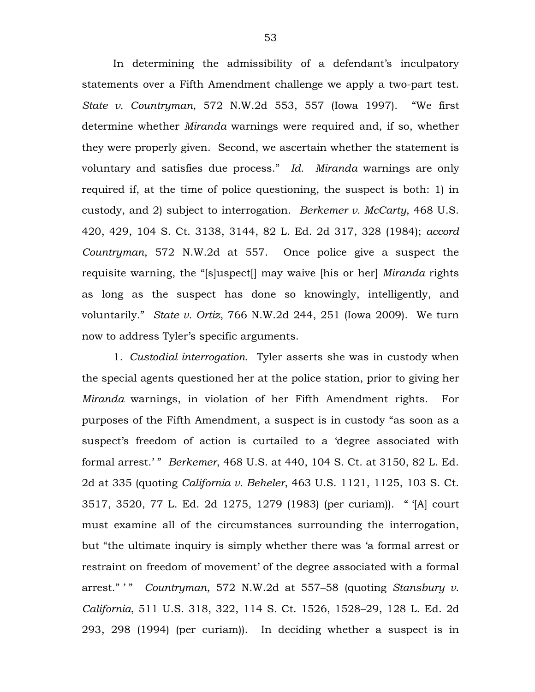In determining the admissibility of a defendant's inculpatory statements over a Fifth Amendment challenge we apply a two-part test. *State v. Countryman*, 572 N.W.2d 553, 557 (Iowa 1997). "We first determine whether *Miranda* warnings were required and, if so, whether they were properly given. Second, we ascertain whether the statement is voluntary and satisfies due process." *Id. Miranda* warnings are only required if, at the time of police questioning, the suspect is both: 1) in custody, and 2) subject to interrogation. *Berkemer v. McCarty*, 468 U.S. 420, 429, 104 S. Ct. 3138, 3144, 82 L. Ed. 2d 317, 328 (1984); *accord Countryman*, 572 N.W.2d at 557. Once police give a suspect the requisite warning, the "[s]uspect[] may waive [his or her] *Miranda* rights as long as the suspect has done so knowingly, intelligently, and voluntarily." *State v. Ortiz*, 766 N.W.2d 244, 251 (Iowa 2009). We turn now to address Tyler's specific arguments.

1. *Custodial interrogation*. Tyler asserts she was in custody when the special agents questioned her at the police station, prior to giving her *Miranda* warnings, in violation of her Fifth Amendment rights. For purposes of the Fifth Amendment, a suspect is in custody "as soon as a suspect's freedom of action is curtailed to a 'degree associated with formal arrest.' " *Berkemer*, 468 U.S. at 440, 104 S. Ct. at 3150, 82 L. Ed. 2d at 335 (quoting *California v. Beheler*, 463 U.S. 1121, 1125, 103 S. Ct. 3517, 3520, 77 L. Ed. 2d 1275, 1279 (1983) (per curiam)). " '[A] court must examine all of the circumstances surrounding the interrogation, but "the ultimate inquiry is simply whether there was 'a formal arrest or restraint on freedom of movement' of the degree associated with a formal arrest." " *Countryman*, 572 N.W.2d at 557-58 (quoting *Stansbury v. California*, 511 U.S. 318, 322, 114 S. Ct. 1526, 1528–29, 128 L. Ed. 2d 293, 298 (1994) (per curiam)). In deciding whether a suspect is in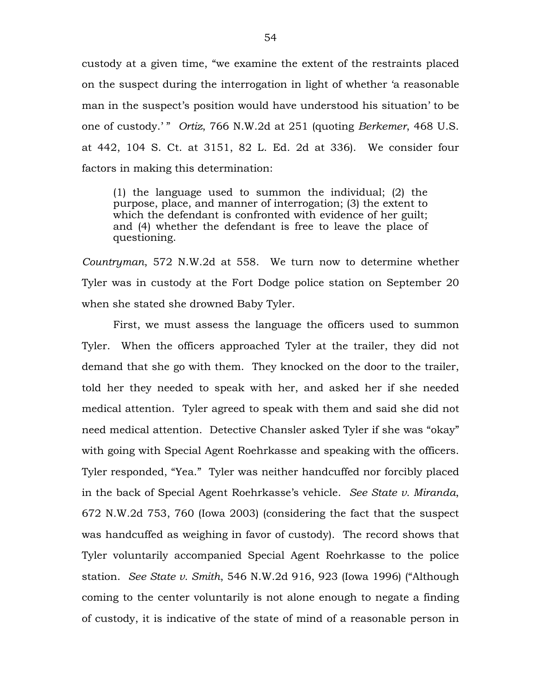custody at a given time, "we examine the extent of the restraints placed on the suspect during the interrogation in light of whether 'a reasonable man in the suspect's position would have understood his situation' to be one of custody.' " *Ortiz*, 766 N.W.2d at 251 (quoting *Berkemer*, 468 U.S. at 442, 104 S. Ct. at 3151, 82 L. Ed. 2d at 336). We consider four factors in making this determination:

(1) the language used to summon the individual; (2) the purpose, place, and manner of interrogation; (3) the extent to which the defendant is confronted with evidence of her guilt; and (4) whether the defendant is free to leave the place of questioning.

*Countryman*, 572 N.W.2d at 558. We turn now to determine whether Tyler was in custody at the Fort Dodge police station on September 20 when she stated she drowned Baby Tyler.

First, we must assess the language the officers used to summon Tyler. When the officers approached Tyler at the trailer, they did not demand that she go with them. They knocked on the door to the trailer, told her they needed to speak with her, and asked her if she needed medical attention. Tyler agreed to speak with them and said she did not need medical attention. Detective Chansler asked Tyler if she was "okay" with going with Special Agent Roehrkasse and speaking with the officers. Tyler responded, "Yea." Tyler was neither handcuffed nor forcibly placed in the back of Special Agent Roehrkasse's vehicle. *See State v. Miranda*, 672 N.W.2d 753, 760 (Iowa 2003) (considering the fact that the suspect was handcuffed as weighing in favor of custody). The record shows that Tyler voluntarily accompanied Special Agent Roehrkasse to the police station. *See State v. Smith*, 546 N.W.2d 916, 923 (Iowa 1996) ("Although coming to the center voluntarily is not alone enough to negate a finding of custody, it is indicative of the state of mind of a reasonable person in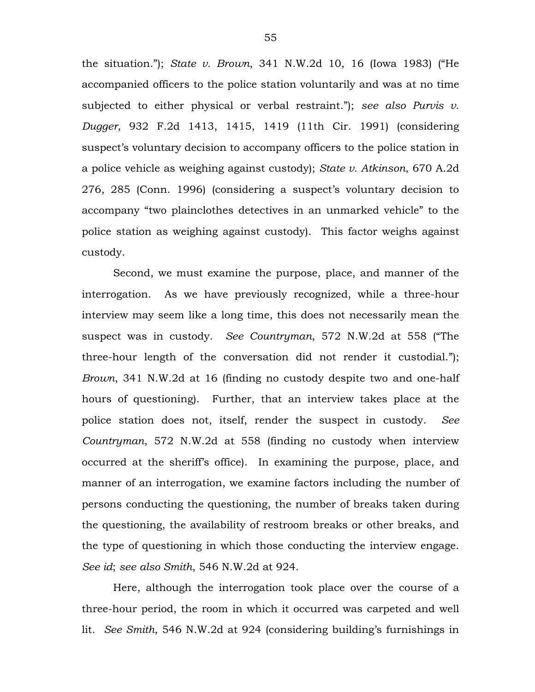the situation."); *State v. Brown*, 341 N.W.2d 10, 16 (Iowa 1983) ("He accompanied officers to the police station voluntarily and was at no time subjected to either physical or verbal restraint."); *see also Purvis v. Dugger*, 932 F.2d 1413, 1415, 1419 (11th Cir. 1991) (considering suspect's voluntary decision to accompany officers to the police station in a police vehicle as weighing against custody); *State v. Atkinson*, 670 A.2d 276, 285 (Conn. 1996) (considering a suspect's voluntary decision to accompany "two plainclothes detectives in an unmarked vehicle" to the police station as weighing against custody). This factor weighs against custody.

Second, we must examine the purpose, place, and manner of the interrogation. As we have previously recognized, while a three-hour interview may seem like a long time, this does not necessarily mean the suspect was in custody. *See Countryman*, 572 N.W.2d at 558 ("The three-hour length of the conversation did not render it custodial."); *Brown*, 341 N.W.2d at 16 (finding no custody despite two and one-half hours of questioning). Further, that an interview takes place at the police station does not, itself, render the suspect in custody. *See Countryman*, 572 N.W.2d at 558 (finding no custody when interview occurred at the sheriff's office). In examining the purpose, place, and manner of an interrogation, we examine factors including the number of persons conducting the questioning, the number of breaks taken during the questioning, the availability of restroom breaks or other breaks, and the type of questioning in which those conducting the interview engage. *See id*; *see also Smith*, 546 N.W.2d at 924.

Here, although the interrogation took place over the course of a three-hour period, the room in which it occurred was carpeted and well lit. *See Smith*, 546 N.W.2d at 924 (considering building's furnishings in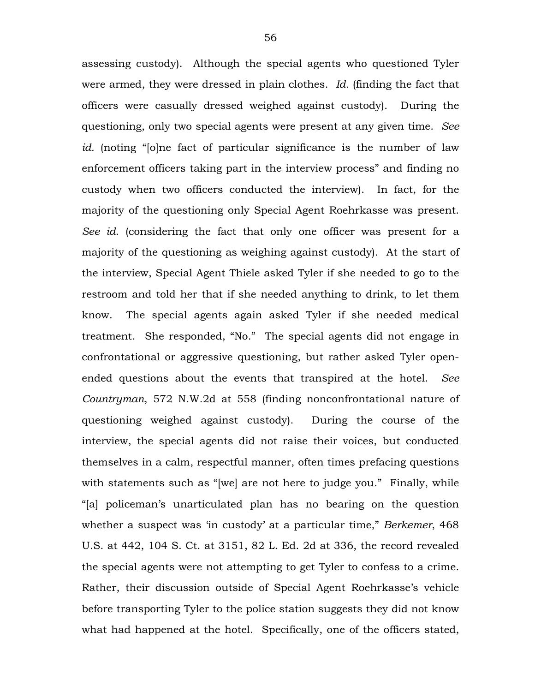assessing custody). Although the special agents who questioned Tyler were armed, they were dressed in plain clothes. *Id.* (finding the fact that officers were casually dressed weighed against custody). During the questioning, only two special agents were present at any given time. *See id.* (noting "[o]ne fact of particular significance is the number of law enforcement officers taking part in the interview process" and finding no custody when two officers conducted the interview). In fact, for the majority of the questioning only Special Agent Roehrkasse was present. *See id.* (considering the fact that only one officer was present for a majority of the questioning as weighing against custody). At the start of the interview, Special Agent Thiele asked Tyler if she needed to go to the restroom and told her that if she needed anything to drink, to let them know. The special agents again asked Tyler if she needed medical treatment. She responded, "No." The special agents did not engage in confrontational or aggressive questioning, but rather asked Tyler openended questions about the events that transpired at the hotel. *See Countryman*, 572 N.W.2d at 558 (finding nonconfrontational nature of questioning weighed against custody). During the course of the interview, the special agents did not raise their voices, but conducted themselves in a calm, respectful manner, often times prefacing questions with statements such as "[we] are not here to judge you." Finally, while "[a] policeman's unarticulated plan has no bearing on the question whether a suspect was 'in custody' at a particular time," *Berkemer*, 468 U.S. at 442, 104 S. Ct. at 3151, 82 L. Ed. 2d at 336, the record revealed the special agents were not attempting to get Tyler to confess to a crime. Rather, their discussion outside of Special Agent Roehrkasse's vehicle before transporting Tyler to the police station suggests they did not know what had happened at the hotel. Specifically, one of the officers stated,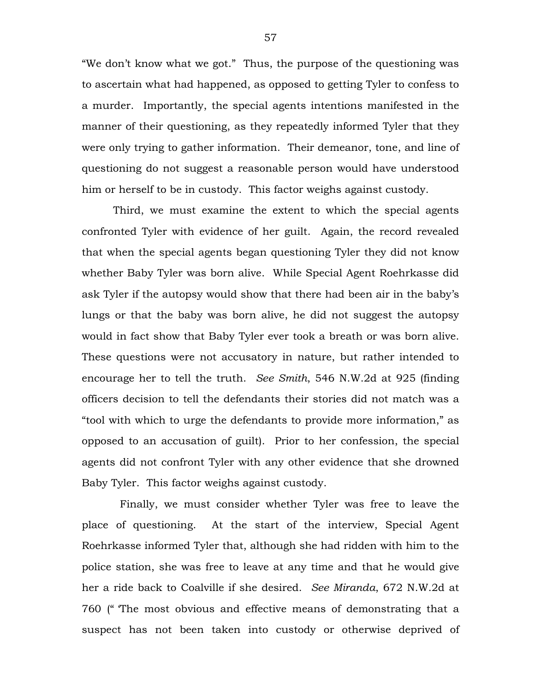"We don't know what we got." Thus, the purpose of the questioning was to ascertain what had happened, as opposed to getting Tyler to confess to a murder. Importantly, the special agents intentions manifested in the manner of their questioning, as they repeatedly informed Tyler that they were only trying to gather information. Their demeanor, tone, and line of questioning do not suggest a reasonable person would have understood him or herself to be in custody. This factor weighs against custody.

Third, we must examine the extent to which the special agents confronted Tyler with evidence of her guilt. Again, the record revealed that when the special agents began questioning Tyler they did not know whether Baby Tyler was born alive. While Special Agent Roehrkasse did ask Tyler if the autopsy would show that there had been air in the baby's lungs or that the baby was born alive, he did not suggest the autopsy would in fact show that Baby Tyler ever took a breath or was born alive. These questions were not accusatory in nature, but rather intended to encourage her to tell the truth. *See Smith*, 546 N.W.2d at 925 (finding officers decision to tell the defendants their stories did not match was a "tool with which to urge the defendants to provide more information," as opposed to an accusation of guilt). Prior to her confession, the special agents did not confront Tyler with any other evidence that she drowned Baby Tyler. This factor weighs against custody.

Finally, we must consider whether Tyler was free to leave the place of questioning. At the start of the interview, Special Agent Roehrkasse informed Tyler that, although she had ridden with him to the police station, she was free to leave at any time and that he would give her a ride back to Coalville if she desired. *See Miranda*, 672 N.W.2d at 760 (" 'The most obvious and effective means of demonstrating that a suspect has not been taken into custody or otherwise deprived of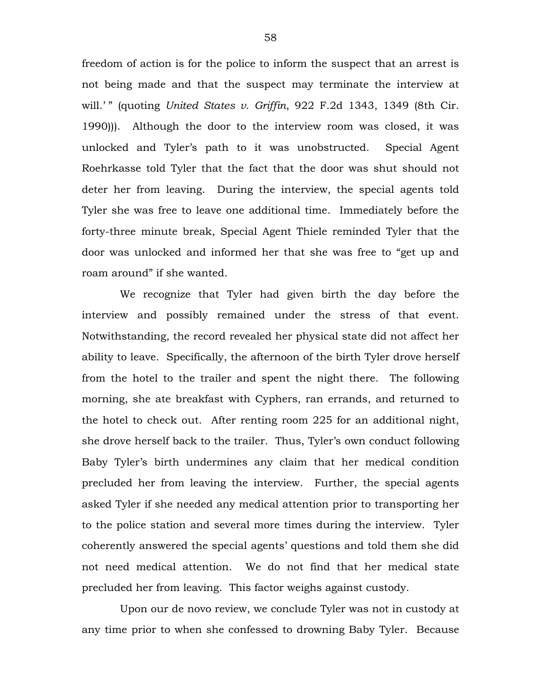freedom of action is for the police to inform the suspect that an arrest is not being made and that the suspect may terminate the interview at will.'" (quoting *United States v. Griffin*, 922 F.2d 1343, 1349 (8th Cir. 1990))). Although the door to the interview room was closed, it was unlocked and Tyler's path to it was unobstructed. Special Agent Roehrkasse told Tyler that the fact that the door was shut should not deter her from leaving. During the interview, the special agents told Tyler she was free to leave one additional time. Immediately before the forty-three minute break, Special Agent Thiele reminded Tyler that the door was unlocked and informed her that she was free to "get up and roam around" if she wanted.

We recognize that Tyler had given birth the day before the interview and possibly remained under the stress of that event. Notwithstanding, the record revealed her physical state did not affect her ability to leave. Specifically, the afternoon of the birth Tyler drove herself from the hotel to the trailer and spent the night there. The following morning, she ate breakfast with Cyphers, ran errands, and returned to the hotel to check out. After renting room 225 for an additional night, she drove herself back to the trailer. Thus, Tyler's own conduct following Baby Tyler's birth undermines any claim that her medical condition precluded her from leaving the interview. Further, the special agents asked Tyler if she needed any medical attention prior to transporting her to the police station and several more times during the interview. Tyler coherently answered the special agents' questions and told them she did not need medical attention. We do not find that her medical state precluded her from leaving. This factor weighs against custody.

Upon our de novo review, we conclude Tyler was not in custody at any time prior to when she confessed to drowning Baby Tyler. Because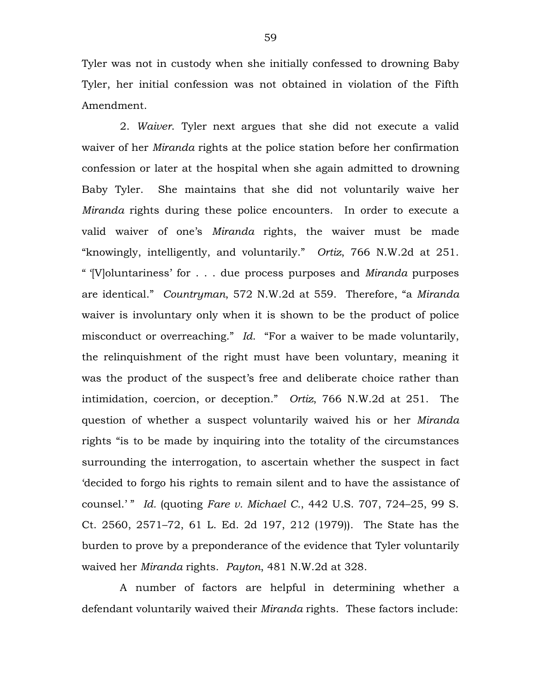Tyler was not in custody when she initially confessed to drowning Baby Tyler, her initial confession was not obtained in violation of the Fifth Amendment.

2. *Waiver*. Tyler next argues that she did not execute a valid waiver of her *Miranda* rights at the police station before her confirmation confession or later at the hospital when she again admitted to drowning Baby Tyler. She maintains that she did not voluntarily waive her *Miranda* rights during these police encounters. In order to execute a valid waiver of one's *Miranda* rights, the waiver must be made "knowingly, intelligently, and voluntarily." *Ortiz*, 766 N.W.2d at 251. " '[V]oluntariness' for . . . due process purposes and *Miranda* purposes are identical." *Countryman*, 572 N.W.2d at 559. Therefore, "a *Miranda* waiver is involuntary only when it is shown to be the product of police misconduct or overreaching." *Id*. "For a waiver to be made voluntarily, the relinquishment of the right must have been voluntary, meaning it was the product of the suspect's free and deliberate choice rather than intimidation, coercion, or deception." *Ortiz*, 766 N.W.2d at 251. The question of whether a suspect voluntarily waived his or her *Miranda* rights "is to be made by inquiring into the totality of the circumstances surrounding the interrogation, to ascertain whether the suspect in fact 'decided to forgo his rights to remain silent and to have the assistance of counsel.' " *Id.* (quoting *Fare v. Michael C.*, 442 U.S. 707, 724–25, 99 S. Ct. 2560, 2571–72, 61 L. Ed. 2d 197, 212 (1979)). The State has the burden to prove by a preponderance of the evidence that Tyler voluntarily waived her *Miranda* rights. *Payton*, 481 N.W.2d at 328.

A number of factors are helpful in determining whether a defendant voluntarily waived their *Miranda* rights. These factors include: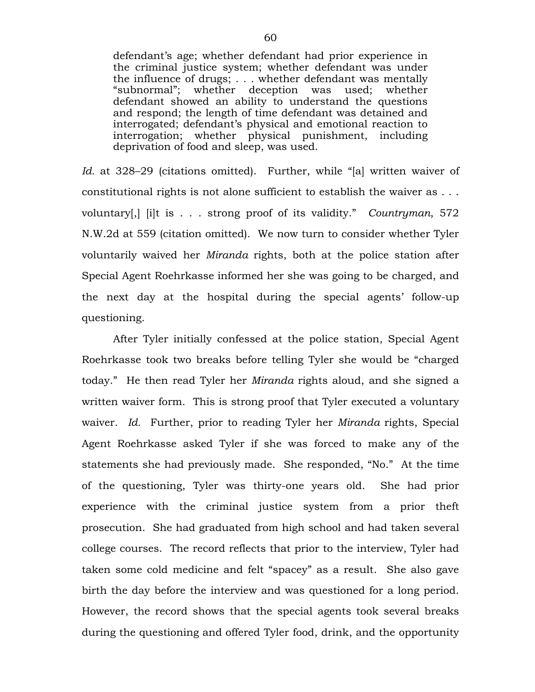defendant's age; whether defendant had prior experience in the criminal justice system; whether defendant was under the influence of drugs; . . . whether defendant was mentally "subnormal"; whether deception was used; whether defendant showed an ability to understand the questions and respond; the length of time defendant was detained and interrogated; defendant's physical and emotional reaction to interrogation; whether physical punishment, including deprivation of food and sleep, was used.

*Id.* at 328–29 (citations omitted). Further, while "[a] written waiver of constitutional rights is not alone sufficient to establish the waiver as . . . voluntary[,] [i]t is . . . strong proof of its validity." *Countryman*, 572 N.W.2d at 559 (citation omitted). We now turn to consider whether Tyler voluntarily waived her *Miranda* rights, both at the police station after Special Agent Roehrkasse informed her she was going to be charged, and the next day at the hospital during the special agents' follow-up questioning.

After Tyler initially confessed at the police station, Special Agent Roehrkasse took two breaks before telling Tyler she would be "charged today." He then read Tyler her *Miranda* rights aloud, and she signed a written waiver form. This is strong proof that Tyler executed a voluntary waiver. *Id.* Further, prior to reading Tyler her *Miranda* rights, Special Agent Roehrkasse asked Tyler if she was forced to make any of the statements she had previously made. She responded, "No." At the time of the questioning, Tyler was thirty-one years old. She had prior experience with the criminal justice system from a prior theft prosecution. She had graduated from high school and had taken several college courses. The record reflects that prior to the interview, Tyler had taken some cold medicine and felt "spacey" as a result. She also gave birth the day before the interview and was questioned for a long period. However, the record shows that the special agents took several breaks during the questioning and offered Tyler food, drink, and the opportunity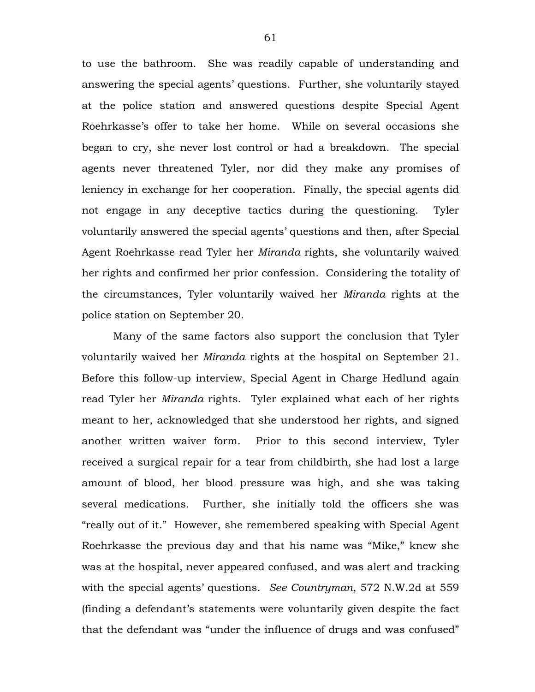to use the bathroom. She was readily capable of understanding and answering the special agents' questions. Further, she voluntarily stayed at the police station and answered questions despite Special Agent Roehrkasse's offer to take her home. While on several occasions she began to cry, she never lost control or had a breakdown. The special agents never threatened Tyler, nor did they make any promises of leniency in exchange for her cooperation. Finally, the special agents did not engage in any deceptive tactics during the questioning. Tyler voluntarily answered the special agents' questions and then, after Special Agent Roehrkasse read Tyler her *Miranda* rights, she voluntarily waived her rights and confirmed her prior confession. Considering the totality of the circumstances, Tyler voluntarily waived her *Miranda* rights at the police station on September 20.

Many of the same factors also support the conclusion that Tyler voluntarily waived her *Miranda* rights at the hospital on September 21. Before this follow-up interview, Special Agent in Charge Hedlund again read Tyler her *Miranda* rights. Tyler explained what each of her rights meant to her, acknowledged that she understood her rights, and signed another written waiver form. Prior to this second interview, Tyler received a surgical repair for a tear from childbirth, she had lost a large amount of blood, her blood pressure was high, and she was taking several medications. Further, she initially told the officers she was "really out of it." However, she remembered speaking with Special Agent Roehrkasse the previous day and that his name was "Mike," knew she was at the hospital, never appeared confused, and was alert and tracking with the special agents' questions. *See Countryman*, 572 N.W.2d at 559 (finding a defendant's statements were voluntarily given despite the fact that the defendant was "under the influence of drugs and was confused"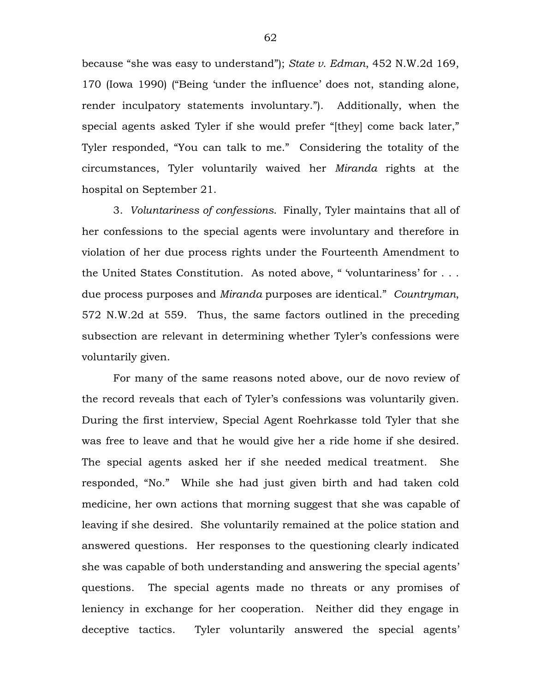because "she was easy to understand"); *State v. Edman*, 452 N.W.2d 169, 170 (Iowa 1990) ("Being 'under the influence' does not, standing alone, render inculpatory statements involuntary."). Additionally, when the special agents asked Tyler if she would prefer "[they] come back later," Tyler responded, "You can talk to me." Considering the totality of the circumstances, Tyler voluntarily waived her *Miranda* rights at the hospital on September 21.

3. *Voluntariness of confessions*.Finally, Tyler maintains that all of her confessions to the special agents were involuntary and therefore in violation of her due process rights under the Fourteenth Amendment to the United States Constitution. As noted above, " 'voluntariness' for . . . due process purposes and *Miranda* purposes are identical." *Countryman*, 572 N.W.2d at 559. Thus, the same factors outlined in the preceding subsection are relevant in determining whether Tyler's confessions were voluntarily given.

For many of the same reasons noted above, our de novo review of the record reveals that each of Tyler's confessions was voluntarily given. During the first interview, Special Agent Roehrkasse told Tyler that she was free to leave and that he would give her a ride home if she desired. The special agents asked her if she needed medical treatment. She responded, "No." While she had just given birth and had taken cold medicine, her own actions that morning suggest that she was capable of leaving if she desired. She voluntarily remained at the police station and answered questions. Her responses to the questioning clearly indicated she was capable of both understanding and answering the special agents' questions. The special agents made no threats or any promises of leniency in exchange for her cooperation. Neither did they engage in deceptive tactics. Tyler voluntarily answered the special agents'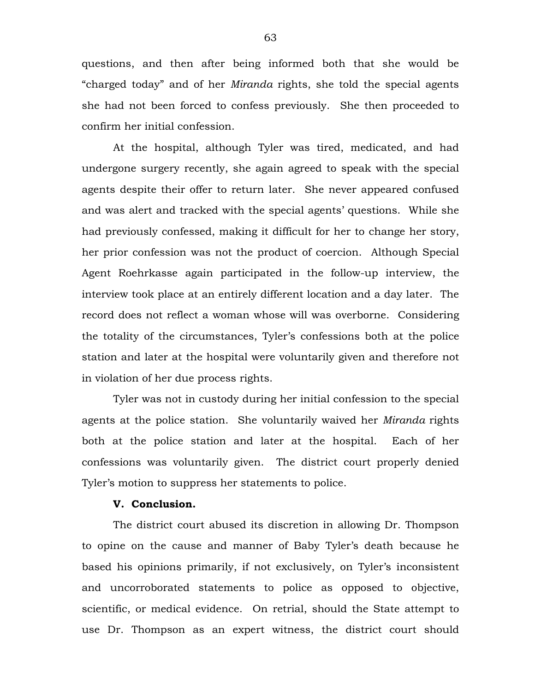questions, and then after being informed both that she would be "charged today" and of her *Miranda* rights, she told the special agents she had not been forced to confess previously. She then proceeded to confirm her initial confession.

At the hospital, although Tyler was tired, medicated, and had undergone surgery recently, she again agreed to speak with the special agents despite their offer to return later. She never appeared confused and was alert and tracked with the special agents' questions. While she had previously confessed, making it difficult for her to change her story, her prior confession was not the product of coercion. Although Special Agent Roehrkasse again participated in the follow-up interview, the interview took place at an entirely different location and a day later. The record does not reflect a woman whose will was overborne. Considering the totality of the circumstances, Tyler's confessions both at the police station and later at the hospital were voluntarily given and therefore not in violation of her due process rights.

Tyler was not in custody during her initial confession to the special agents at the police station. She voluntarily waived her *Miranda* rights both at the police station and later at the hospital. Each of her confessions was voluntarily given. The district court properly denied Tyler's motion to suppress her statements to police.

#### **V. Conclusion.**

The district court abused its discretion in allowing Dr. Thompson to opine on the cause and manner of Baby Tyler's death because he based his opinions primarily, if not exclusively, on Tyler's inconsistent and uncorroborated statements to police as opposed to objective, scientific, or medical evidence. On retrial, should the State attempt to use Dr. Thompson as an expert witness, the district court should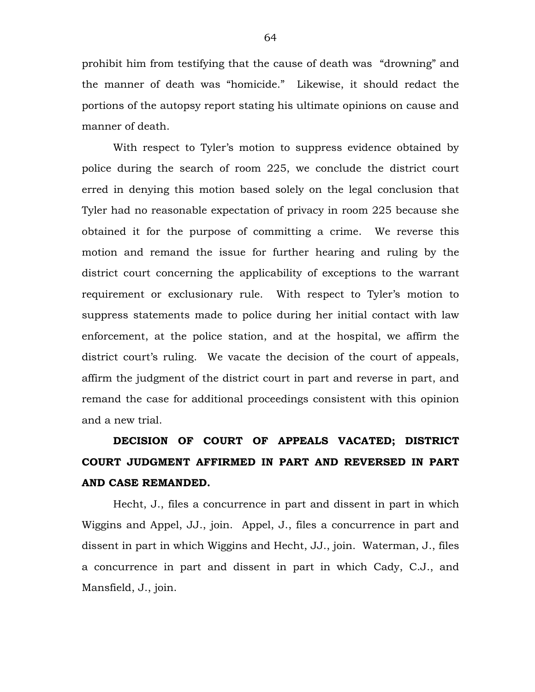prohibit him from testifying that the cause of death was "drowning" and the manner of death was "homicide." Likewise, it should redact the portions of the autopsy report stating his ultimate opinions on cause and manner of death.

With respect to Tyler's motion to suppress evidence obtained by police during the search of room 225, we conclude the district court erred in denying this motion based solely on the legal conclusion that Tyler had no reasonable expectation of privacy in room 225 because she obtained it for the purpose of committing a crime. We reverse this motion and remand the issue for further hearing and ruling by the district court concerning the applicability of exceptions to the warrant requirement or exclusionary rule. With respect to Tyler's motion to suppress statements made to police during her initial contact with law enforcement, at the police station, and at the hospital, we affirm the district court's ruling. We vacate the decision of the court of appeals, affirm the judgment of the district court in part and reverse in part, and remand the case for additional proceedings consistent with this opinion and a new trial.

**DECISION OF COURT OF APPEALS VACATED; DISTRICT COURT JUDGMENT AFFIRMED IN PART AND REVERSED IN PART AND CASE REMANDED.**

Hecht, J., files a concurrence in part and dissent in part in which Wiggins and Appel, JJ., join. Appel, J., files a concurrence in part and dissent in part in which Wiggins and Hecht, JJ., join. Waterman, J., files a concurrence in part and dissent in part in which Cady, C.J., and Mansfield, J., join.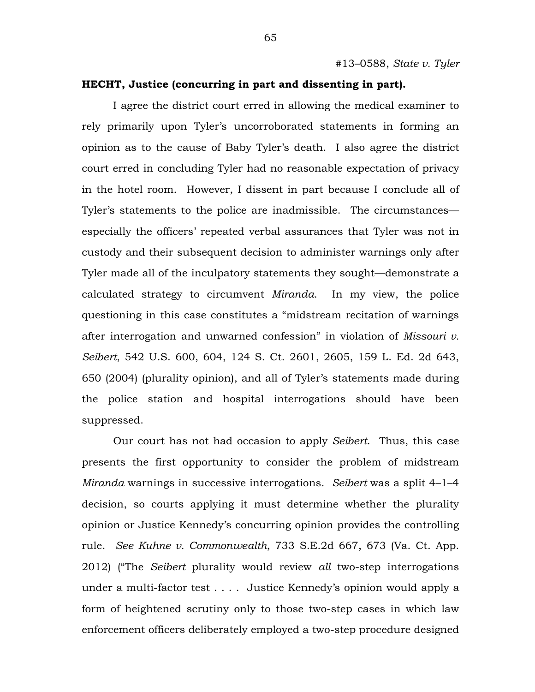# **HECHT, Justice (concurring in part and dissenting in part).**

I agree the district court erred in allowing the medical examiner to rely primarily upon Tyler's uncorroborated statements in forming an opinion as to the cause of Baby Tyler's death. I also agree the district court erred in concluding Tyler had no reasonable expectation of privacy in the hotel room. However, I dissent in part because I conclude all of Tyler's statements to the police are inadmissible. The circumstances especially the officers' repeated verbal assurances that Tyler was not in custody and their subsequent decision to administer warnings only after Tyler made all of the inculpatory statements they sought—demonstrate a calculated strategy to circumvent *Miranda*. In my view, the police questioning in this case constitutes a "midstream recitation of warnings after interrogation and unwarned confession" in violation of *Missouri v. Seibert*, 542 U.S. 600, 604, 124 S. Ct. 2601, 2605, 159 L. Ed. 2d 643, 650 (2004) (plurality opinion), and all of Tyler's statements made during the police station and hospital interrogations should have been suppressed.

Our court has not had occasion to apply *Seibert*. Thus, this case presents the first opportunity to consider the problem of midstream *Miranda* warnings in successive interrogations. *Seibert* was a split 4–1–4 decision, so courts applying it must determine whether the plurality opinion or Justice Kennedy's concurring opinion provides the controlling rule. *See Kuhne v. Commonwealth*, 733 S.E.2d 667, 673 (Va. Ct. App. 2012) ("The *Seibert* plurality would review *all* two-step interrogations under a multi-factor test . . . . Justice Kennedy's opinion would apply a form of heightened scrutiny only to those two-step cases in which law enforcement officers deliberately employed a two-step procedure designed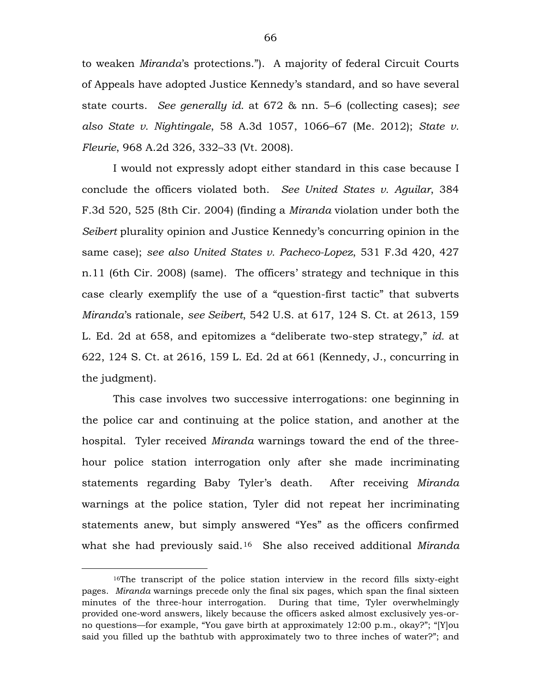to weaken *Miranda*'s protections.").A majority of federal Circuit Courts of Appeals have adopted Justice Kennedy's standard, and so have several state courts. *See generally id.* at 672 & nn. 5–6 (collecting cases); *see also State v. Nightingale*, 58 A.3d 1057, 1066–67 (Me. 2012); *State v. Fleurie*, 968 A.2d 326, 332–33 (Vt. 2008).

I would not expressly adopt either standard in this case because I conclude the officers violated both. *See United States v. Aguilar*, 384 F.3d 520, 525 (8th Cir. 2004) (finding a *Miranda* violation under both the *Seibert* plurality opinion and Justice Kennedy's concurring opinion in the same case); *see also United States v. Pacheco-Lopez*, 531 F.3d 420, 427 n.11 (6th Cir. 2008) (same). The officers' strategy and technique in this case clearly exemplify the use of a "question-first tactic" that subverts *Miranda*'s rationale, *see Seibert*, 542 U.S. at 617, 124 S. Ct. at 2613, 159 L. Ed. 2d at 658, and epitomizes a "deliberate two-step strategy," *id.* at 622, 124 S. Ct. at 2616, 159 L. Ed. 2d at 661 (Kennedy, J., concurring in the judgment).

This case involves two successive interrogations: one beginning in the police car and continuing at the police station, and another at the hospital. Tyler received *Miranda* warnings toward the end of the threehour police station interrogation only after she made incriminating statements regarding Baby Tyler's death. After receiving *Miranda*  warnings at the police station, Tyler did not repeat her incriminating statements anew, but simply answered "Yes" as the officers confirmed what she had previously said.[16](#page-65-0) She also received additional *Miranda*

 $\overline{a}$ 

<span id="page-65-0"></span><sup>&</sup>lt;sup>16</sup>The transcript of the police station interview in the record fills sixty-eight pages. *Miranda* warnings precede only the final six pages, which span the final sixteen minutes of the three-hour interrogation. During that time, Tyler overwhelmingly provided one-word answers, likely because the officers asked almost exclusively yes-orno questions—for example, "You gave birth at approximately 12:00 p.m., okay?"; "[Y]ou said you filled up the bathtub with approximately two to three inches of water?"; and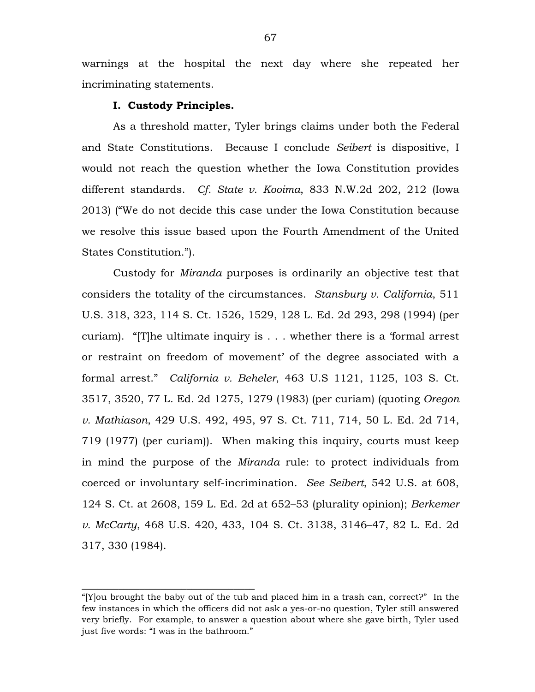warnings at the hospital the next day where she repeated her incriminating statements.

## **I. Custody Principles.**

\_\_\_\_\_\_\_\_\_\_\_\_\_\_\_\_\_\_\_\_\_\_\_\_\_\_\_\_\_\_\_\_\_

As a threshold matter, Tyler brings claims under both the Federal and State Constitutions. Because I conclude *Seibert* is dispositive, I would not reach the question whether the Iowa Constitution provides different standards. *Cf. State v. Kooima*, 833 N.W.2d 202, 212 (Iowa 2013) ("We do not decide this case under the Iowa Constitution because we resolve this issue based upon the Fourth Amendment of the United States Constitution.").

Custody for *Miranda* purposes is ordinarily an objective test that considers the totality of the circumstances. *Stansbury v. California*, 511 U.S. 318, 323, 114 S. Ct. 1526, 1529, 128 L. Ed. 2d 293, 298 (1994) (per curiam). "[T]he ultimate inquiry is . . . whether there is a 'formal arrest or restraint on freedom of movement' of the degree associated with a formal arrest." *California v. Beheler*, 463 U.S 1121, 1125, 103 S. Ct. 3517, 3520, 77 L. Ed. 2d 1275, 1279 (1983) (per curiam) (quoting *Oregon v. Mathiason*, 429 U.S. 492, 495, 97 S. Ct. 711, 714, 50 L. Ed. 2d 714, 719 (1977) (per curiam)). When making this inquiry, courts must keep in mind the purpose of the *Miranda* rule: to protect individuals from coerced or involuntary self-incrimination. *See Seibert*, 542 U.S. at 608, 124 S. Ct. at 2608, 159 L. Ed. 2d at 652–53 (plurality opinion); *Berkemer v. McCarty*, 468 U.S. 420, 433, 104 S. Ct. 3138, 3146–47, 82 L. Ed. 2d 317, 330 (1984).

<sup>&</sup>quot;[Y]ou brought the baby out of the tub and placed him in a trash can, correct?" In the few instances in which the officers did not ask a yes-or-no question, Tyler still answered very briefly. For example, to answer a question about where she gave birth, Tyler used just five words: "I was in the bathroom."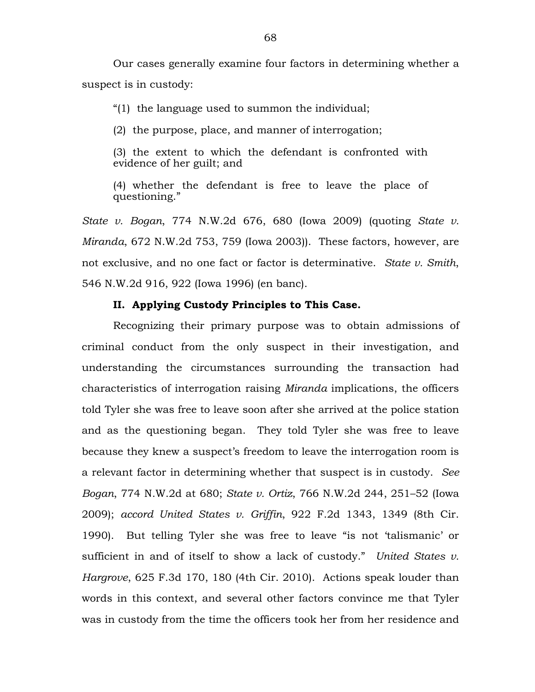Our cases generally examine four factors in determining whether a suspect is in custody:

"(1) the language used to summon the individual;

(2) the purpose, place, and manner of interrogation;

(3) the extent to which the defendant is confronted with evidence of her guilt; and

(4) whether the defendant is free to leave the place of questioning."

*State v. Bogan*, 774 N.W.2d 676, 680 (Iowa 2009) (quoting *State v. Miranda*, 672 N.W.2d 753, 759 (Iowa 2003)). These factors, however, are not exclusive, and no one fact or factor is determinative. *State v. Smith*, 546 N.W.2d 916, 922 (Iowa 1996) (en banc).

### **II. Applying Custody Principles to This Case.**

Recognizing their primary purpose was to obtain admissions of criminal conduct from the only suspect in their investigation, and understanding the circumstances surrounding the transaction had characteristics of interrogation raising *Miranda* implications, the officers told Tyler she was free to leave soon after she arrived at the police station and as the questioning began. They told Tyler she was free to leave because they knew a suspect's freedom to leave the interrogation room is a relevant factor in determining whether that suspect is in custody. *See Bogan*, 774 N.W.2d at 680; *State v. Ortiz*, 766 N.W.2d 244, 251–52 (Iowa 2009); *accord United States v. Griffin*, 922 F.2d 1343, 1349 (8th Cir. 1990). But telling Tyler she was free to leave "is not 'talismanic' or sufficient in and of itself to show a lack of custody." *United States v. Hargrove*, 625 F.3d 170, 180 (4th Cir. 2010). Actions speak louder than words in this context, and several other factors convince me that Tyler was in custody from the time the officers took her from her residence and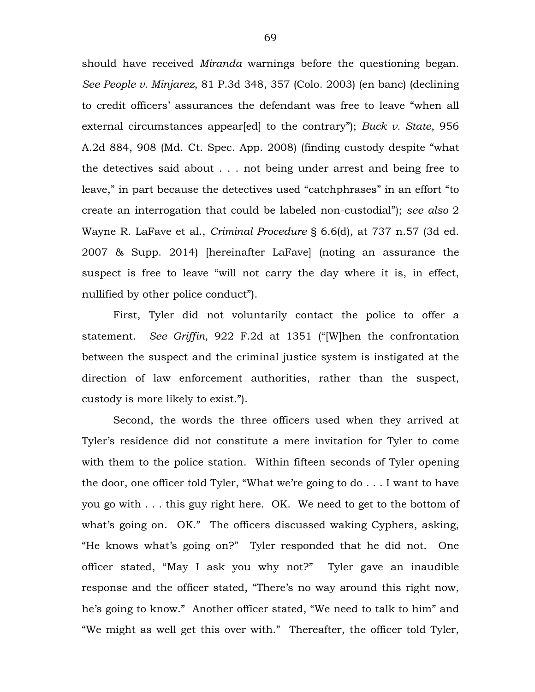should have received *Miranda* warnings before the questioning began. *See People v. Minjarez*, 81 P.3d 348, 357 (Colo. 2003) (en banc) (declining to credit officers' assurances the defendant was free to leave "when all external circumstances appear[ed] to the contrary"); *Buck v. State*, 956 A.2d 884, 908 (Md. Ct. Spec. App. 2008) (finding custody despite "what the detectives said about . . . not being under arrest and being free to leave," in part because the detectives used "catchphrases" in an effort "to create an interrogation that could be labeled non-custodial"); *see also* 2 Wayne R. LaFave et al., *Criminal Procedure* § 6.6(d), at 737 n.57 (3d ed. 2007 & Supp. 2014) [hereinafter LaFave] (noting an assurance the suspect is free to leave "will not carry the day where it is, in effect, nullified by other police conduct").

First, Tyler did not voluntarily contact the police to offer a statement. *See Griffin*, 922 F.2d at 1351 ("[W]hen the confrontation between the suspect and the criminal justice system is instigated at the direction of law enforcement authorities, rather than the suspect, custody is more likely to exist.").

Second, the words the three officers used when they arrived at Tyler's residence did not constitute a mere invitation for Tyler to come with them to the police station. Within fifteen seconds of Tyler opening the door, one officer told Tyler, "What we're going to do . . . I want to have you go with . . . this guy right here. OK. We need to get to the bottom of what's going on. OK." The officers discussed waking Cyphers, asking, "He knows what's going on?" Tyler responded that he did not. One officer stated, "May I ask you why not?" Tyler gave an inaudible response and the officer stated, "There's no way around this right now, he's going to know." Another officer stated, "We need to talk to him" and "We might as well get this over with." Thereafter, the officer told Tyler,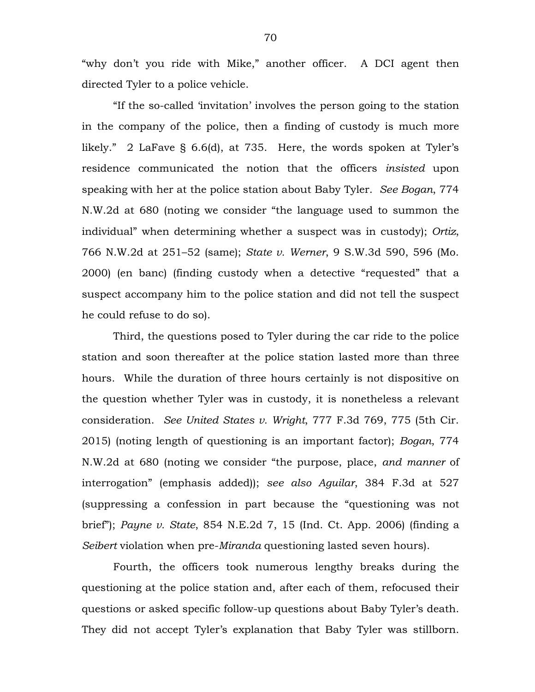"why don't you ride with Mike," another officer. A DCI agent then directed Tyler to a police vehicle.

"If the so-called 'invitation' involves the person going to the station in the company of the police, then a finding of custody is much more likely." 2 LaFave § 6.6(d), at 735. Here, the words spoken at Tyler's residence communicated the notion that the officers *insisted* upon speaking with her at the police station about Baby Tyler. *See Bogan*, 774 N.W.2d at 680 (noting we consider "the language used to summon the individual" when determining whether a suspect was in custody); *Ortiz*, 766 N.W.2d at 251–52 (same); *State v. Werner*, 9 S.W.3d 590, 596 (Mo. 2000) (en banc) (finding custody when a detective "requested" that a suspect accompany him to the police station and did not tell the suspect he could refuse to do so).

Third, the questions posed to Tyler during the car ride to the police station and soon thereafter at the police station lasted more than three hours. While the duration of three hours certainly is not dispositive on the question whether Tyler was in custody, it is nonetheless a relevant consideration. *See United States v. Wright*, 777 F.3d 769, 775 (5th Cir. 2015) (noting length of questioning is an important factor); *Bogan*, 774 N.W.2d at 680 (noting we consider "the purpose, place, *and manner* of interrogation" (emphasis added)); *see also Aguilar*, 384 F.3d at 527 (suppressing a confession in part because the "questioning was not brief"); *Payne v. State*, 854 N.E.2d 7, 15 (Ind. Ct. App. 2006) (finding a *Seibert* violation when pre-*Miranda* questioning lasted seven hours).

Fourth, the officers took numerous lengthy breaks during the questioning at the police station and, after each of them, refocused their questions or asked specific follow-up questions about Baby Tyler's death. They did not accept Tyler's explanation that Baby Tyler was stillborn.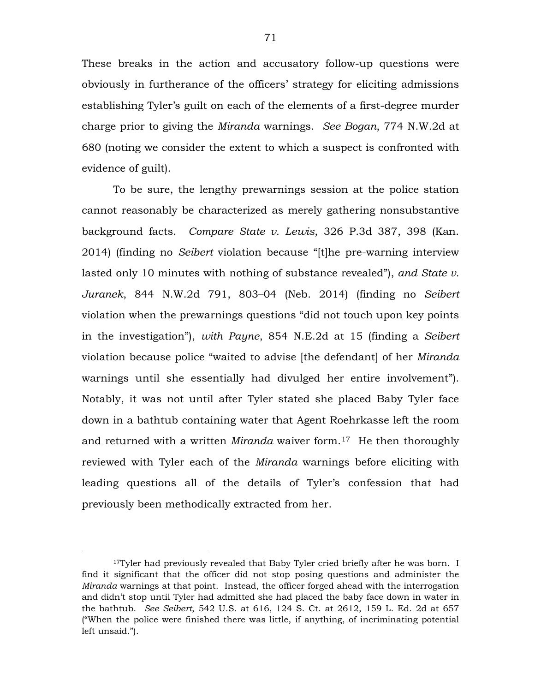These breaks in the action and accusatory follow-up questions were obviously in furtherance of the officers' strategy for eliciting admissions establishing Tyler's guilt on each of the elements of a first-degree murder charge prior to giving the *Miranda* warnings. *See Bogan*, 774 N.W.2d at 680 (noting we consider the extent to which a suspect is confronted with evidence of guilt).

To be sure, the lengthy prewarnings session at the police station cannot reasonably be characterized as merely gathering nonsubstantive background facts. *Compare State v. Lewis*, 326 P.3d 387, 398 (Kan. 2014) (finding no *Seibert* violation because "[t]he pre-warning interview lasted only 10 minutes with nothing of substance revealed"), *and State v. Juranek*, 844 N.W.2d 791, 803–04 (Neb. 2014) (finding no *Seibert* violation when the prewarnings questions "did not touch upon key points in the investigation"), *with Payne*, 854 N.E.2d at 15 (finding a *Seibert* violation because police "waited to advise [the defendant] of her *Miranda* warnings until she essentially had divulged her entire involvement"). Notably, it was not until after Tyler stated she placed Baby Tyler face down in a bathtub containing water that Agent Roehrkasse left the room and returned with a written *Miranda* waiver form.[17](#page-70-0) He then thoroughly reviewed with Tyler each of the *Miranda* warnings before eliciting with leading questions all of the details of Tyler's confession that had previously been methodically extracted from her.

 $\overline{a}$ 

<span id="page-70-0"></span> $17$ Tyler had previously revealed that Baby Tyler cried briefly after he was born. I find it significant that the officer did not stop posing questions and administer the *Miranda* warnings at that point. Instead, the officer forged ahead with the interrogation and didn't stop until Tyler had admitted she had placed the baby face down in water in the bathtub. *See Seibert*, 542 U.S. at 616, 124 S. Ct. at 2612, 159 L. Ed. 2d at 657 ("When the police were finished there was little, if anything, of incriminating potential left unsaid.").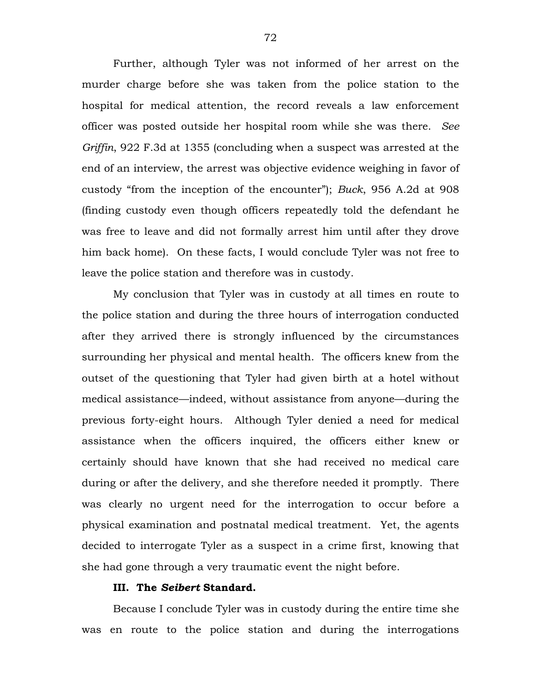Further, although Tyler was not informed of her arrest on the murder charge before she was taken from the police station to the hospital for medical attention, the record reveals a law enforcement officer was posted outside her hospital room while she was there. *See Griffin*, 922 F.3d at 1355 (concluding when a suspect was arrested at the end of an interview, the arrest was objective evidence weighing in favor of custody "from the inception of the encounter"); *Buck*, 956 A.2d at 908 (finding custody even though officers repeatedly told the defendant he was free to leave and did not formally arrest him until after they drove him back home). On these facts, I would conclude Tyler was not free to leave the police station and therefore was in custody.

My conclusion that Tyler was in custody at all times en route to the police station and during the three hours of interrogation conducted after they arrived there is strongly influenced by the circumstances surrounding her physical and mental health. The officers knew from the outset of the questioning that Tyler had given birth at a hotel without medical assistance—indeed, without assistance from anyone—during the previous forty-eight hours. Although Tyler denied a need for medical assistance when the officers inquired, the officers either knew or certainly should have known that she had received no medical care during or after the delivery, and she therefore needed it promptly. There was clearly no urgent need for the interrogation to occur before a physical examination and postnatal medical treatment. Yet, the agents decided to interrogate Tyler as a suspect in a crime first, knowing that she had gone through a very traumatic event the night before.

# **III. The** *Seibert* **Standard.**

Because I conclude Tyler was in custody during the entire time she was en route to the police station and during the interrogations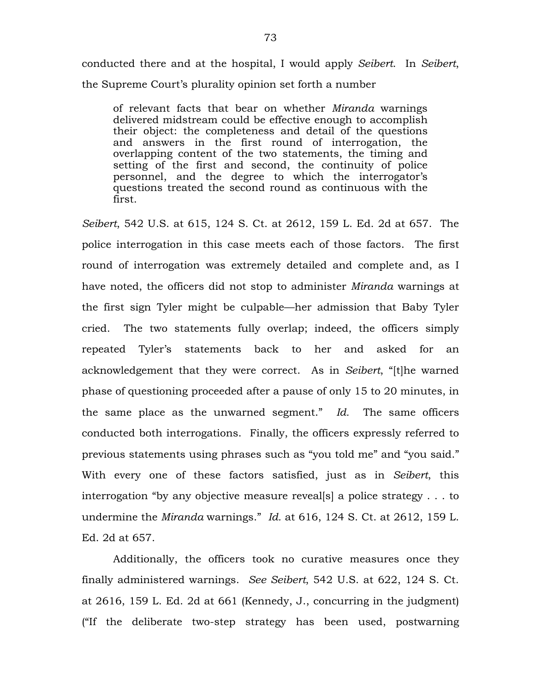conducted there and at the hospital, I would apply *Seibert*.In *Seibert*, the Supreme Court's plurality opinion set forth a number

of relevant facts that bear on whether *Miranda* warnings delivered midstream could be effective enough to accomplish their object: the completeness and detail of the questions and answers in the first round of interrogation, the overlapping content of the two statements, the timing and setting of the first and second, the continuity of police personnel, and the degree to which the interrogator's questions treated the second round as continuous with the first.

*Seibert*, 542 U.S. at 615, 124 S. Ct. at 2612, 159 L. Ed. 2d at 657. The police interrogation in this case meets each of those factors. The first round of interrogation was extremely detailed and complete and, as I have noted, the officers did not stop to administer *Miranda* warnings at the first sign Tyler might be culpable—her admission that Baby Tyler cried. The two statements fully overlap; indeed, the officers simply repeated Tyler's statements back to her and asked for an acknowledgement that they were correct. As in *Seibert*, "[t]he warned phase of questioning proceeded after a pause of only 15 to 20 minutes, in the same place as the unwarned segment." *Id.* The same officers conducted both interrogations. Finally, the officers expressly referred to previous statements using phrases such as "you told me" and "you said." With every one of these factors satisfied, just as in *Seibert*, this interrogation "by any objective measure reveal[s] a police strategy . . . to undermine the *Miranda* warnings." *Id.* at 616, 124 S. Ct. at 2612, 159 L. Ed. 2d at 657.

Additionally, the officers took no curative measures once they finally administered warnings. *See Seibert*, 542 U.S. at 622, 124 S. Ct. at 2616, 159 L. Ed. 2d at 661 (Kennedy, J., concurring in the judgment) ("If the deliberate two-step strategy has been used, postwarning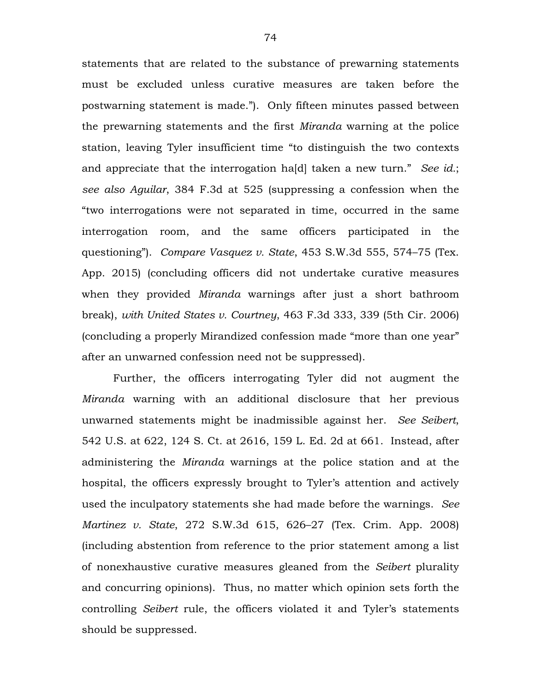statements that are related to the substance of prewarning statements must be excluded unless curative measures are taken before the postwarning statement is made."). Only fifteen minutes passed between the prewarning statements and the first *Miranda* warning at the police station, leaving Tyler insufficient time "to distinguish the two contexts and appreciate that the interrogation ha[d] taken a new turn." *See id.*; *see also Aguilar*, 384 F.3d at 525 (suppressing a confession when the "two interrogations were not separated in time, occurred in the same interrogation room, and the same officers participated in the questioning"). *Compare Vasquez v. State*, 453 S.W.3d 555, 574–75 (Tex. App. 2015) (concluding officers did not undertake curative measures when they provided *Miranda* warnings after just a short bathroom break), *with United States v. Courtney*, 463 F.3d 333, 339 (5th Cir. 2006) (concluding a properly Mirandized confession made "more than one year" after an unwarned confession need not be suppressed).

Further, the officers interrogating Tyler did not augment the *Miranda* warning with an additional disclosure that her previous unwarned statements might be inadmissible against her. *See Seibert*, 542 U.S. at 622, 124 S. Ct. at 2616, 159 L. Ed. 2d at 661. Instead, after administering the *Miranda* warnings at the police station and at the hospital, the officers expressly brought to Tyler's attention and actively used the inculpatory statements she had made before the warnings. *See Martinez v. State*, 272 S.W.3d 615, 626–27 (Tex. Crim. App. 2008) (including abstention from reference to the prior statement among a list of nonexhaustive curative measures gleaned from the *Seibert* plurality and concurring opinions). Thus, no matter which opinion sets forth the controlling *Seibert* rule, the officers violated it and Tyler's statements should be suppressed.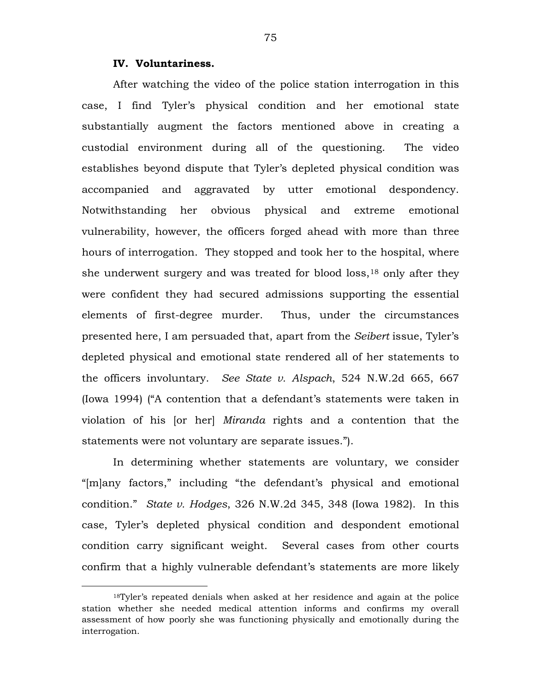# **IV. Voluntariness.**

 $\overline{a}$ 

After watching the video of the police station interrogation in this case, I find Tyler's physical condition and her emotional state substantially augment the factors mentioned above in creating a custodial environment during all of the questioning. The video establishes beyond dispute that Tyler's depleted physical condition was accompanied and aggravated by utter emotional despondency. Notwithstanding her obvious physical and extreme emotional vulnerability, however, the officers forged ahead with more than three hours of interrogation. They stopped and took her to the hospital, where she underwent surgery and was treated for blood loss,[18](#page-74-0) only after they were confident they had secured admissions supporting the essential elements of first-degree murder. Thus, under the circumstances presented here, I am persuaded that, apart from the *Seibert* issue, Tyler's depleted physical and emotional state rendered all of her statements to the officers involuntary. *See State v. Alspach*, 524 N.W.2d 665, 667 (Iowa 1994) ("A contention that a defendant's statements were taken in violation of his [or her] *Miranda* rights and a contention that the statements were not voluntary are separate issues.").

In determining whether statements are voluntary, we consider "[m]any factors," including "the defendant's physical and emotional condition." *State v. Hodges*, 326 N.W.2d 345, 348 (Iowa 1982). In this case, Tyler's depleted physical condition and despondent emotional condition carry significant weight. Several cases from other courts confirm that a highly vulnerable defendant's statements are more likely

<span id="page-74-0"></span><sup>18</sup>Tyler's repeated denials when asked at her residence and again at the police station whether she needed medical attention informs and confirms my overall assessment of how poorly she was functioning physically and emotionally during the interrogation.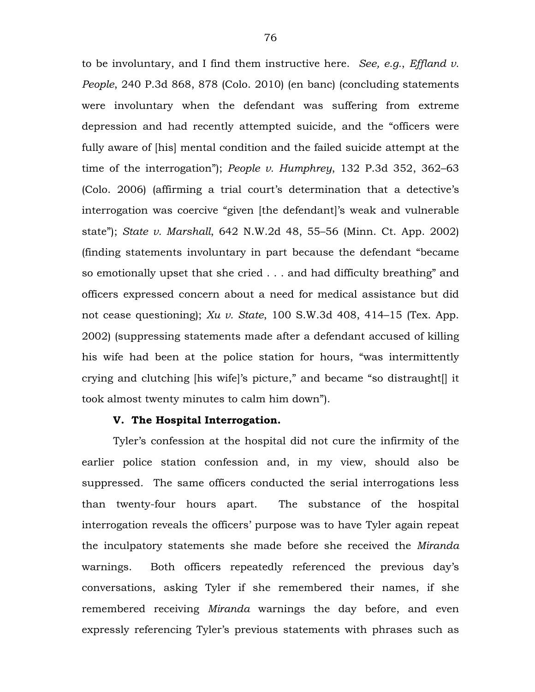to be involuntary, and I find them instructive here. *See, e.g.*, *Effland v. People*, 240 P.3d 868, 878 (Colo. 2010) (en banc) (concluding statements were involuntary when the defendant was suffering from extreme depression and had recently attempted suicide, and the "officers were fully aware of [his] mental condition and the failed suicide attempt at the time of the interrogation"); *People v. Humphrey*, 132 P.3d 352, 362–63 (Colo. 2006) (affirming a trial court's determination that a detective's interrogation was coercive "given [the defendant]'s weak and vulnerable state"); *State v. Marshall*, 642 N.W.2d 48, 55–56 (Minn. Ct. App. 2002) (finding statements involuntary in part because the defendant "became so emotionally upset that she cried . . . and had difficulty breathing" and officers expressed concern about a need for medical assistance but did not cease questioning); *Xu v. State*, 100 S.W.3d 408, 414–15 (Tex. App. 2002) (suppressing statements made after a defendant accused of killing his wife had been at the police station for hours, "was intermittently crying and clutching [his wife]'s picture," and became "so distraught[] it took almost twenty minutes to calm him down").

#### **V. The Hospital Interrogation.**

Tyler's confession at the hospital did not cure the infirmity of the earlier police station confession and, in my view, should also be suppressed. The same officers conducted the serial interrogations less than twenty-four hours apart. The substance of the hospital interrogation reveals the officers' purpose was to have Tyler again repeat the inculpatory statements she made before she received the *Miranda* warnings. Both officers repeatedly referenced the previous day's conversations, asking Tyler if she remembered their names, if she remembered receiving *Miranda* warnings the day before, and even expressly referencing Tyler's previous statements with phrases such as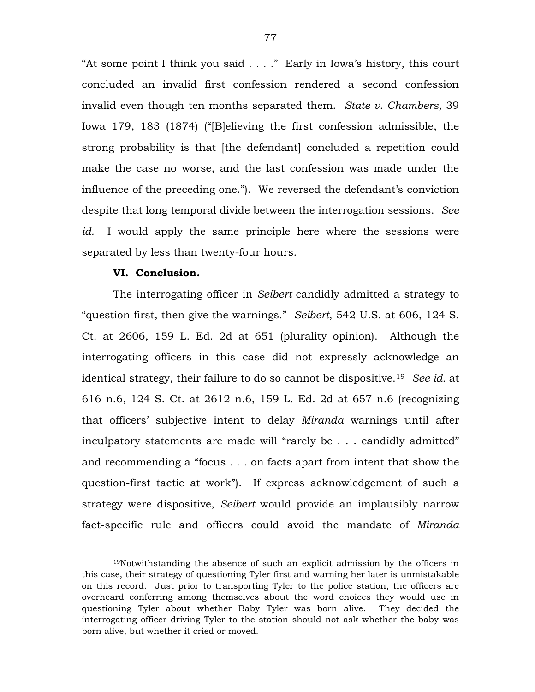"At some point I think you said . . . ."Early in Iowa's history, this court concluded an invalid first confession rendered a second confession invalid even though ten months separated them. *State v. Chambers*, 39 Iowa 179, 183 (1874) ("[B]elieving the first confession admissible, the strong probability is that [the defendant] concluded a repetition could make the case no worse, and the last confession was made under the influence of the preceding one."). We reversed the defendant's conviction despite that long temporal divide between the interrogation sessions. *See id.* I would apply the same principle here where the sessions were separated by less than twenty-four hours.

# **VI. Conclusion.**

 $\overline{a}$ 

The interrogating officer in *Seibert* candidly admitted a strategy to "question first, then give the warnings." *Seibert*, 542 U.S. at 606, 124 S. Ct. at 2606, 159 L. Ed. 2d at 651 (plurality opinion). Although the interrogating officers in this case did not expressly acknowledge an identical strategy, their failure to do so cannot be dispositive[.19](#page-76-0) *See id.* at 616 n.6, 124 S. Ct. at 2612 n.6, 159 L. Ed. 2d at 657 n.6 (recognizing that officers' subjective intent to delay *Miranda* warnings until after inculpatory statements are made will "rarely be . . . candidly admitted" and recommending a "focus . . . on facts apart from intent that show the question-first tactic at work"). If express acknowledgement of such a strategy were dispositive, *Seibert* would provide an implausibly narrow fact-specific rule and officers could avoid the mandate of *Miranda* 

<span id="page-76-0"></span><sup>19</sup>Notwithstanding the absence of such an explicit admission by the officers in this case, their strategy of questioning Tyler first and warning her later is unmistakable on this record. Just prior to transporting Tyler to the police station, the officers are overheard conferring among themselves about the word choices they would use in questioning Tyler about whether Baby Tyler was born alive. They decided the interrogating officer driving Tyler to the station should not ask whether the baby was born alive, but whether it cried or moved.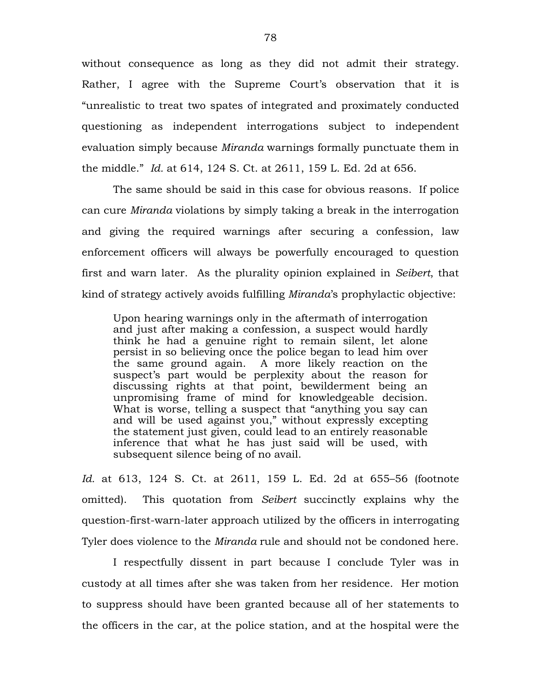without consequence as long as they did not admit their strategy. Rather, I agree with the Supreme Court's observation that it is "unrealistic to treat two spates of integrated and proximately conducted questioning as independent interrogations subject to independent evaluation simply because *Miranda* warnings formally punctuate them in the middle." *Id.* at 614, 124 S. Ct. at 2611, 159 L. Ed. 2d at 656.

The same should be said in this case for obvious reasons. If police can cure *Miranda* violations by simply taking a break in the interrogation and giving the required warnings after securing a confession, law enforcement officers will always be powerfully encouraged to question first and warn later. As the plurality opinion explained in *Seibert*, that kind of strategy actively avoids fulfilling *Miranda*'s prophylactic objective:

Upon hearing warnings only in the aftermath of interrogation and just after making a confession, a suspect would hardly think he had a genuine right to remain silent, let alone persist in so believing once the police began to lead him over the same ground again. A more likely reaction on the suspect's part would be perplexity about the reason for discussing rights at that point, bewilderment being an unpromising frame of mind for knowledgeable decision. What is worse, telling a suspect that "anything you say can and will be used against you," without expressly excepting the statement just given, could lead to an entirely reasonable inference that what he has just said will be used, with subsequent silence being of no avail.

*Id.* at 613, 124 S. Ct. at 2611, 159 L. Ed. 2d at 655–56 (footnote omitted). This quotation from *Seibert* succinctly explains why the question-first-warn-later approach utilized by the officers in interrogating Tyler does violence to the *Miranda* rule and should not be condoned here.

I respectfully dissent in part because I conclude Tyler was in custody at all times after she was taken from her residence. Her motion to suppress should have been granted because all of her statements to the officers in the car, at the police station, and at the hospital were the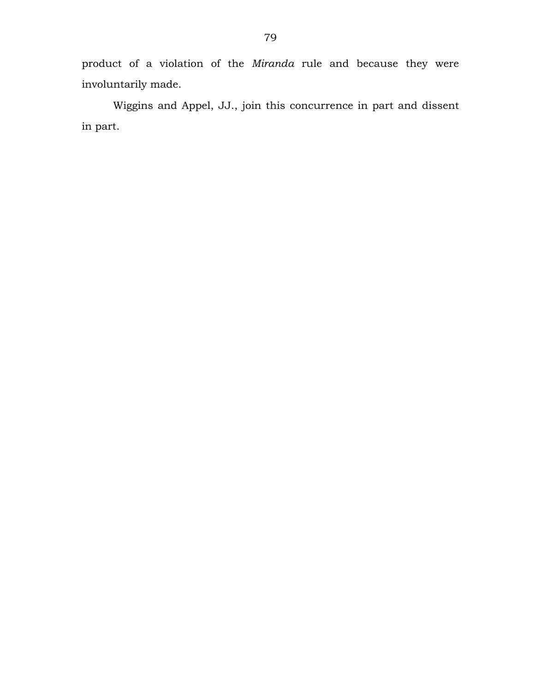product of a violation of the *Miranda* rule and because they were involuntarily made.

Wiggins and Appel, JJ., join this concurrence in part and dissent in part.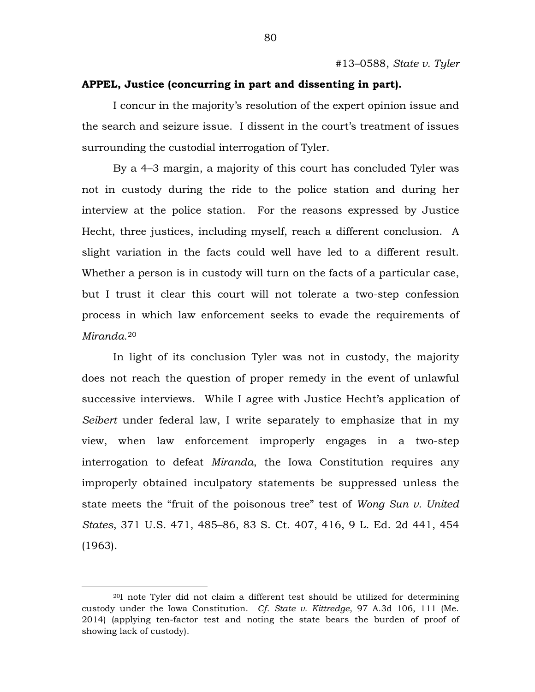# **APPEL, Justice (concurring in part and dissenting in part).**

I concur in the majority's resolution of the expert opinion issue and the search and seizure issue. I dissent in the court's treatment of issues surrounding the custodial interrogation of Tyler.

By a 4–3 margin, a majority of this court has concluded Tyler was not in custody during the ride to the police station and during her interview at the police station. For the reasons expressed by Justice Hecht, three justices, including myself, reach a different conclusion. A slight variation in the facts could well have led to a different result. Whether a person is in custody will turn on the facts of a particular case, but I trust it clear this court will not tolerate a two-step confession process in which law enforcement seeks to evade the requirements of *Miranda.*[20](#page-79-0)

In light of its conclusion Tyler was not in custody, the majority does not reach the question of proper remedy in the event of unlawful successive interviews. While I agree with Justice Hecht's application of *Seibert* under federal law, I write separately to emphasize that in my view, when law enforcement improperly engages in a two-step interrogation to defeat *Miranda*, the Iowa Constitution requires any improperly obtained inculpatory statements be suppressed unless the state meets the "fruit of the poisonous tree" test of *Wong Sun v. United States*, 371 U.S. 471, 485–86, 83 S. Ct. 407, 416, 9 L. Ed. 2d 441, 454 (1963).

 $\overline{a}$ 

<span id="page-79-0"></span><sup>20</sup>I note Tyler did not claim a different test should be utilized for determining custody under the Iowa Constitution. *Cf. State v. Kittredge*, 97 A.3d 106, 111 (Me. 2014) (applying ten-factor test and noting the state bears the burden of proof of showing lack of custody).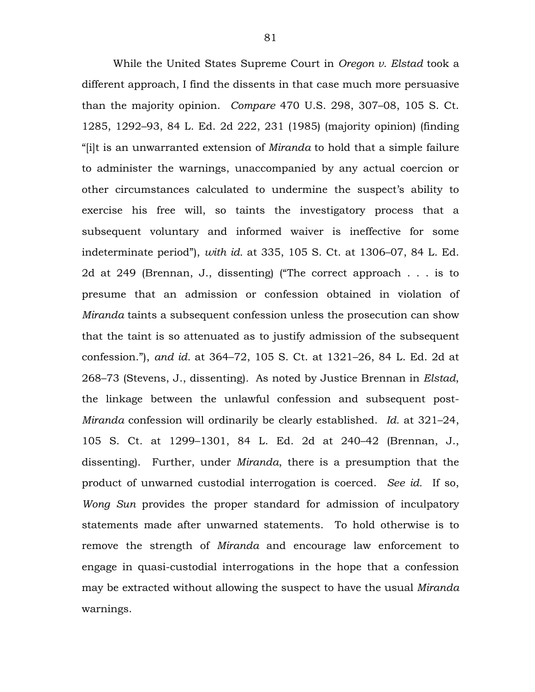While the United States Supreme Court in *Oregon v. Elstad* took a different approach, I find the dissents in that case much more persuasive than the majority opinion. *Compare* 470 U.S. 298, 307–08, 105 S. Ct. 1285, 1292–93, 84 L. Ed. 2d 222, 231 (1985) (majority opinion) (finding "[i]t is an unwarranted extension of *Miranda* to hold that a simple failure to administer the warnings, unaccompanied by any actual coercion or other circumstances calculated to undermine the suspect's ability to exercise his free will, so taints the investigatory process that a subsequent voluntary and informed waiver is ineffective for some indeterminate period"), *with id.* at 335, 105 S. Ct. at 1306–07, 84 L. Ed. 2d at 249 (Brennan, J., dissenting) ("The correct approach . . . is to presume that an admission or confession obtained in violation of *Miranda* taints a subsequent confession unless the prosecution can show that the taint is so attenuated as to justify admission of the subsequent confession."), *and id.* at 364–72, 105 S. Ct. at 1321–26, 84 L. Ed. 2d at 268–73 (Stevens, J., dissenting)*.* As noted by Justice Brennan in *Elstad*, the linkage between the unlawful confession and subsequent post-*Miranda* confession will ordinarily be clearly established. *Id.* at 321–24, 105 S. Ct. at 1299–1301, 84 L. Ed. 2d at 240–42 (Brennan, J., dissenting). Further, under *Miranda*, there is a presumption that the product of unwarned custodial interrogation is coerced. *See id.* If so, *Wong Sun* provides the proper standard for admission of inculpatory statements made after unwarned statements. To hold otherwise is to remove the strength of *Miranda* and encourage law enforcement to engage in quasi-custodial interrogations in the hope that a confession may be extracted without allowing the suspect to have the usual *Miranda* warnings.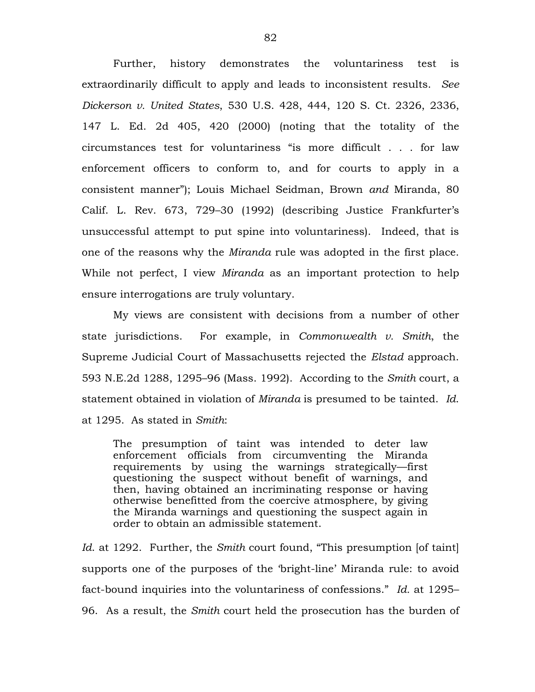Further, history demonstrates the voluntariness test is extraordinarily difficult to apply and leads to inconsistent results. *See Dickerson v. United States*, 530 U.S. 428, 444, 120 S. Ct. 2326, 2336, 147 L. Ed. 2d 405, 420 (2000) (noting that the totality of the circumstances test for voluntariness "is more difficult . . . for law enforcement officers to conform to, and for courts to apply in a consistent manner"); Louis Michael Seidman, Brown *and* Miranda, 80 Calif. L. Rev. 673, 729–30 (1992) (describing Justice Frankfurter's unsuccessful attempt to put spine into voluntariness). Indeed, that is one of the reasons why the *Miranda* rule was adopted in the first place. While not perfect, I view *Miranda* as an important protection to help ensure interrogations are truly voluntary.

My views are consistent with decisions from a number of other state jurisdictions. For example, in *Commonwealth v. Smith*, the Supreme Judicial Court of Massachusetts rejected the *Elstad* approach. 593 N.E.2d 1288, 1295–96 (Mass. 1992). According to the *Smith* court, a statement obtained in violation of *Miranda* is presumed to be tainted. *Id*. at 1295. As stated in *Smith*:

The presumption of taint was intended to deter law enforcement officials from circumventing the Miranda requirements by using the warnings strategically—first questioning the suspect without benefit of warnings, and then, having obtained an incriminating response or having otherwise benefitted from the coercive atmosphere, by giving the Miranda warnings and questioning the suspect again in order to obtain an admissible statement.

*Id*. at 1292. Further, the *Smith* court found, "This presumption [of taint] supports one of the purposes of the 'bright-line' Miranda rule: to avoid fact-bound inquiries into the voluntariness of confessions." *Id.* at 1295– 96. As a result, the *Smith* court held the prosecution has the burden of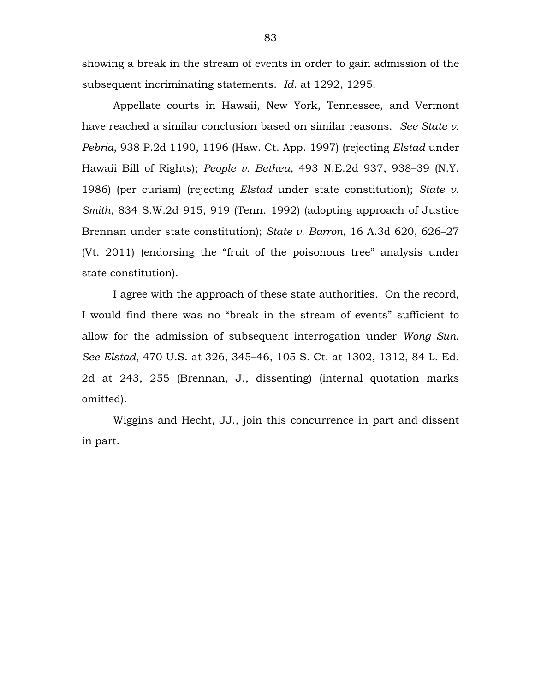showing a break in the stream of events in order to gain admission of the subsequent incriminating statements. *Id*. at 1292, 1295.

Appellate courts in Hawaii, New York, Tennessee, and Vermont have reached a similar conclusion based on similar reasons. *See State v. Pebria*, 938 P.2d 1190, 1196 (Haw. Ct. App. 1997) (rejecting *Elstad* under Hawaii Bill of Rights); *People v. Bethea*, 493 N.E.2d 937, 938–39 (N.Y. 1986) (per curiam) (rejecting *Elstad* under state constitution); *State v. Smith*, 834 S.W.2d 915, 919 (Tenn. 1992) (adopting approach of Justice Brennan under state constitution); *State v. Barron*, 16 A.3d 620, 626–27 (Vt. 2011) (endorsing the "fruit of the poisonous tree" analysis under state constitution).

I agree with the approach of these state authorities. On the record, I would find there was no "break in the stream of events" sufficient to allow for the admission of subsequent interrogation under *Wong Sun*. *See Elstad*, 470 U.S. at 326, 345–46, 105 S. Ct. at 1302, 1312, 84 L. Ed. 2d at 243, 255 (Brennan, J., dissenting) (internal quotation marks omitted).

Wiggins and Hecht, JJ., join this concurrence in part and dissent in part.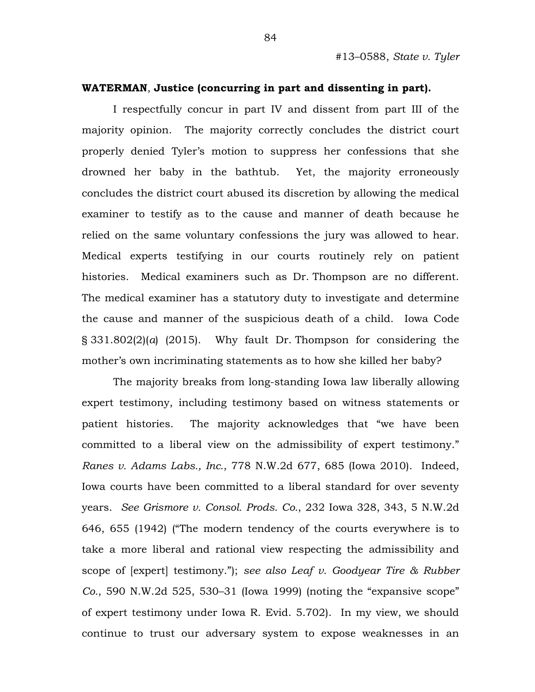#### **WATERMAN**, **Justice (concurring in part and dissenting in part).**

I respectfully concur in part IV and dissent from part III of the majority opinion. The majority correctly concludes the district court properly denied Tyler's motion to suppress her confessions that she drowned her baby in the bathtub. Yet, the majority erroneously concludes the district court abused its discretion by allowing the medical examiner to testify as to the cause and manner of death because he relied on the same voluntary confessions the jury was allowed to hear. Medical experts testifying in our courts routinely rely on patient histories. Medical examiners such as Dr. Thompson are no different. The medical examiner has a statutory duty to investigate and determine the cause and manner of the suspicious death of a child. Iowa Code § 331.802(2)(*a*) (2015). Why fault Dr. Thompson for considering the mother's own incriminating statements as to how she killed her baby?

The majority breaks from long-standing Iowa law liberally allowing expert testimony, including testimony based on witness statements or patient histories. The majority acknowledges that "we have been committed to a liberal view on the admissibility of expert testimony." *Ranes v. Adams Labs., Inc.*, 778 N.W.2d 677, 685 (Iowa 2010). Indeed, Iowa courts have been committed to a liberal standard for over seventy years. *See Grismore v. Consol. Prods. Co.*, 232 Iowa 328, 343, 5 N.W.2d 646, 655 (1942) ("The modern tendency of the courts everywhere is to take a more liberal and rational view respecting the admissibility and scope of [expert] testimony."); *see also Leaf v. Goodyear Tire & Rubber Co.*, 590 N.W.2d 525, 530–31 (Iowa 1999) (noting the "expansive scope" of expert testimony under Iowa R. Evid. 5.702). In my view, we should continue to trust our adversary system to expose weaknesses in an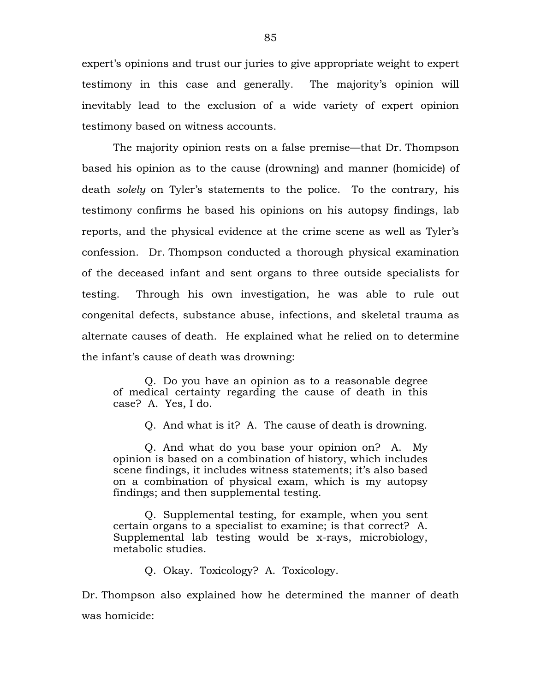expert's opinions and trust our juries to give appropriate weight to expert testimony in this case and generally. The majority's opinion will inevitably lead to the exclusion of a wide variety of expert opinion testimony based on witness accounts.

The majority opinion rests on a false premise—that Dr. Thompson based his opinion as to the cause (drowning) and manner (homicide) of death *solely* on Tyler's statements to the police. To the contrary, his testimony confirms he based his opinions on his autopsy findings, lab reports, and the physical evidence at the crime scene as well as Tyler's confession. Dr. Thompson conducted a thorough physical examination of the deceased infant and sent organs to three outside specialists for testing. Through his own investigation, he was able to rule out congenital defects, substance abuse, infections, and skeletal trauma as alternate causes of death. He explained what he relied on to determine the infant's cause of death was drowning:

Q. Do you have an opinion as to a reasonable degree of medical certainty regarding the cause of death in this case? A. Yes, I do.

Q. And what is it? A. The cause of death is drowning.

Q. And what do you base your opinion on? A. My opinion is based on a combination of history, which includes scene findings, it includes witness statements; it's also based on a combination of physical exam, which is my autopsy findings; and then supplemental testing.

Q. Supplemental testing, for example, when you sent certain organs to a specialist to examine; is that correct? A. Supplemental lab testing would be x-rays, microbiology, metabolic studies.

Q. Okay. Toxicology? A. Toxicology.

Dr. Thompson also explained how he determined the manner of death was homicide: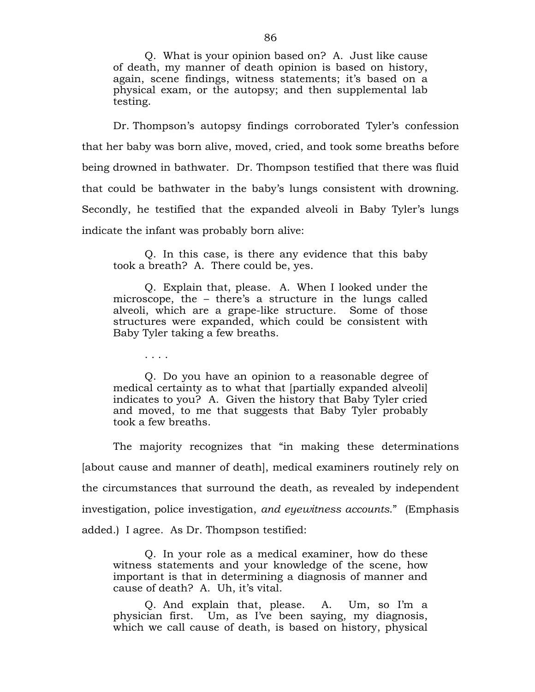Q. What is your opinion based on? A. Just like cause of death, my manner of death opinion is based on history, again, scene findings, witness statements; it's based on a physical exam, or the autopsy; and then supplemental lab testing.

Dr. Thompson's autopsy findings corroborated Tyler's confession that her baby was born alive, moved, cried, and took some breaths before being drowned in bathwater. Dr. Thompson testified that there was fluid that could be bathwater in the baby's lungs consistent with drowning. Secondly, he testified that the expanded alveoli in Baby Tyler's lungs indicate the infant was probably born alive:

Q. In this case, is there any evidence that this baby took a breath? A. There could be, yes.

Q. Explain that, please. A. When I looked under the microscope, the – there's a structure in the lungs called alveoli, which are a grape-like structure. Some of those structures were expanded, which could be consistent with Baby Tyler taking a few breaths.

Q. Do you have an opinion to a reasonable degree of medical certainty as to what that [partially expanded alveoli] indicates to you? A. Given the history that Baby Tyler cried and moved, to me that suggests that Baby Tyler probably took a few breaths.

. . . .

The majority recognizes that "in making these determinations [about cause and manner of death], medical examiners routinely rely on the circumstances that surround the death, as revealed by independent investigation, police investigation, *and eyewitness accounts*." (Emphasis added.) I agree. As Dr. Thompson testified:

Q. In your role as a medical examiner, how do these witness statements and your knowledge of the scene, how important is that in determining a diagnosis of manner and cause of death? A. Uh, it's vital.

Q. And explain that, please. A. Um, so I'm a physician first. Um, as I've been saying, my diagnosis, which we call cause of death, is based on history, physical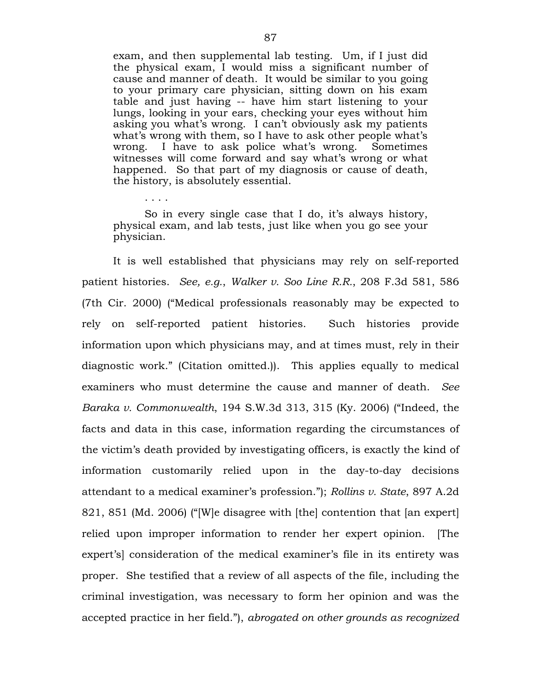exam, and then supplemental lab testing. Um, if I just did the physical exam, I would miss a significant number of cause and manner of death. It would be similar to you going to your primary care physician, sitting down on his exam table and just having -- have him start listening to your lungs, looking in your ears, checking your eyes without him asking you what's wrong. I can't obviously ask my patients what's wrong with them, so I have to ask other people what's wrong. I have to ask police what's wrong. Sometimes witnesses will come forward and say what's wrong or what happened. So that part of my diagnosis or cause of death, the history, is absolutely essential.

So in every single case that I do, it's always history, physical exam, and lab tests, just like when you go see your physician.

. . . .

It is well established that physicians may rely on self-reported patient histories. *See, e.g.*, *Walker v. Soo Line R.R.*, 208 F.3d 581, 586 (7th Cir. 2000) ("Medical professionals reasonably may be expected to rely on self-reported patient histories. Such histories provide information upon which physicians may, and at times must, rely in their diagnostic work." (Citation omitted.)). This applies equally to medical examiners who must determine the cause and manner of death. *See Baraka v. Commonwealth*, 194 S.W.3d 313, 315 (Ky. 2006) ("Indeed, the facts and data in this case, information regarding the circumstances of the victim's death provided by investigating officers, is exactly the kind of information customarily relied upon in the day-to-day decisions attendant to a medical examiner's profession."); *Rollins v. State*, 897 A.2d 821, 851 (Md. 2006) ("[W]e disagree with [the] contention that [an expert] relied upon improper information to render her expert opinion. [The expert's] consideration of the medical examiner's file in its entirety was proper. She testified that a review of all aspects of the file, including the criminal investigation, was necessary to form her opinion and was the accepted practice in her field."), *abrogated on other grounds as recognized*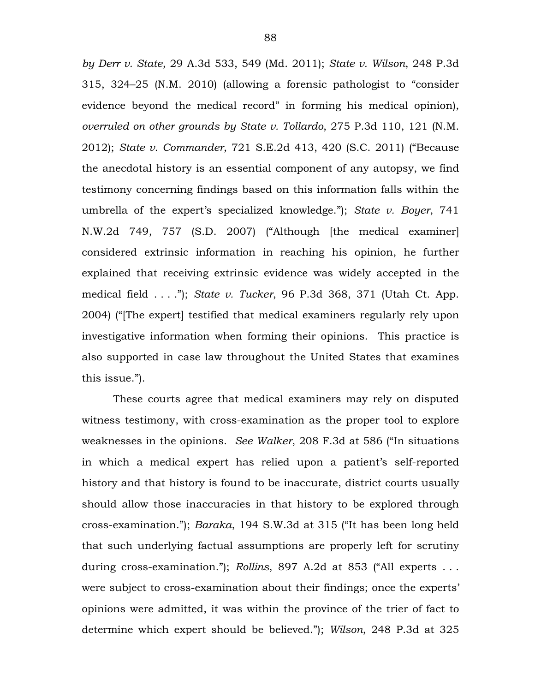*by Derr v. State*, 29 A.3d 533, 549 (Md. 2011); *State v. Wilson*, 248 P.3d 315, 324–25 (N.M. 2010) (allowing a forensic pathologist to "consider evidence beyond the medical record" in forming his medical opinion), *overruled on other grounds by State v. Tollardo*, 275 P.3d 110, 121 (N.M. 2012); *State v. Commander*, 721 S.E.2d 413, 420 (S.C. 2011) ("Because the anecdotal history is an essential component of any autopsy, we find testimony concerning findings based on this information falls within the umbrella of the expert's specialized knowledge."); *State v. Boyer*, 741 N.W.2d 749, 757 (S.D. 2007) ("Although [the medical examiner] considered extrinsic information in reaching his opinion, he further explained that receiving extrinsic evidence was widely accepted in the medical field . . . ."); *State v. Tucker*, 96 P.3d 368, 371 (Utah Ct. App. 2004) ("[The expert] testified that medical examiners regularly rely upon investigative information when forming their opinions. This practice is also supported in case law throughout the United States that examines this issue.").

These courts agree that medical examiners may rely on disputed witness testimony, with cross-examination as the proper tool to explore weaknesses in the opinions. *See Walker*, 208 F.3d at 586 ("In situations in which a medical expert has relied upon a patient's self-reported history and that history is found to be inaccurate, district courts usually should allow those inaccuracies in that history to be explored through cross-examination."); *Baraka*, 194 S.W.3d at 315 ("It has been long held that such underlying factual assumptions are properly left for scrutiny during cross-examination."); *Rollins*, 897 A.2d at 853 ("All experts . . . were subject to cross-examination about their findings; once the experts' opinions were admitted, it was within the province of the trier of fact to determine which expert should be believed."); *Wilson*, 248 P.3d at 325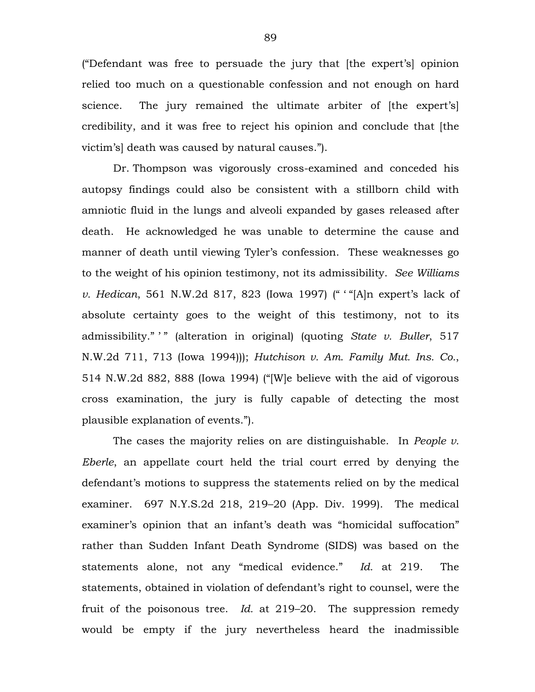("Defendant was free to persuade the jury that [the expert's] opinion relied too much on a questionable confession and not enough on hard science. The jury remained the ultimate arbiter of [the expert's] credibility, and it was free to reject his opinion and conclude that [the victim's] death was caused by natural causes.").

Dr. Thompson was vigorously cross-examined and conceded his autopsy findings could also be consistent with a stillborn child with amniotic fluid in the lungs and alveoli expanded by gases released after death. He acknowledged he was unable to determine the cause and manner of death until viewing Tyler's confession. These weaknesses go to the weight of his opinion testimony, not its admissibility. *See Williams v. Hedican*, 561 N.W.2d 817, 823 (Iowa 1997) (" ' "[A]n expert's lack of absolute certainty goes to the weight of this testimony, not to its admissibility." <sup>"</sup> " (alteration in original) (quoting *State v. Buller*, 517 N.W.2d 711, 713 (Iowa 1994))); *Hutchison v. Am. Family Mut. Ins. Co.*, 514 N.W.2d 882, 888 (Iowa 1994) ("[W]e believe with the aid of vigorous cross examination, the jury is fully capable of detecting the most plausible explanation of events.").

The cases the majority relies on are distinguishable. In *People v. Eberle*, an appellate court held the trial court erred by denying the defendant's motions to suppress the statements relied on by the medical examiner. 697 N.Y.S.2d 218, 219–20 (App. Div. 1999). The medical examiner's opinion that an infant's death was "homicidal suffocation" rather than Sudden Infant Death Syndrome (SIDS) was based on the statements alone, not any "medical evidence." *Id.* at 219. The statements, obtained in violation of defendant's right to counsel, were the fruit of the poisonous tree. *Id.* at 219–20. The suppression remedy would be empty if the jury nevertheless heard the inadmissible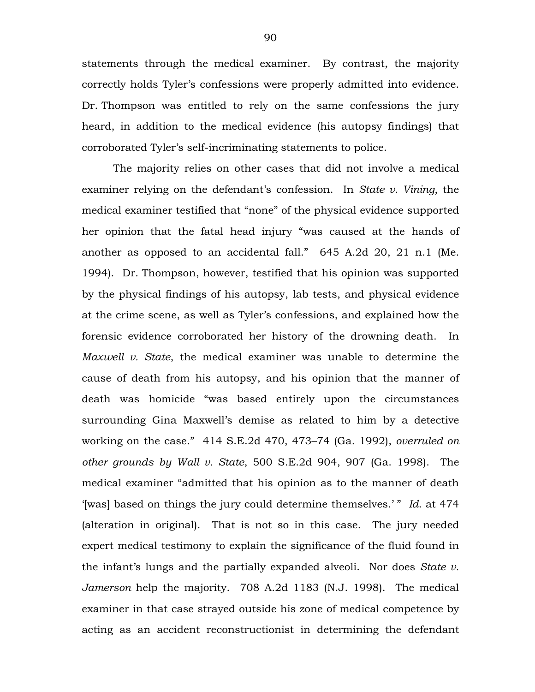statements through the medical examiner. By contrast, the majority correctly holds Tyler's confessions were properly admitted into evidence. Dr. Thompson was entitled to rely on the same confessions the jury heard, in addition to the medical evidence (his autopsy findings) that corroborated Tyler's self-incriminating statements to police.

The majority relies on other cases that did not involve a medical examiner relying on the defendant's confession. In *State v. Vining*, the medical examiner testified that "none" of the physical evidence supported her opinion that the fatal head injury "was caused at the hands of another as opposed to an accidental fall." 645 A.2d 20, 21 n.1 (Me. 1994). Dr. Thompson, however, testified that his opinion was supported by the physical findings of his autopsy, lab tests, and physical evidence at the crime scene, as well as Tyler's confessions, and explained how the forensic evidence corroborated her history of the drowning death. In *Maxwell v. State*, the medical examiner was unable to determine the cause of death from his autopsy, and his opinion that the manner of death was homicide "was based entirely upon the circumstances surrounding Gina Maxwell's demise as related to him by a detective working on the case." 414 S.E.2d 470, 473–74 (Ga. 1992), *overruled on other grounds by Wall v. State*, 500 S.E.2d 904, 907 (Ga. 1998). The medical examiner "admitted that his opinion as to the manner of death '[was] based on things the jury could determine themselves.'" *Id.* at 474 (alteration in original). That is not so in this case. The jury needed expert medical testimony to explain the significance of the fluid found in the infant's lungs and the partially expanded alveoli. Nor does *State v. Jamerson* help the majority. 708 A.2d 1183 (N.J. 1998). The medical examiner in that case strayed outside his zone of medical competence by acting as an accident reconstructionist in determining the defendant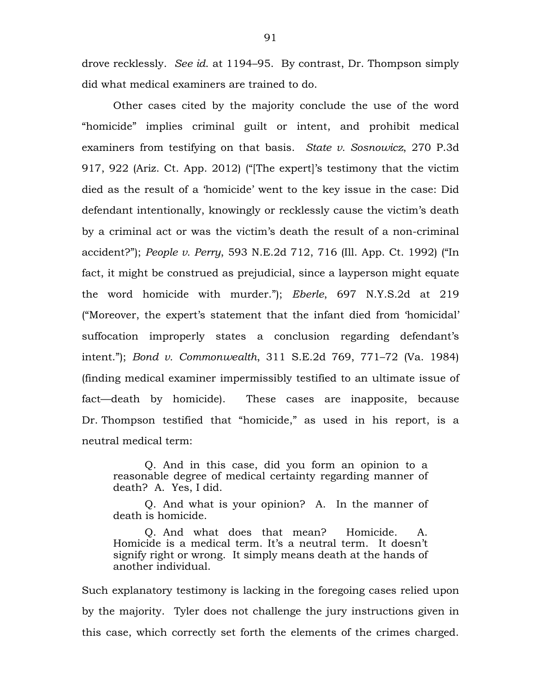drove recklessly. *See id*. at 1194–95. By contrast, Dr. Thompson simply did what medical examiners are trained to do.

Other cases cited by the majority conclude the use of the word "homicide" implies criminal guilt or intent, and prohibit medical examiners from testifying on that basis. *State v. Sosnowicz*, 270 P.3d 917, 922 (Ariz. Ct. App. 2012) ("[The expert]'s testimony that the victim died as the result of a 'homicide' went to the key issue in the case: Did defendant intentionally, knowingly or recklessly cause the victim's death by a criminal act or was the victim's death the result of a non-criminal accident?"); *People v. Perry*, 593 N.E.2d 712, 716 (Ill. App. Ct. 1992) ("In fact, it might be construed as prejudicial, since a layperson might equate the word homicide with murder."); *Eberle*, 697 N.Y.S.2d at 219 ("Moreover, the expert's statement that the infant died from 'homicidal' suffocation improperly states a conclusion regarding defendant's intent."); *Bond v. Commonwealth*, 311 S.E.2d 769, 771–72 (Va. 1984) (finding medical examiner impermissibly testified to an ultimate issue of fact—death by homicide). These cases are inapposite, because Dr. Thompson testified that "homicide," as used in his report, is a neutral medical term:

Q. And in this case, did you form an opinion to a reasonable degree of medical certainty regarding manner of death? A. Yes, I did.

Q. And what is your opinion? A. In the manner of death is homicide.

Q. And what does that mean? Homicide. A. Homicide is a medical term. It's a neutral term. It doesn't signify right or wrong. It simply means death at the hands of another individual.

Such explanatory testimony is lacking in the foregoing cases relied upon by the majority. Tyler does not challenge the jury instructions given in this case, which correctly set forth the elements of the crimes charged.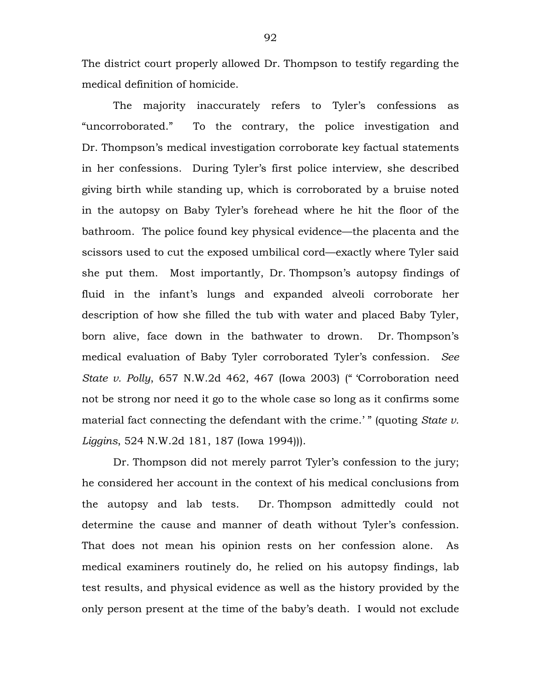The district court properly allowed Dr. Thompson to testify regarding the medical definition of homicide.

The majority inaccurately refers to Tyler's confessions as "uncorroborated." To the contrary, the police investigation and Dr. Thompson's medical investigation corroborate key factual statements in her confessions. During Tyler's first police interview, she described giving birth while standing up, which is corroborated by a bruise noted in the autopsy on Baby Tyler's forehead where he hit the floor of the bathroom. The police found key physical evidence—the placenta and the scissors used to cut the exposed umbilical cord—exactly where Tyler said she put them. Most importantly, Dr. Thompson's autopsy findings of fluid in the infant's lungs and expanded alveoli corroborate her description of how she filled the tub with water and placed Baby Tyler, born alive, face down in the bathwater to drown. Dr. Thompson's medical evaluation of Baby Tyler corroborated Tyler's confession. *See State v. Polly*, 657 N.W.2d 462, 467 (Iowa 2003) (" 'Corroboration need not be strong nor need it go to the whole case so long as it confirms some material fact connecting the defendant with the crime.'" (quoting *State v. Liggins*, 524 N.W.2d 181, 187 (Iowa 1994))).

Dr. Thompson did not merely parrot Tyler's confession to the jury; he considered her account in the context of his medical conclusions from the autopsy and lab tests. Dr. Thompson admittedly could not determine the cause and manner of death without Tyler's confession. That does not mean his opinion rests on her confession alone. As medical examiners routinely do, he relied on his autopsy findings, lab test results, and physical evidence as well as the history provided by the only person present at the time of the baby's death. I would not exclude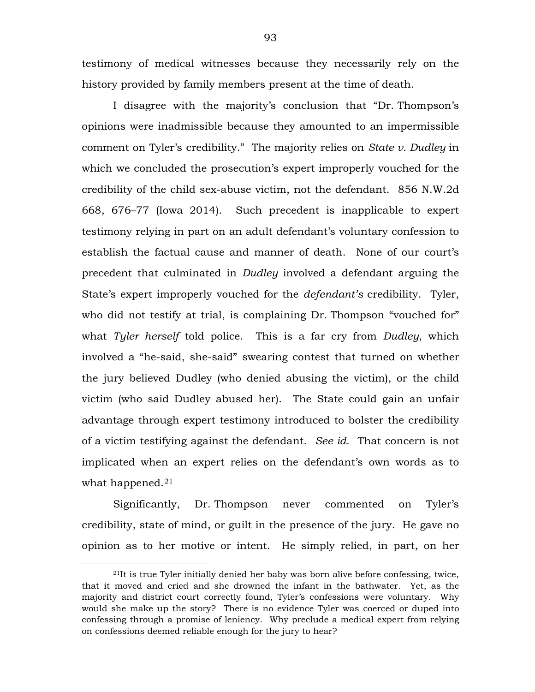testimony of medical witnesses because they necessarily rely on the history provided by family members present at the time of death.

I disagree with the majority's conclusion that "Dr. Thompson's opinions were inadmissible because they amounted to an impermissible comment on Tyler's credibility." The majority relies on *State v. Dudley* in which we concluded the prosecution's expert improperly vouched for the credibility of the child sex-abuse victim, not the defendant. 856 N.W.2d 668, 676–77 (Iowa 2014). Such precedent is inapplicable to expert testimony relying in part on an adult defendant's voluntary confession to establish the factual cause and manner of death. None of our court's precedent that culminated in *Dudley* involved a defendant arguing the State's expert improperly vouched for the *defendant's* credibility. Tyler, who did not testify at trial, is complaining Dr. Thompson "vouched for" what *Tyler herself* told police. This is a far cry from *Dudley*, which involved a "he-said, she-said" swearing contest that turned on whether the jury believed Dudley (who denied abusing the victim), or the child victim (who said Dudley abused her). The State could gain an unfair advantage through expert testimony introduced to bolster the credibility of a victim testifying against the defendant. *See id.* That concern is not implicated when an expert relies on the defendant's own words as to what happened.<sup>[21](#page-92-0)</sup>

Significantly, Dr. Thompson never commented on Tyler's credibility, state of mind, or guilt in the presence of the jury. He gave no opinion as to her motive or intent. He simply relied, in part, on her

 $\overline{a}$ 

<span id="page-92-0"></span><sup>21</sup>It is true Tyler initially denied her baby was born alive before confessing, twice, that it moved and cried and she drowned the infant in the bathwater. Yet, as the majority and district court correctly found, Tyler's confessions were voluntary. Why would she make up the story? There is no evidence Tyler was coerced or duped into confessing through a promise of leniency. Why preclude a medical expert from relying on confessions deemed reliable enough for the jury to hear?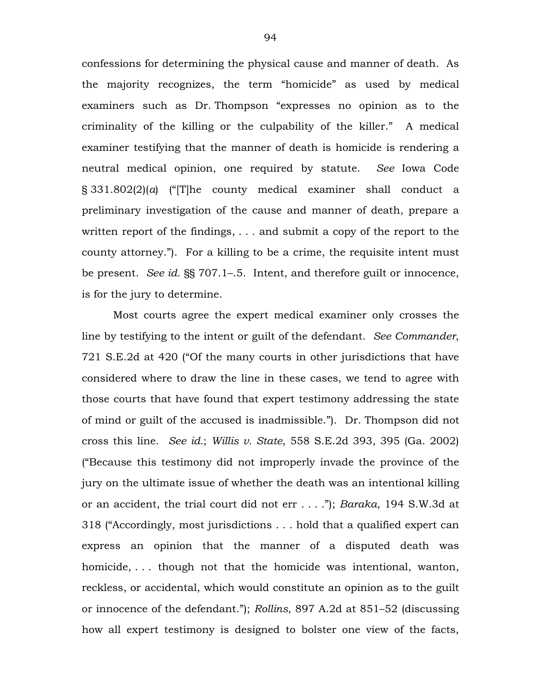confessions for determining the physical cause and manner of death. As the majority recognizes, the term "homicide" as used by medical examiners such as Dr. Thompson "expresses no opinion as to the criminality of the killing or the culpability of the killer." A medical examiner testifying that the manner of death is homicide is rendering a neutral medical opinion, one required by statute. *See* Iowa Code § 331.802(2)(*a*) ("[T]he county medical examiner shall conduct a preliminary investigation of the cause and manner of death, prepare a written report of the findings, . . . and submit a copy of the report to the county attorney."). For a killing to be a crime, the requisite intent must be present. *See id.* §§ 707.1–.5. Intent, and therefore guilt or innocence, is for the jury to determine.

Most courts agree the expert medical examiner only crosses the line by testifying to the intent or guilt of the defendant. *See Commander*, 721 S.E.2d at 420 ("Of the many courts in other jurisdictions that have considered where to draw the line in these cases, we tend to agree with those courts that have found that expert testimony addressing the state of mind or guilt of the accused is inadmissible."). Dr. Thompson did not cross this line. *See id.*; *Willis v. State*, 558 S.E.2d 393, 395 (Ga. 2002) ("Because this testimony did not improperly invade the province of the jury on the ultimate issue of whether the death was an intentional killing or an accident, the trial court did not err . . . ."); *Baraka*, 194 S.W.3d at 318 ("Accordingly, most jurisdictions . . . hold that a qualified expert can express an opinion that the manner of a disputed death was homicide, ... though not that the homicide was intentional, wanton, reckless, or accidental, which would constitute an opinion as to the guilt or innocence of the defendant."); *Rollins*, 897 A.2d at 851–52 (discussing how all expert testimony is designed to bolster one view of the facts,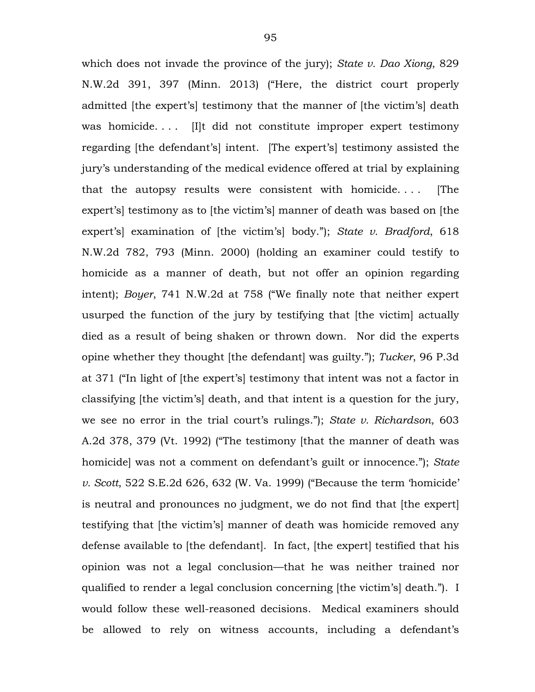which does not invade the province of the jury); *State v. Dao Xiong*, 829 N.W.2d 391, 397 (Minn. 2013) ("Here, the district court properly admitted [the expert's] testimony that the manner of [the victim's] death was homicide.... Illt did not constitute improper expert testimony regarding [the defendant's] intent. [The expert's] testimony assisted the jury's understanding of the medical evidence offered at trial by explaining that the autopsy results were consistent with homicide. . . . [The expert's] testimony as to [the victim's] manner of death was based on [the expert's] examination of [the victim's] body."); *State v. Bradford*, 618 N.W.2d 782, 793 (Minn. 2000) (holding an examiner could testify to homicide as a manner of death, but not offer an opinion regarding intent); *Boyer*, 741 N.W.2d at 758 ("We finally note that neither expert usurped the function of the jury by testifying that [the victim] actually died as a result of being shaken or thrown down. Nor did the experts opine whether they thought [the defendant] was guilty."); *Tucker*, 96 P.3d at 371 ("In light of [the expert's] testimony that intent was not a factor in classifying [the victim's] death, and that intent is a question for the jury, we see no error in the trial court's rulings."); *State v. Richardson*, 603 A.2d 378, 379 (Vt. 1992) ("The testimony [that the manner of death was homicide] was not a comment on defendant's guilt or innocence."); *State v. Scott*, 522 S.E.2d 626, 632 (W. Va. 1999) ("Because the term 'homicide' is neutral and pronounces no judgment, we do not find that [the expert] testifying that [the victim's] manner of death was homicide removed any defense available to [the defendant]. In fact, [the expert] testified that his opinion was not a legal conclusion—that he was neither trained nor qualified to render a legal conclusion concerning [the victim's] death."). I would follow these well-reasoned decisions. Medical examiners should be allowed to rely on witness accounts, including a defendant's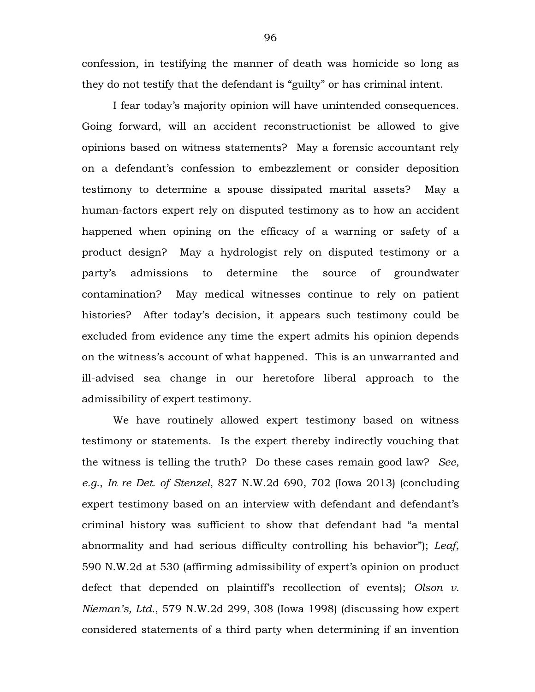confession, in testifying the manner of death was homicide so long as they do not testify that the defendant is "guilty" or has criminal intent.

I fear today's majority opinion will have unintended consequences. Going forward, will an accident reconstructionist be allowed to give opinions based on witness statements? May a forensic accountant rely on a defendant's confession to embezzlement or consider deposition testimony to determine a spouse dissipated marital assets? May a human-factors expert rely on disputed testimony as to how an accident happened when opining on the efficacy of a warning or safety of a product design? May a hydrologist rely on disputed testimony or a party's admissions to determine the source of groundwater contamination? May medical witnesses continue to rely on patient histories? After today's decision, it appears such testimony could be excluded from evidence any time the expert admits his opinion depends on the witness's account of what happened. This is an unwarranted and ill-advised sea change in our heretofore liberal approach to the admissibility of expert testimony.

We have routinely allowed expert testimony based on witness testimony or statements. Is the expert thereby indirectly vouching that the witness is telling the truth? Do these cases remain good law? *See, e.g.*, *In re Det. of Stenzel*, 827 N.W.2d 690, 702 (Iowa 2013) (concluding expert testimony based on an interview with defendant and defendant's criminal history was sufficient to show that defendant had "a mental abnormality and had serious difficulty controlling his behavior"); *Leaf*, 590 N.W.2d at 530 (affirming admissibility of expert's opinion on product defect that depended on plaintiff's recollection of events); *Olson v. Nieman's, Ltd.*, 579 N.W.2d 299, 308 (Iowa 1998) (discussing how expert considered statements of a third party when determining if an invention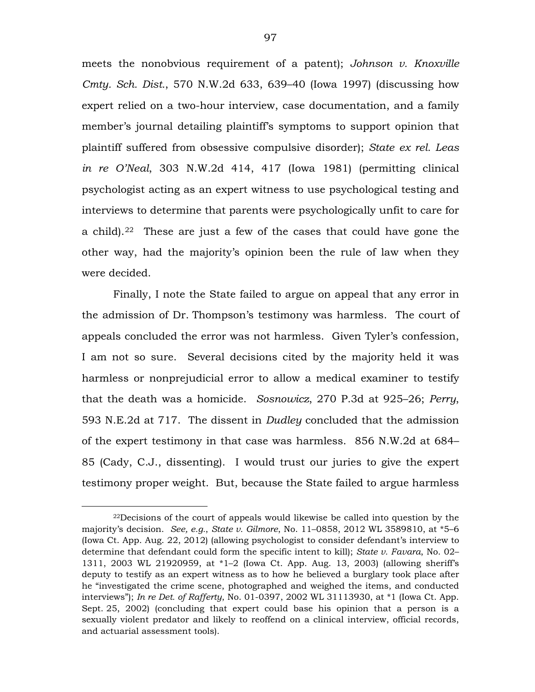meets the nonobvious requirement of a patent); *Johnson v. Knoxville Cmty. Sch. Dist.*, 570 N.W.2d 633, 639–40 (Iowa 1997) (discussing how expert relied on a two-hour interview, case documentation, and a family member's journal detailing plaintiff's symptoms to support opinion that plaintiff suffered from obsessive compulsive disorder); *State ex rel. Leas in re O'Neal*, 303 N.W.2d 414, 417 (Iowa 1981) (permitting clinical psychologist acting as an expert witness to use psychological testing and interviews to determine that parents were psychologically unfit to care for a child).[22](#page-96-0) These are just a few of the cases that could have gone the other way, had the majority's opinion been the rule of law when they were decided.

Finally, I note the State failed to argue on appeal that any error in the admission of Dr. Thompson's testimony was harmless. The court of appeals concluded the error was not harmless. Given Tyler's confession, I am not so sure. Several decisions cited by the majority held it was harmless or nonprejudicial error to allow a medical examiner to testify that the death was a homicide. *Sosnowicz*, 270 P.3d at 925–26; *Perry*, 593 N.E.2d at 717. The dissent in *Dudley* concluded that the admission of the expert testimony in that case was harmless. 856 N.W.2d at 684– 85 (Cady, C.J., dissenting). I would trust our juries to give the expert testimony proper weight. But, because the State failed to argue harmless

 $\overline{a}$ 

<span id="page-96-0"></span><sup>22</sup>Decisions of the court of appeals would likewise be called into question by the majority's decision. *See, e.g.*, *State v. Gilmore*, No. 11–0858, 2012 WL 3589810, at \*5–6 (Iowa Ct. App. Aug. 22, 2012) (allowing psychologist to consider defendant's interview to determine that defendant could form the specific intent to kill); *State v. Favara*, No. 02– 1311, 2003 WL 21920959, at \*1–2 (Iowa Ct. App. Aug. 13, 2003) (allowing sheriff's deputy to testify as an expert witness as to how he believed a burglary took place after he "investigated the crime scene, photographed and weighed the items, and conducted interviews"); *In re Det. of Rafferty*, No. 01-0397, 2002 WL 31113930, at \*1 (Iowa Ct. App. Sept. 25, 2002) (concluding that expert could base his opinion that a person is a sexually violent predator and likely to reoffend on a clinical interview, official records, and actuarial assessment tools).